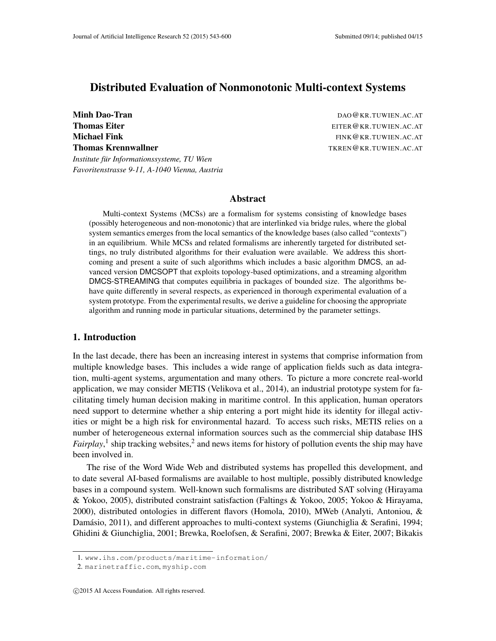*Favoritenstrasse 9-11, A-1040 Vienna, Austria*

# Distributed Evaluation of Nonmonotonic Multi-context Systems

Minh Dao-Tran de California and the California and the California and DAO@KR.TUWIEN.AC.AT **Thomas Eiter** Eiter Eiter Eiter Eiter Eiter Eiter Eiter Eiter Eiter Eiter Eiter Eiter Eiter Eiter Eiter Eiter Eiter Eiter Eiter Eiter Eiter Eiter Eiter Eiter Eiter Eiter Eiter Eiter Eiter Eiter Eiter Eiter Eiter Eiter Eit Michael Fink FINK GENERAL EXPERIENCE AND THE FINK GENERAL EXPERIENCE AT THE SERVICE OF THE SERVICE OF THE SERVICE OF THE SERVICE OF THE SERVICE OF THE SERVICE OF THE SERVICE OF THE SERVICE OF THE SERVICE OF THE SERVICE OF Thomas Krennwallner Thomas Exercise Contract Article of the TKREN@KR.TUWIEN.AC.AT *Institute fur Informationssysteme, TU Wien ¨*

#### Abstract

Multi-context Systems (MCSs) are a formalism for systems consisting of knowledge bases (possibly heterogeneous and non-monotonic) that are interlinked via bridge rules, where the global system semantics emerges from the local semantics of the knowledge bases (also called "contexts") in an equilibrium. While MCSs and related formalisms are inherently targeted for distributed settings, no truly distributed algorithms for their evaluation were available. We address this shortcoming and present a suite of such algorithms which includes a basic algorithm DMCS, an advanced version DMCSOPT that exploits topology-based optimizations, and a streaming algorithm DMCS-STREAMING that computes equilibria in packages of bounded size. The algorithms behave quite differently in several respects, as experienced in thorough experimental evaluation of a system prototype. From the experimental results, we derive a guideline for choosing the appropriate algorithm and running mode in particular situations, determined by the parameter settings.

### 1. Introduction

In the last decade, there has been an increasing interest in systems that comprise information from multiple knowledge bases. This includes a wide range of application fields such as data integration, multi-agent systems, argumentation and many others. To picture a more concrete real-world application, we may consider METIS (Velikova et al., 2014), an industrial prototype system for facilitating timely human decision making in maritime control. In this application, human operators need support to determine whether a ship entering a port might hide its identity for illegal activities or might be a high risk for environmental hazard. To access such risks, METIS relies on a number of heterogeneous external information sources such as the commercial ship database IHS *Fairplay*,<sup>1</sup> ship tracking websites,<sup>2</sup> and news items for history of pollution events the ship may have been involved in.

The rise of the Word Wide Web and distributed systems has propelled this development, and to date several AI-based formalisms are available to host multiple, possibly distributed knowledge bases in a compound system. Well-known such formalisms are distributed SAT solving (Hirayama & Yokoo, 2005), distributed constraint satisfaction (Faltings & Yokoo, 2005; Yokoo & Hirayama, 2000), distributed ontologies in different flavors (Homola, 2010), MWeb (Analyti, Antoniou, & Damásio, 2011), and different approaches to multi-context systems (Giunchiglia & Serafini, 1994; Ghidini & Giunchiglia, 2001; Brewka, Roelofsen, & Serafini, 2007; Brewka & Eiter, 2007; Bikakis

<sup>1.</sup> www.ihs.com/products/maritime-information/

<sup>2.</sup> marinetraffic.com, myship.com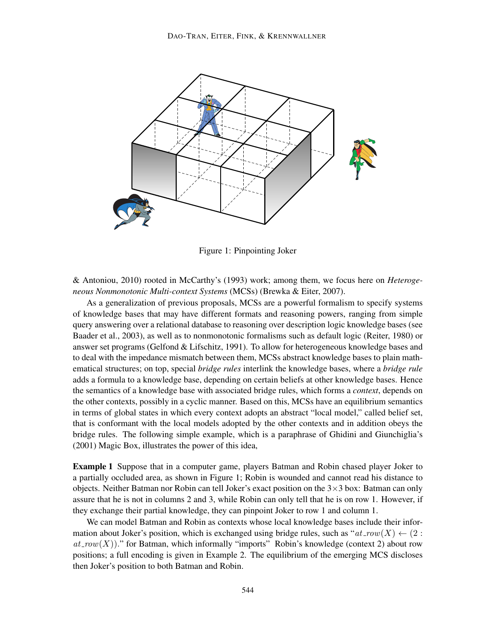

Figure 1: Pinpointing Joker

& Antoniou, 2010) rooted in McCarthy's (1993) work; among them, we focus here on *Heterogeneous Nonmonotonic Multi-context Systems* (MCSs) (Brewka & Eiter, 2007).

As a generalization of previous proposals, MCSs are a powerful formalism to specify systems of knowledge bases that may have different formats and reasoning powers, ranging from simple query answering over a relational database to reasoning over description logic knowledge bases (see Baader et al., 2003), as well as to nonmonotonic formalisms such as default logic (Reiter, 1980) or answer set programs (Gelfond & Lifschitz, 1991). To allow for heterogeneous knowledge bases and to deal with the impedance mismatch between them, MCSs abstract knowledge bases to plain mathematical structures; on top, special *bridge rules* interlink the knowledge bases, where a *bridge rule* adds a formula to a knowledge base, depending on certain beliefs at other knowledge bases. Hence the semantics of a knowledge base with associated bridge rules, which forms a *context*, depends on the other contexts, possibly in a cyclic manner. Based on this, MCSs have an equilibrium semantics in terms of global states in which every context adopts an abstract "local model," called belief set, that is conformant with the local models adopted by the other contexts and in addition obeys the bridge rules. The following simple example, which is a paraphrase of Ghidini and Giunchiglia's (2001) Magic Box, illustrates the power of this idea,

Example 1 Suppose that in a computer game, players Batman and Robin chased player Joker to a partially occluded area, as shown in Figure 1; Robin is wounded and cannot read his distance to objects. Neither Batman nor Robin can tell Joker's exact position on the  $3\times3$  box: Batman can only assure that he is not in columns 2 and 3, while Robin can only tell that he is on row 1. However, if they exchange their partial knowledge, they can pinpoint Joker to row 1 and column 1.

We can model Batman and Robin as contexts whose local knowledge bases include their information about Joker's position, which is exchanged using bridge rules, such as " $at_{T}ow(X) \leftarrow (2 :$  $at_{.}row(X)$ )." for Batman, which informally "imports" Robin's knowledge (context 2) about row positions; a full encoding is given in Example 2. The equilibrium of the emerging MCS discloses then Joker's position to both Batman and Robin.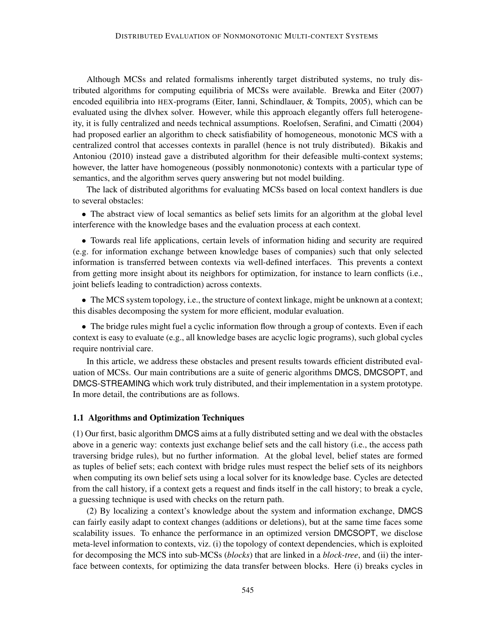Although MCSs and related formalisms inherently target distributed systems, no truly distributed algorithms for computing equilibria of MCSs were available. Brewka and Eiter (2007) encoded equilibria into HEX-programs (Eiter, Ianni, Schindlauer, & Tompits, 2005), which can be evaluated using the dlvhex solver. However, while this approach elegantly offers full heterogeneity, it is fully centralized and needs technical assumptions. Roelofsen, Serafini, and Cimatti (2004) had proposed earlier an algorithm to check satisfiability of homogeneous, monotonic MCS with a centralized control that accesses contexts in parallel (hence is not truly distributed). Bikakis and Antoniou (2010) instead gave a distributed algorithm for their defeasible multi-context systems; however, the latter have homogeneous (possibly nonmonotonic) contexts with a particular type of semantics, and the algorithm serves query answering but not model building.

The lack of distributed algorithms for evaluating MCSs based on local context handlers is due to several obstacles:

• The abstract view of local semantics as belief sets limits for an algorithm at the global level interference with the knowledge bases and the evaluation process at each context.

• Towards real life applications, certain levels of information hiding and security are required (e.g. for information exchange between knowledge bases of companies) such that only selected information is transferred between contexts via well-defined interfaces. This prevents a context from getting more insight about its neighbors for optimization, for instance to learn conflicts (i.e., joint beliefs leading to contradiction) across contexts.

• The MCS system topology, i.e., the structure of context linkage, might be unknown at a context; this disables decomposing the system for more efficient, modular evaluation.

• The bridge rules might fuel a cyclic information flow through a group of contexts. Even if each context is easy to evaluate (e.g., all knowledge bases are acyclic logic programs), such global cycles require nontrivial care.

In this article, we address these obstacles and present results towards efficient distributed evaluation of MCSs. Our main contributions are a suite of generic algorithms DMCS, DMCSOPT, and DMCS-STREAMING which work truly distributed, and their implementation in a system prototype. In more detail, the contributions are as follows.

### 1.1 Algorithms and Optimization Techniques

(1) Our first, basic algorithm DMCS aims at a fully distributed setting and we deal with the obstacles above in a generic way: contexts just exchange belief sets and the call history (i.e., the access path traversing bridge rules), but no further information. At the global level, belief states are formed as tuples of belief sets; each context with bridge rules must respect the belief sets of its neighbors when computing its own belief sets using a local solver for its knowledge base. Cycles are detected from the call history, if a context gets a request and finds itself in the call history; to break a cycle, a guessing technique is used with checks on the return path.

(2) By localizing a context's knowledge about the system and information exchange, DMCS can fairly easily adapt to context changes (additions or deletions), but at the same time faces some scalability issues. To enhance the performance in an optimized version DMCSOPT, we disclose meta-level information to contexts, viz. (i) the topology of context dependencies, which is exploited for decomposing the MCS into sub-MCSs (*blocks*) that are linked in a *block-tree*, and (ii) the interface between contexts, for optimizing the data transfer between blocks. Here (i) breaks cycles in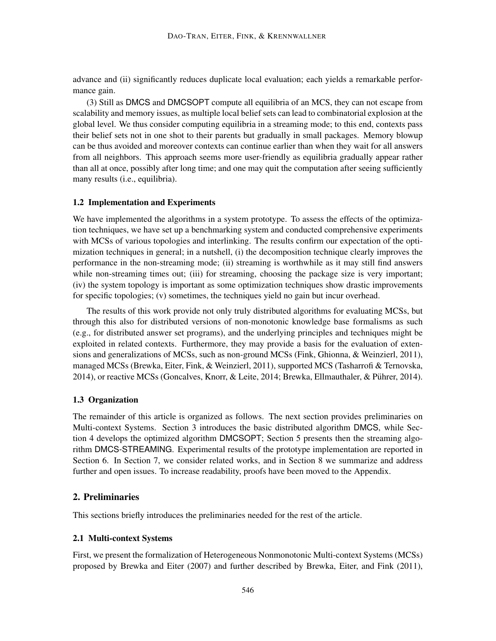advance and (ii) significantly reduces duplicate local evaluation; each yields a remarkable performance gain.

(3) Still as DMCS and DMCSOPT compute all equilibria of an MCS, they can not escape from scalability and memory issues, as multiple local belief sets can lead to combinatorial explosion at the global level. We thus consider computing equilibria in a streaming mode; to this end, contexts pass their belief sets not in one shot to their parents but gradually in small packages. Memory blowup can be thus avoided and moreover contexts can continue earlier than when they wait for all answers from all neighbors. This approach seems more user-friendly as equilibria gradually appear rather than all at once, possibly after long time; and one may quit the computation after seeing sufficiently many results (i.e., equilibria).

### 1.2 Implementation and Experiments

We have implemented the algorithms in a system prototype. To assess the effects of the optimization techniques, we have set up a benchmarking system and conducted comprehensive experiments with MCSs of various topologies and interlinking. The results confirm our expectation of the optimization techniques in general; in a nutshell, (i) the decomposition technique clearly improves the performance in the non-streaming mode; (ii) streaming is worthwhile as it may still find answers while non-streaming times out; (iii) for streaming, choosing the package size is very important; (iv) the system topology is important as some optimization techniques show drastic improvements for specific topologies; (v) sometimes, the techniques yield no gain but incur overhead.

The results of this work provide not only truly distributed algorithms for evaluating MCSs, but through this also for distributed versions of non-monotonic knowledge base formalisms as such (e.g., for distributed answer set programs), and the underlying principles and techniques might be exploited in related contexts. Furthermore, they may provide a basis for the evaluation of extensions and generalizations of MCSs, such as non-ground MCSs (Fink, Ghionna, & Weinzierl, 2011), managed MCSs (Brewka, Eiter, Fink, & Weinzierl, 2011), supported MCS (Tasharrofi & Ternovska, 2014), or reactive MCSs (Goncalves, Knorr, & Leite, 2014; Brewka, Ellmauthaler, & Puhrer, 2014). ¨

## 1.3 Organization

The remainder of this article is organized as follows. The next section provides preliminaries on Multi-context Systems. Section 3 introduces the basic distributed algorithm DMCS, while Section 4 develops the optimized algorithm DMCSOPT; Section 5 presents then the streaming algorithm DMCS-STREAMING. Experimental results of the prototype implementation are reported in Section 6. In Section 7, we consider related works, and in Section 8 we summarize and address further and open issues. To increase readability, proofs have been moved to the Appendix.

### 2. Preliminaries

This sections briefly introduces the preliminaries needed for the rest of the article.

## 2.1 Multi-context Systems

First, we present the formalization of Heterogeneous Nonmonotonic Multi-context Systems (MCSs) proposed by Brewka and Eiter (2007) and further described by Brewka, Eiter, and Fink (2011),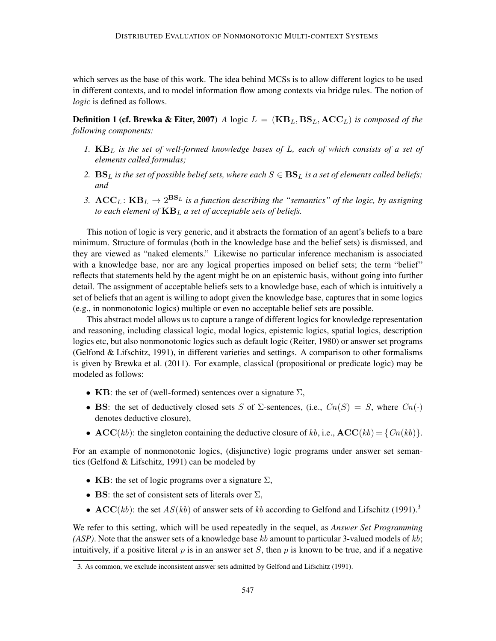which serves as the base of this work. The idea behind MCSs is to allow different logics to be used in different contexts, and to model information flow among contexts via bridge rules. The notion of *logic* is defined as follows.

**Definition 1 (cf. Brewka & Eiter, 2007)** *A* logic  $L = (KB_L, BS_L, ACC_L)$  *is composed of the following components:*

- *1.* KB<sup>L</sup> *is the set of well-formed knowledge bases of* L*, each of which consists of a set of elements called formulas;*
- 2.  $BS_L$  *is the set of possible belief sets, where each*  $S \in BS_L$  *is a set of elements called beliefs; and*
- 3.  $\mathbf{ACC}_L$ :  $\mathbf{KB}_L \rightarrow 2^{\mathbf{BS}_L}$  is a function describing the "semantics" of the logic, by assigning *to each element of*  $KB<sub>L</sub>$ *a set of acceptable sets of beliefs.*

This notion of logic is very generic, and it abstracts the formation of an agent's beliefs to a bare minimum. Structure of formulas (both in the knowledge base and the belief sets) is dismissed, and they are viewed as "naked elements." Likewise no particular inference mechanism is associated with a knowledge base, nor are any logical properties imposed on belief sets; the term "belief" reflects that statements held by the agent might be on an epistemic basis, without going into further detail. The assignment of acceptable beliefs sets to a knowledge base, each of which is intuitively a set of beliefs that an agent is willing to adopt given the knowledge base, captures that in some logics (e.g., in nonmonotonic logics) multiple or even no acceptable belief sets are possible.

This abstract model allows us to capture a range of different logics for knowledge representation and reasoning, including classical logic, modal logics, epistemic logics, spatial logics, description logics etc, but also nonmonotonic logics such as default logic (Reiter, 1980) or answer set programs (Gelfond & Lifschitz, 1991), in different varieties and settings. A comparison to other formalisms is given by Brewka et al. (2011). For example, classical (propositional or predicate logic) may be modeled as follows:

- KB: the set of (well-formed) sentences over a signature  $\Sigma$ ,
- BS: the set of deductively closed sets S of  $\Sigma$ -sentences, (i.e.,  $Cn(S) = S$ , where  $Cn(\cdot)$ denotes deductive closure),
- $\mathbf{ACC}(kb)$ : the singleton containing the deductive closure of kb, i.e.,  $\mathbf{ACC}(kb) = \{Cn(kb)\}.$

For an example of nonmonotonic logics, (disjunctive) logic programs under answer set semantics (Gelfond & Lifschitz, 1991) can be modeled by

- KB: the set of logic programs over a signature  $\Sigma$ ,
- BS: the set of consistent sets of literals over  $\Sigma$ ,
- $\mathbf{ACC}(kb)$ : the set  $AS(kb)$  of answer sets of kb according to Gelfond and Lifschitz (1991).<sup>3</sup>

We refer to this setting, which will be used repeatedly in the sequel, as *Answer Set Programming (ASP)*. Note that the answer sets of a knowledge base kb amount to particular 3-valued models of kb; intuitively, if a positive literal p is in an answer set S, then p is known to be true, and if a negative

<sup>3.</sup> As common, we exclude inconsistent answer sets admitted by Gelfond and Lifschitz (1991).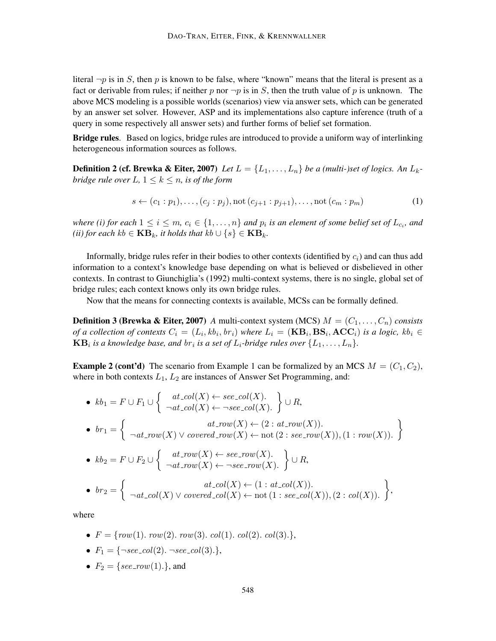literal  $\neg p$  is in S, then p is known to be false, where "known" means that the literal is present as a fact or derivable from rules; if neither p nor  $\neg p$  is in S, then the truth value of p is unknown. The above MCS modeling is a possible worlds (scenarios) view via answer sets, which can be generated by an answer set solver. However, ASP and its implementations also capture inference (truth of a query in some respectively all answer sets) and further forms of belief set formation.

Bridge rules. Based on logics, bridge rules are introduced to provide a uniform way of interlinking heterogeneous information sources as follows.

**Definition 2 (cf. Brewka & Eiter, 2007)** *Let*  $L = \{L_1, \ldots, L_n\}$  *be a (multi-)set of logics. An*  $L_k$ *bridge rule over*  $L, 1 \leq k \leq n$ *, is of the form* 

$$
s \leftarrow (c_1 : p_1), \dots, (c_j : p_j), \text{not } (c_{j+1} : p_{j+1}), \dots, \text{not } (c_m : p_m)
$$
(1)

where (i) for each  $1 \leq i \leq m$ ,  $c_i \in \{1, \ldots, n\}$  and  $p_i$  is an element of some belief set of  $L_{c_i}$ , and  $(ii)$  for each  $kb$  ∈  $KB_k$ *, it holds that*  $kb \cup \{s\}$  ∈  $KB_k$ *.* 

Informally, bridge rules refer in their bodies to other contexts (identified by  $c_i$ ) and can thus add information to a context's knowledge base depending on what is believed or disbelieved in other contexts. In contrast to Giunchiglia's (1992) multi-context systems, there is no single, global set of bridge rules; each context knows only its own bridge rules.

Now that the means for connecting contexts is available, MCSs can be formally defined.

**Definition 3 (Brewka & Eiter, 2007)** *A* multi-context system (MCS)  $M = (C_1, \ldots, C_n)$  consists *of a collection of contexts*  $C_i = (L_i, kb_i, br_i)$  *where*  $L_i = (\mathbf{KB}_i, \mathbf{BS}_i, \mathbf{ACC}_i)$  *is a logic, kb<sub>i</sub>*  $\in$  $\mathbf{KB}_i$  is a knowledge base, and  $br_i$  is a set of  $L_i$ -bridge rules over  $\{L_1, \ldots, L_n\}.$ 

**Example 2 (cont'd)** The scenario from Example 1 can be formalized by an MCS  $M = (C_1, C_2)$ , where in both contexts  $L_1$ ,  $L_2$  are instances of Answer Set Programming, and:

\n- \n
$$
kb_1 = F \cup F_1 \cup \left\{\n \begin{array}{l}\n at\_{col}(X) \leftarrow \, see\_{col}(X).\n \\\n \neg at\_{col}(X) \leftarrow \neg see\_{col}(X).\n \end{array}\n \right\} \cup R,
$$
\n
\n- \n
$$
br_1 = \left\{\n \begin{array}{l}\n at\_{row}(X) \leftarrow (2: at\_{row}(X)).\n \end{array}\n \right\}.
$$
\n
\n- \n
$$
br_1 = \left\{\n \begin{array}{l}\n at\_{row}(X) \vee covered\_{row}(X) \leftarrow not (2: see\_{row}(X)), (1:row(X)).\n \end{array}\n \right\}
$$
\n
\n

• 
$$
kb_2 = F \cup F_2 \cup \left\{ \begin{array}{l} at_{\text{row}}(X) \leftarrow \text{see}_{\text{row}}(X). \\ \neg at_{\text{row}}(X) \leftarrow \neg \text{see}_{\text{row}}(X). \end{array} \right\} \cup R,
$$

• 
$$
br_2 = \begin{cases} \begin{array}{c} at\_col(X) \leftarrow (1: at\_col(X)). \\ \neg at\_col(X) \vee covered\_col(X) \leftarrow not (1: see\_col(X)), (2: col(X)). \end{array} \end{cases}
$$

where

- $F = \{row(1)$ .  $row(2)$ .  $row(3)$ .  $col(1)$ .  $col(2)$ .  $col(3)$ .},
- $F_1 = \{\neg see\_col(2). \neg see\_col(3). \},\$
- $F_2 = \{see_{\mathit{row}}(1).\}$ , and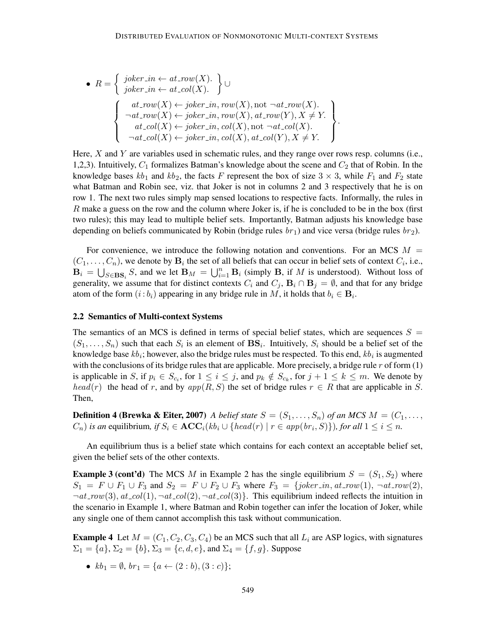• 
$$
R = \left\{ \begin{array}{l} joker.in \leftarrow at_{\mathit{row}}(X). \\ joker.in \leftarrow at_{\mathit{col}}(X). \end{array} \right\} \cup \left\{ \begin{array}{l} \text{at}_{\mathit{row}}(X) \leftarrow joker.in, \text{row}(X), \text{not } \neg at_{\mathit{row}}(X). \\ \neg at_{\mathit{row}}(X) \leftarrow joker.in, \text{row}(X), \text{not } \neg at_{\mathit{row}}(Y), X \neq Y. \\ \neg at_{\mathit{col}}(X) \leftarrow joker_in, \text{col}(X), \text{not } \neg at_{\mathit{col}}(X). \\ \neg at_{\mathit{col}}(X) \leftarrow joker_in, \text{col}(X), \text{at}_{\mathit{col}}(Y), X \neq Y. \end{array} \right\} \right\}.
$$

Here,  $X$  and  $Y$  are variables used in schematic rules, and they range over rows resp. columns (i.e., 1,2,3). Intuitively,  $C_1$  formalizes Batman's knowledge about the scene and  $C_2$  that of Robin. In the knowledge bases  $kb_1$  and  $kb_2$ , the facts F represent the box of size  $3 \times 3$ , while  $F_1$  and  $F_2$  state what Batman and Robin see, viz. that Joker is not in columns 2 and 3 respectively that he is on row 1. The next two rules simply map sensed locations to respective facts. Informally, the rules in  $R$  make a guess on the row and the column where Joker is, if he is concluded to be in the box (first two rules); this may lead to multiple belief sets. Importantly, Batman adjusts his knowledge base depending on beliefs communicated by Robin (bridge rules  $br_1$ ) and vice versa (bridge rules  $br_2$ ).

For convenience, we introduce the following notation and conventions. For an MCS  $M =$  $(C_1, \ldots, C_n)$ , we denote by  $\mathbf{B}_i$  the set of all beliefs that can occur in belief sets of context  $C_i$ , i.e.,  $\mathbf{B}_i = \bigcup_{S \in \mathbf{BS}_i} S$ , and we let  $\mathbf{B}_M = \bigcup_{i=1}^n \mathbf{B}_i$  (simply **B**, if M is understood). Without loss of generality, we assume that for distinct contexts  $C_i$  and  $C_j$ ,  $B_i \cap B_j = \emptyset$ , and that for any bridge atom of the form  $(i:b_i)$  appearing in any bridge rule in M, it holds that  $b_i \in \mathbf{B}_i$ .

### 2.2 Semantics of Multi-context Systems

The semantics of an MCS is defined in terms of special belief states, which are sequences  $S =$  $(S_1, \ldots, S_n)$  such that each  $S_i$  is an element of  $\mathbf{BS}_i$ . Intuitively,  $S_i$  should be a belief set of the knowledge base  $kb_i$ ; however, also the bridge rules must be respected. To this end,  $kb_i$  is augmented with the conclusions of its bridge rules that are applicable. More precisely, a bridge rule  $r$  of form  $(1)$ is applicable in S, if  $p_i \in S_{c_i}$ , for  $1 \le i \le j$ , and  $p_k \notin S_{c_k}$ , for  $j + 1 \le k \le m$ . We denote by  $head(r)$  the head of r, and by  $app(R, S)$  the set of bridge rules  $r \in R$  that are applicable in S. Then,

**Definition 4 (Brewka & Eiter, 2007)** *A belief state*  $S = (S_1, \ldots, S_n)$  *of an MCS*  $M = (C_1, \ldots, C_n)$  $(C_n)$  *is an* equilibrium, if  $S_i \in \mathbf{ACC}_i(kb_i \cup \{head(r) \mid r \in app(br_i, S)\})$ , for all  $1 \leq i \leq n$ .

An equilibrium thus is a belief state which contains for each context an acceptable belief set, given the belief sets of the other contexts.

**Example 3 (cont'd)** The MCS M in Example 2 has the single equilibrium  $S = (S_1, S_2)$  where  $S_1 = F \cup F_1 \cup F_3$  and  $S_2 = F \cup F_2 \cup F_3$  where  $F_3 = \{joker\_in, at\_row(1), \neg at\_row(2),$  $\neg at_{\text{row}}(3), \text{at}_{\text{col}}(1), \neg at_{\text{col}}(2), \neg at_{\text{col}}(3)\}\$ . This equilibrium indeed reflects the intuition in the scenario in Example 1, where Batman and Robin together can infer the location of Joker, while any single one of them cannot accomplish this task without communication.

**Example 4** Let  $M = (C_1, C_2, C_3, C_4)$  be an MCS such that all  $L_i$  are ASP logics, with signatures  $\Sigma_1 = \{a\}, \Sigma_2 = \{b\}, \Sigma_3 = \{c, d, e\}, \text{ and } \Sigma_4 = \{f, g\}.$  Suppose

•  $kb_1 = \emptyset$ ,  $br_1 = \{a \leftarrow (2:b), (3:c)\};$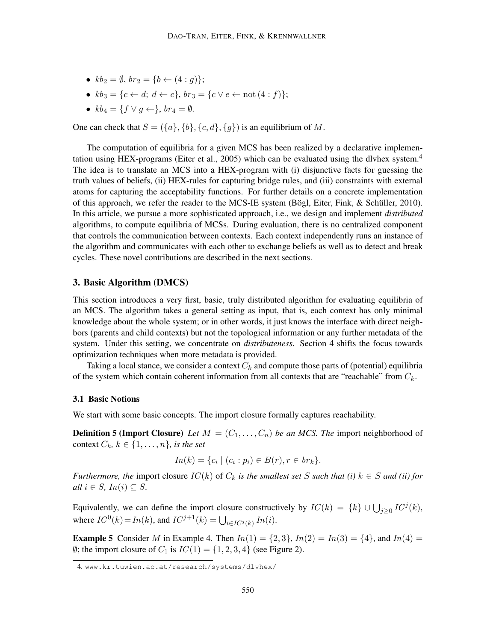- $kb_2 = \emptyset$ ,  $br_2 = \{b \leftarrow (4 : q)\};$
- $kb_3 = \{c \leftarrow d; d \leftarrow c\}, br_3 = \{c \vee e \leftarrow \text{not}(4 : f)\};$
- $kb_4 = \{f \vee g \leftarrow \}$ ,  $br_4 = \emptyset$ .

One can check that  $S = (\{a\}, \{b\}, \{c, d\}, \{g\})$  is an equilibrium of M.

The computation of equilibria for a given MCS has been realized by a declarative implementation using HEX-programs (Eiter et al., 2005) which can be evaluated using the dlvhex system. $4$ The idea is to translate an MCS into a HEX-program with (i) disjunctive facts for guessing the truth values of beliefs, (ii) HEX-rules for capturing bridge rules, and (iii) constraints with external atoms for capturing the acceptability functions. For further details on a concrete implementation of this approach, we refer the reader to the MCS-IE system (Bögl, Eiter, Fink,  $\&$  Schüller, 2010). In this article, we pursue a more sophisticated approach, i.e., we design and implement *distributed* algorithms, to compute equilibria of MCSs. During evaluation, there is no centralized component that controls the communication between contexts. Each context independently runs an instance of the algorithm and communicates with each other to exchange beliefs as well as to detect and break cycles. These novel contributions are described in the next sections.

## 3. Basic Algorithm (DMCS)

This section introduces a very first, basic, truly distributed algorithm for evaluating equilibria of an MCS. The algorithm takes a general setting as input, that is, each context has only minimal knowledge about the whole system; or in other words, it just knows the interface with direct neighbors (parents and child contexts) but not the topological information or any further metadata of the system. Under this setting, we concentrate on *distributeness*. Section 4 shifts the focus towards optimization techniques when more metadata is provided.

Taking a local stance, we consider a context  $C_k$  and compute those parts of (potential) equilibria of the system which contain coherent information from all contexts that are "reachable" from  $C_k$ .

#### 3.1 Basic Notions

We start with some basic concepts. The import closure formally captures reachability.

**Definition 5 (Import Closure)** Let  $M = (C_1, \ldots, C_n)$  be an MCS. The import neighborhood of context  $C_k$ *, k*  $\in \{1, \ldots, n\}$ *, is the set* 

$$
In(k) = \{c_i \mid (c_i : p_i) \in B(r), r \in br_k\}.
$$

*Furthermore, the* import closure  $IC(k)$  of  $C_k$  *is the smallest set* S *such that (i)*  $k \in S$  *and (ii) for all*  $i \in S$ *,*  $In(i) \subseteq S$ *.* 

Equivalently, we can define the import closure constructively by  $IC(k) = \{k\} \cup \bigcup_{j \geq 0} IC^{j}(k)$ , where  $IC^0(k) = In(k)$ , and  $IC^{j+1}(k) = \bigcup_{i \in IC^j(k)} In(i)$ .

**Example 5** Consider M in Example 4. Then  $In(1) = \{2, 3\}$ ,  $In(2) = In(3) = \{4\}$ , and  $In(4) = \{4, 4\}$  $\emptyset$ ; the import closure of  $C_1$  is  $IC(1) = \{1, 2, 3, 4\}$  (see Figure 2).

<sup>4.</sup> www.kr.tuwien.ac.at/research/systems/dlvhex/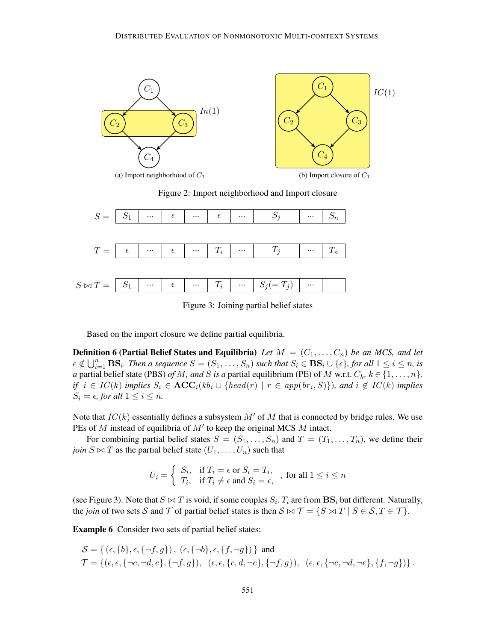

Figure 2: Import neighborhood and Import closure



Figure 3: Joining partial belief states

Based on the import closure we define partial equilibria.

**Definition 6 (Partial Belief States and Equilibria)** Let  $M = (C_1, \ldots, C_n)$  be an MCS, and let  $\epsilon \notin \bigcup_{i=1}^n \mathbf{BS}_i$ . Then a sequence  $S = (S_1, \ldots, S_n)$  such that  $S_i \in \mathbf{BS}_i \cup \{\epsilon\}$ , for all  $1 \leq i \leq n$ , is *a* partial belief state (PBS) *of M, and S is a* partial equilibrium (PE) of M w.r.t.  $C_k$ ,  $k \in \{1, \ldots, n\}$ , *if*  $i \in IC(k)$  *implies*  $S_i \in \text{ACC}_i(kb_i \cup \{head(r) | r \in app(br_i, S)\})$ *, and*  $i \notin IC(k)$  *implies*  $S_i = \epsilon$ , for all  $1 \leq i \leq n$ .

Note that  $IC(k)$  essentially defines a subsystem M' of M that is connected by bridge rules. We use PEs of M instead of equilibria of  $M'$  to keep the original MCS M intact.

For combining partial belief states  $S = (S_1, \ldots, S_n)$  and  $T = (T_1, \ldots, T_n)$ , we define their *join*  $S \bowtie T$  as the partial belief state  $(U_1, \ldots, U_n)$  such that

$$
U_i = \begin{cases} S_i, & \text{if } T_i = \epsilon \text{ or } S_i = T_i, \\ T_i, & \text{if } T_i \neq \epsilon \text{ and } S_i = \epsilon, \end{cases}, \text{ for all } 1 \leq i \leq n
$$

(see Figure 3). Note that  $S \bowtie T$  is void, if some couples  $S_i, T_i$  are from  $\mathbf{BS}_i$  but different. Naturally, the *join* of two sets S and T of partial belief states is then  $S \bowtie T = \{S \bowtie T \mid S \in S, T \in T\}.$ 

Example 6 Consider two sets of partial belief states:

$$
S = \{ (\epsilon, \{b\}, \epsilon, \{\neg f, g\}), (\epsilon, \{\neg b\}, \epsilon, \{f, \neg g\}) \} \text{ and}
$$
  

$$
\mathcal{T} = \{ (\epsilon, \epsilon, \{\neg c, \neg d, e\}, \{\neg f, g\}), (\epsilon, \epsilon, \{c, d, \neg e\}, \{\neg f, g\}), (\epsilon, \epsilon, \{\neg c, \neg d, \neg e\}, \{f, \neg g\}) \}.
$$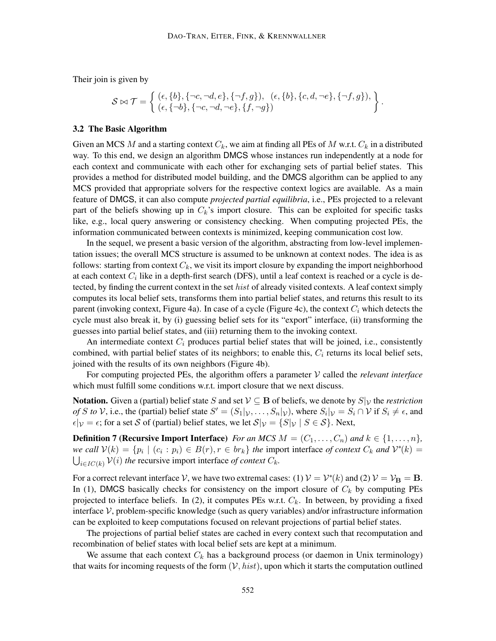Their join is given by

$$
\mathcal{S} \bowtie \mathcal{T} = \left\{ \begin{array}{l} (\epsilon, \{b\}, \{\neg c, \neg d, e\}, \{\neg f, g\}), \ (\epsilon, \{b\}, \{c, d, \neg e\}, \{\neg f, g\}), \\ (\epsilon, \{\neg b\}, \{\neg c, \neg d, \neg e\}, \{f, \neg g\}) \end{array} \right\}.
$$

### 3.2 The Basic Algorithm

Given an MCS M and a starting context  $C_k$ , we aim at finding all PEs of M w.r.t.  $C_k$  in a distributed way. To this end, we design an algorithm DMCS whose instances run independently at a node for each context and communicate with each other for exchanging sets of partial belief states. This provides a method for distributed model building, and the DMCS algorithm can be applied to any MCS provided that appropriate solvers for the respective context logics are available. As a main feature of DMCS, it can also compute *projected partial equilibria*, i.e., PEs projected to a relevant part of the beliefs showing up in  $C_k$ 's import closure. This can be exploited for specific tasks like, e.g., local query answering or consistency checking. When computing projected PEs, the information communicated between contexts is minimized, keeping communication cost low.

In the sequel, we present a basic version of the algorithm, abstracting from low-level implementation issues; the overall MCS structure is assumed to be unknown at context nodes. The idea is as follows: starting from context  $C_k$ , we visit its import closure by expanding the import neighborhood at each context  $C_i$  like in a depth-first search (DFS), until a leaf context is reached or a cycle is detected, by finding the current context in the set *hist* of already visited contexts. A leaf context simply computes its local belief sets, transforms them into partial belief states, and returns this result to its parent (invoking context, Figure 4a). In case of a cycle (Figure 4c), the context  $C_i$  which detects the cycle must also break it, by (i) guessing belief sets for its "export" interface, (ii) transforming the guesses into partial belief states, and (iii) returning them to the invoking context.

An intermediate context  $C_i$  produces partial belief states that will be joined, i.e., consistently combined, with partial belief states of its neighbors; to enable this,  $C_i$  returns its local belief sets, joined with the results of its own neighbors (Figure 4b).

For computing projected PEs, the algorithm offers a parameter V called the *relevant interface* which must fulfill some conditions w.r.t. import closure that we next discuss.

Notation. Given a (partial) belief state S and set  $V \subseteq B$  of beliefs, we denote by  $S|_V$  the *restriction of* S *to* V, i.e., the (partial) belief state  $S' = (S_1|_V, \ldots, S_n|_V)$ , where  $S_i|_V = S_i \cap V$  if  $S_i \neq \epsilon$ , and  $\epsilon|y = \epsilon$ ; for a set S of (partial) belief states, we let  $S|y = \{S|y \mid S \in S\}$ . Next,

**Definition 7 (Recursive Import Interface)** *For an MCS*  $M = (C_1, \ldots, C_n)$  *and*  $k \in \{1, \ldots, n\}$ *, we call*  $V(k) = \{p_i \mid (c_i : p_i) \in B(r), r \in br_k\}$  *the import interface of context*  $C_k$  *and*  $V^*(k)$  =  $\bigcup_{i \in IC(k)} \mathcal{V}(i)$  *the* recursive import interface *of context*  $C_k$ .

For a correct relevant interface V, we have two extremal cases: (1)  $\mathcal{V} = \mathcal{V}^*(k)$  and (2)  $\mathcal{V} = \mathcal{V}_B = B$ . In (1), DMCS basically checks for consistency on the import closure of  $C_k$  by computing PEs projected to interface beliefs. In (2), it computes PEs w.r.t.  $C_k$ . In between, by providing a fixed interface  $V$ , problem-specific knowledge (such as query variables) and/or infrastructure information can be exploited to keep computations focused on relevant projections of partial belief states.

The projections of partial belief states are cached in every context such that recomputation and recombination of belief states with local belief sets are kept at a minimum.

We assume that each context  $C_k$  has a background process (or daemon in Unix terminology) that waits for incoming requests of the form  $(V, hist)$ , upon which it starts the computation outlined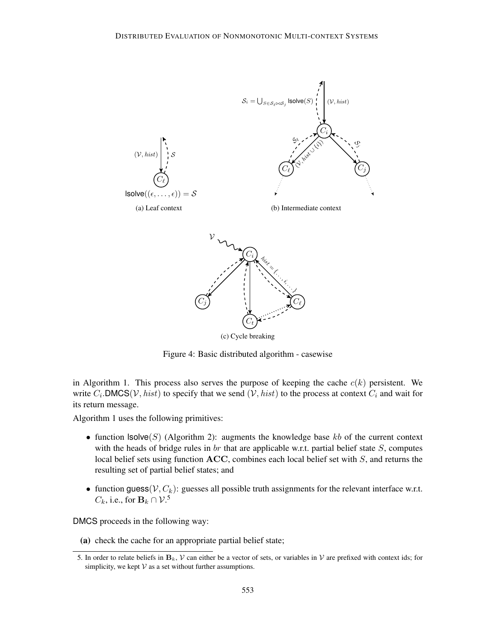

Figure 4: Basic distributed algorithm - casewise

in Algorithm 1. This process also serves the purpose of keeping the cache  $c(k)$  persistent. We write  $C_i$ .DMCS(*V*, *hist*) to specify that we send (*V*, *hist*) to the process at context  $C_i$  and wait for its return message.

Algorithm 1 uses the following primitives:

- function  $\textsf{lsolve}(S)$  (Algorithm 2): augments the knowledge base kb of the current context with the heads of bridge rules in  $br$  that are applicable w.r.t. partial belief state  $S$ , computes local belief sets using function ACC, combines each local belief set with S, and returns the resulting set of partial belief states; and
- function guess( $V, C_k$ ): guesses all possible truth assignments for the relevant interface w.r.t.  $C_k$ , i.e., for  $\mathbf{B}_k \cap \mathcal{V}$ .<sup>5</sup>

DMCS proceeds in the following way:

(a) check the cache for an appropriate partial belief state;

<sup>5.</sup> In order to relate beliefs in  $B_k$ , V can either be a vector of sets, or variables in V are prefixed with context ids; for simplicity, we kept  $V$  as a set without further assumptions.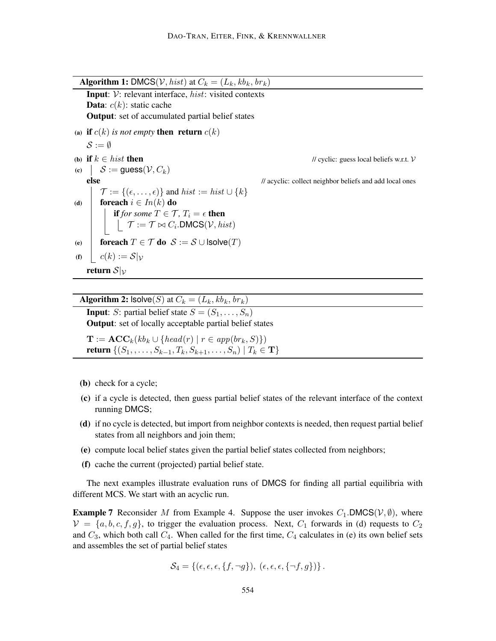**Algorithm 1:** DMCS(*V*, *hist*) at  $C_k = (L_k, kb_k, br_k)$ Input: V: relevant interface, hist: visited contexts **Data**:  $c(k)$ : static cache Output: set of accumulated partial belief states (a) if  $c(k)$  *is not empty* then return  $c(k)$  $\mathcal{S} := \emptyset$ (b) if  $k \in \text{hist}$  then  $\blacksquare$  // cyclic: guess local beliefs w.r.t.  $\mathcal V$ (c)  $S := \text{guess}(\mathcal{V}, C_k)$ else // acyclic: collect neighbor beliefs and add local ones  $\mathcal{T} := \{ (\epsilon, \ldots, \epsilon) \}$  and  $hist := hist \cup \{k\}$ (d) foreach  $i \in In(k)$  do **if** *for some*  $T \in \mathcal{T}$ *,*  $T_i = \epsilon$  **then**  $\mathcal{T} := \mathcal{T} \bowtie C_i$ .DMCS $(\mathcal{V}, \textit{hist})$ (e) for each  $T \in \mathcal{T}$  do  $\mathcal{S} := \mathcal{S} \cup \textsf{Isolve}(T)$ (f)  $\mid$   $c(k) := S|_{\mathcal{V}}$ return  $S|_{\mathcal{V}}$ 

Algorithm 2:  $\textsf{lsolve}(S)$  at  $C_k = (L_k, kb_k, br_k)$ 

**Input**: S: partial belief state  $S = (S_1, \ldots, S_n)$ **Output:** set of locally acceptable partial belief states

 $\mathbf{T} := \mathbf{ACC}_k(kb_k \cup \{head(r) \mid r \in app(br_k, S)\})$ return  $\{(S_1, \ldots, S_{k-1}, T_k, S_{k+1}, \ldots, S_n) | T_k \in \mathbf{T}\}\$ 

- (b) check for a cycle;
- (c) if a cycle is detected, then guess partial belief states of the relevant interface of the context running DMCS;
- (d) if no cycle is detected, but import from neighbor contexts is needed, then request partial belief states from all neighbors and join them;
- (e) compute local belief states given the partial belief states collected from neighbors;
- (f) cache the current (projected) partial belief state.

The next examples illustrate evaluation runs of DMCS for finding all partial equilibria with different MCS. We start with an acyclic run.

**Example 7** Reconsider M from Example 4. Suppose the user invokes  $C_1$ . DMCS( $V, \emptyset$ ), where  $V = \{a, b, c, f, g\}$ , to trigger the evaluation process. Next,  $C_1$  forwards in (d) requests to  $C_2$ and  $C_3$ , which both call  $C_4$ . When called for the first time,  $C_4$  calculates in (e) its own belief sets and assembles the set of partial belief states

$$
\mathcal{S}_4 = \{ (\epsilon, \epsilon, \epsilon, \{f, \neg g\}), \ (\epsilon, \epsilon, \epsilon, \{\neg f, g\}) \}.
$$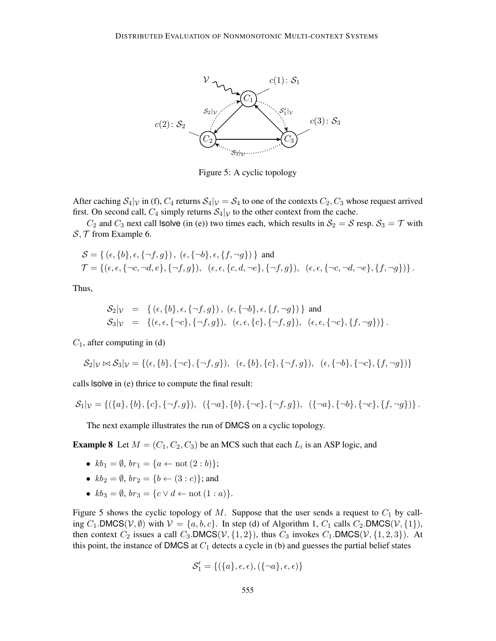

Figure 5: A cyclic topology

After caching  $S_4|_V$  in (f),  $C_4$  returns  $S_4|_V = S_4$  to one of the contexts  $C_2, C_3$  whose request arrived first. On second call,  $C_4$  simply returns  $S_4|_V$  to the other context from the cache.

 $C_2$  and  $C_3$  next call lsolve (in (e)) two times each, which results in  $S_2 = S$  resp.  $S_3 = T$  with  $S, \mathcal{T}$  from Example 6.

$$
S = \{ (\epsilon, \{b\}, \epsilon, \{\neg f, g\}), (\epsilon, \{\neg b\}, \epsilon, \{f, \neg g\}) \} \text{ and}
$$
  

$$
\mathcal{T} = \{ (\epsilon, \epsilon, \{\neg c, \neg d, e\}, \{\neg f, g\}), (\epsilon, \epsilon, \{c, d, \neg e\}, \{\neg f, g\}), (\epsilon, \epsilon, \{\neg c, \neg d, \neg e\}, \{f, \neg g\}) \}.
$$

Thus,

$$
\begin{array}{rcl}\n\mathcal{S}_2|\mathcal{V} & = & \{(\epsilon, \{b\}, \epsilon, \{\neg f, g\}), \ (\epsilon, \{\neg b\}, \epsilon, \{f, \neg g\})\} \ \text{and} \\
\mathcal{S}_3|\mathcal{V} & = & \{(\epsilon, \epsilon, \{\neg c\}, \{\neg f, g\}), \ (\epsilon, \epsilon, \{c\}, \{\neg f, g\}), \ (\epsilon, \epsilon, \{\neg c\}, \{f, \neg g\})\} \,.\n\end{array}
$$

 $C_1$ , after computing in (d)

$$
\mathcal{S}_2|\mathcal{V}\bowtie\mathcal{S}_3|\mathcal{V} = \{(\epsilon,\{b\},\{\neg c\},\{\neg f,g\}),\ (\epsilon,\{b\},\{c\},\{\neg f,g\}),\ (\epsilon,\{\neg b\},\{\neg c\},\{f,\neg g\})\}\
$$

calls lsolve in (e) thrice to compute the final result:

$$
\mathcal{S}_1|_{\mathcal{V}} = \{(\{a\}, \{b\}, \{c\}, \{\neg f, g\}), \ (\{\neg a\}, \{b\}, \{\neg c\}, \{\neg f, g\}), \ (\{\neg a\}, \{\neg b\}, \{\neg c\}, \{f, \neg g\})\}.
$$

The next example illustrates the run of DMCS on a cyclic topology.

**Example 8** Let  $M = (C_1, C_2, C_3)$  be an MCS such that each  $L_i$  is an ASP logic, and

- $kb_1 = \emptyset$ ,  $br_1 = \{a \leftarrow not (2 : b)\};$
- $kb_2 = \emptyset$ ,  $br_2 = \{b \leftarrow (3 : c)\}$ ; and
- $kb_3 = \emptyset$ ,  $br_3 = \{c \lor d \leftarrow \text{not } (1 : a)\}.$

Figure 5 shows the cyclic topology of M. Suppose that the user sends a request to  $C_1$  by calling C<sub>1</sub>.DMCS( $V, \emptyset$ ) with  $V = \{a, b, c\}$ . In step (d) of Algorithm 1, C<sub>1</sub> calls C<sub>2</sub>.DMCS( $V, \{1\}$ ), then context  $C_2$  issues a call  $C_3$ . DMCS( $V$ ,  $\{1, 2\}$ ), thus  $C_3$  invokes  $C_1$ . DMCS( $V$ ,  $\{1, 2, 3\}$ ). At this point, the instance of DMCS at  $C_1$  detects a cycle in (b) and guesses the partial belief states

$$
\mathcal{S}'_1 = \{ (\{a\}, \epsilon, \epsilon), (\{\neg a\}, \epsilon, \epsilon) \}
$$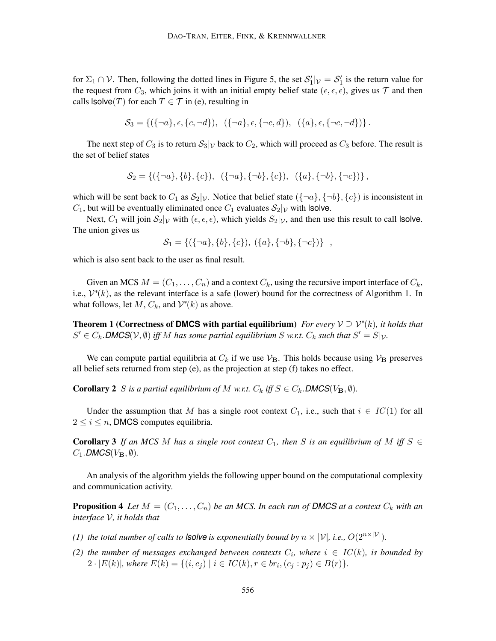for  $\Sigma_1 \cap V$ . Then, following the dotted lines in Figure 5, the set  $S'_1|_V = S'_1$  is the return value for the request from  $C_3$ , which joins it with an initial empty belief state  $(\epsilon, \epsilon, \epsilon)$ , gives us  $\mathcal T$  and then calls  $\textsf{lsolve}(T)$  for each  $T \in \mathcal{T}$  in (e), resulting in

$$
\mathcal{S}_3 = \{ (\{\neg a\}, \epsilon, \{c, \neg d\}), \ (\{\neg a\}, \epsilon, \{\neg c, d\}), \ (\{a\}, \epsilon, \{\neg c, \neg d\}) \}.
$$

The next step of  $C_3$  is to return  $S_3|_V$  back to  $C_2$ , which will proceed as  $C_3$  before. The result is the set of belief states

$$
\mathcal{S}_2 = \{ (\{\neg a\}, \{b\}, \{c\}), \ (\{\neg a\}, \{\neg b\}, \{c\}), \ (\{a\}, \{\neg b\}, \{\neg c\}) \},
$$

which will be sent back to  $C_1$  as  $S_2|\gamma$ . Notice that belief state  $({{\neg a}\},{{{\neg b}\},\{c\}})$  is inconsistent in  $C_1$ , but will be eventually eliminated once  $C_1$  evaluates  $S_2|_V$  with lsolve.

Next,  $C_1$  will join  $S_2|_V$  with  $(\epsilon, \epsilon, \epsilon)$ , which yields  $S_2|_V$ , and then use this result to call lsolve. The union gives us

$$
S_1 = \{ (\{\neg a\}, \{b\}, \{c\}), (\{a\}, \{\neg b\}, \{\neg c\}) \},
$$

which is also sent back to the user as final result.

Given an MCS  $M = (C_1, \ldots, C_n)$  and a context  $C_k$ , using the recursive import interface of  $C_k$ , i.e.,  $V^*(k)$ , as the relevant interface is a safe (lower) bound for the correctness of Algorithm 1. In what follows, let  $M$ ,  $C_k$ , and  $V^*(k)$  as above.

**Theorem 1 (Correctness of DMCS with partial equilibrium)** *For every*  $V \supseteq V^*(k)$ *, it holds that*  $S' \in C_k$ . **DMCS**( $V$ ,  $\emptyset$ ) *iff* M has some partial equilibrium S w.r.t.  $C_k$  such that  $S' = S|_{V}$ .

We can compute partial equilibria at  $C_k$  if we use  $V_B$ . This holds because using  $V_B$  preserves all belief sets returned from step (e), as the projection at step (f) takes no effect.

**Corollary 2** S is a partial equilibrium of M w.r.t.  $C_k$  iff  $S \in C_k$ . **DMCS**( $V_B$ ,  $\emptyset$ ).

Under the assumption that M has a single root context  $C_1$ , i.e., such that  $i \in IC(1)$  for all  $2 \leq i \leq n$ , DMCS computes equilibria.

**Corollary 3** If an MCS M has a single root context  $C_1$ , then S is an equilibrium of M iff  $S \in$  $C_1$ *.* DMCS( $V_B$ ,  $\emptyset$ )*.* 

An analysis of the algorithm yields the following upper bound on the computational complexity and communication activity.

**Proposition 4** Let  $M = (C_1, \ldots, C_n)$  be an MCS. In each run of DMCS at a context  $C_k$  with an *interface* V*, it holds that*

- *(1) the total number of calls to <i>lsolve is exponentially bound by*  $n \times |\mathcal{V}|$ *, i.e.,*  $O(2^{n \times |\mathcal{V}|})$ *.*
- (2) the number of messages exchanged between contexts  $C_i$ , where  $i \in IC(k)$ , is bounded by  $2 \cdot |E(k)|$ , where  $E(k) = \{(i, c_j) \mid i \in IC(k), r \in br_i, (c_j : p_j) \in B(r)\}.$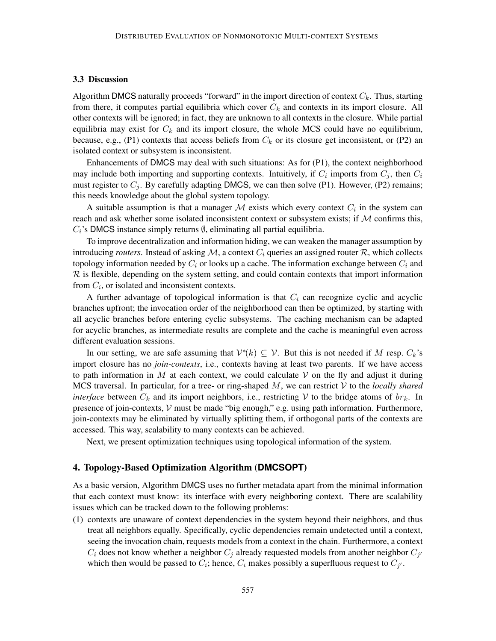### 3.3 Discussion

Algorithm DMCS naturally proceeds "forward" in the import direction of context  $C_k$ . Thus, starting from there, it computes partial equilibria which cover  $C_k$  and contexts in its import closure. All other contexts will be ignored; in fact, they are unknown to all contexts in the closure. While partial equilibria may exist for  $C_k$  and its import closure, the whole MCS could have no equilibrium, because, e.g., (P1) contexts that access beliefs from  $C_k$  or its closure get inconsistent, or (P2) an isolated context or subsystem is inconsistent.

Enhancements of DMCS may deal with such situations: As for (P1), the context neighborhood may include both importing and supporting contexts. Intuitively, if  $C_i$  imports from  $C_j$ , then  $C_i$ must register to  $C_i$ . By carefully adapting DMCS, we can then solve (P1). However, (P2) remains; this needs knowledge about the global system topology.

A suitable assumption is that a manager M exists which every context  $C_i$  in the system can reach and ask whether some isolated inconsistent context or subsystem exists; if  $M$  confirms this,  $C_i$ 's DMCS instance simply returns  $\emptyset$ , eliminating all partial equilibria.

To improve decentralization and information hiding, we can weaken the manager assumption by introducing *routers*. Instead of asking  $M$ , a context  $C_i$  queries an assigned router  $\mathcal{R}$ , which collects topology information needed by  $C_i$  or looks up a cache. The information exchange between  $C_i$  and  $R$  is flexible, depending on the system setting, and could contain contexts that import information from  $C_i$ , or isolated and inconsistent contexts.

A further advantage of topological information is that  $C<sub>i</sub>$  can recognize cyclic and acyclic branches upfront; the invocation order of the neighborhood can then be optimized, by starting with all acyclic branches before entering cyclic subsystems. The caching mechanism can be adapted for acyclic branches, as intermediate results are complete and the cache is meaningful even across different evaluation sessions.

In our setting, we are safe assuming that  $\mathcal{V}^*(k) \subseteq \mathcal{V}$ . But this is not needed if M resp.  $C_k$ 's import closure has no *join-contexts*, i.e., contexts having at least two parents. If we have access to path information in M at each context, we could calculate V on the fly and adjust it during MCS traversal. In particular, for a tree- or ring-shaped  $M$ , we can restrict  $V$  to the *locally shared interface* between  $C_k$  and its import neighbors, i.e., restricting V to the bridge atoms of  $br_k$ . In presence of join-contexts,  $V$  must be made "big enough," e.g. using path information. Furthermore, join-contexts may be eliminated by virtually splitting them, if orthogonal parts of the contexts are accessed. This way, scalability to many contexts can be achieved.

Next, we present optimization techniques using topological information of the system.

# 4. Topology-Based Optimization Algorithm (**DMCSOPT**)

As a basic version, Algorithm DMCS uses no further metadata apart from the minimal information that each context must know: its interface with every neighboring context. There are scalability issues which can be tracked down to the following problems:

(1) contexts are unaware of context dependencies in the system beyond their neighbors, and thus treat all neighbors equally. Specifically, cyclic dependencies remain undetected until a context, seeing the invocation chain, requests models from a context in the chain. Furthermore, a context  $C_i$  does not know whether a neighbor  $C_j$  already requested models from another neighbor  $C_{j'}$ which then would be passed to  $C_i$ ; hence,  $C_i$  makes possibly a superfluous request to  $C_{j'}$ .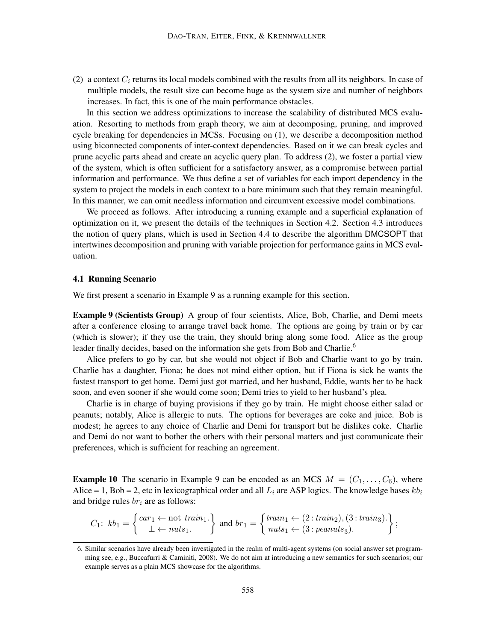(2) a context  $C_i$  returns its local models combined with the results from all its neighbors. In case of multiple models, the result size can become huge as the system size and number of neighbors increases. In fact, this is one of the main performance obstacles.

In this section we address optimizations to increase the scalability of distributed MCS evaluation. Resorting to methods from graph theory, we aim at decomposing, pruning, and improved cycle breaking for dependencies in MCSs. Focusing on (1), we describe a decomposition method using biconnected components of inter-context dependencies. Based on it we can break cycles and prune acyclic parts ahead and create an acyclic query plan. To address (2), we foster a partial view of the system, which is often sufficient for a satisfactory answer, as a compromise between partial information and performance. We thus define a set of variables for each import dependency in the system to project the models in each context to a bare minimum such that they remain meaningful. In this manner, we can omit needless information and circumvent excessive model combinations.

We proceed as follows. After introducing a running example and a superficial explanation of optimization on it, we present the details of the techniques in Section 4.2. Section 4.3 introduces the notion of query plans, which is used in Section 4.4 to describe the algorithm DMCSOPT that intertwines decomposition and pruning with variable projection for performance gains in MCS evaluation.

#### 4.1 Running Scenario

We first present a scenario in Example 9 as a running example for this section.

Example 9 (Scientists Group) A group of four scientists, Alice, Bob, Charlie, and Demi meets after a conference closing to arrange travel back home. The options are going by train or by car (which is slower); if they use the train, they should bring along some food. Alice as the group leader finally decides, based on the information she gets from Bob and Charlie.<sup>6</sup>

Alice prefers to go by car, but she would not object if Bob and Charlie want to go by train. Charlie has a daughter, Fiona; he does not mind either option, but if Fiona is sick he wants the fastest transport to get home. Demi just got married, and her husband, Eddie, wants her to be back soon, and even sooner if she would come soon; Demi tries to yield to her husband's plea.

Charlie is in charge of buying provisions if they go by train. He might choose either salad or peanuts; notably, Alice is allergic to nuts. The options for beverages are coke and juice. Bob is modest; he agrees to any choice of Charlie and Demi for transport but he dislikes coke. Charlie and Demi do not want to bother the others with their personal matters and just communicate their preferences, which is sufficient for reaching an agreement.

**Example 10** The scenario in Example 9 can be encoded as an MCS  $M = (C_1, \ldots, C_6)$ , where Alice = 1, Bob = 2, etc in lexicographical order and all  $L_i$  are ASP logics. The knowledge bases  $kb_i$ and bridge rules  $br_i$  are as follows:

$$
C_1: kb_1 = \begin{cases} car_1 \leftarrow not \; train_1. \\ \perp \leftarrow \; nuts_1. \end{cases} \text{ and } br_1 = \begin{cases} train_1 \leftarrow (2: train_2), (3: train_3). \\ nuts_1 \leftarrow (3: peanus_3). \end{cases};
$$

<sup>6.</sup> Similar scenarios have already been investigated in the realm of multi-agent systems (on social answer set programming see, e.g., Buccafurri & Caminiti, 2008). We do not aim at introducing a new semantics for such scenarios; our example serves as a plain MCS showcase for the algorithms.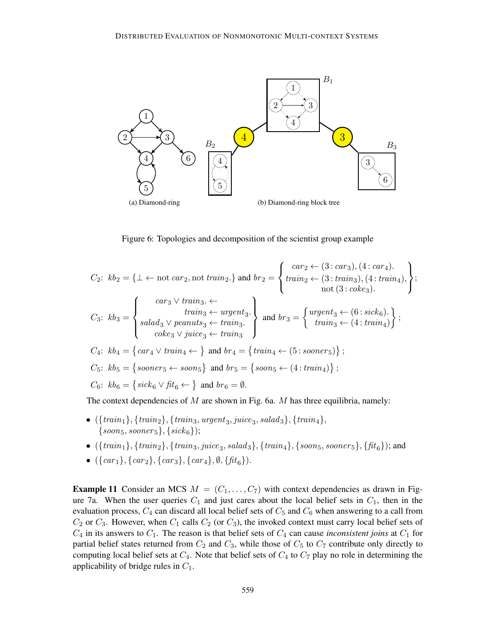

Figure 6: Topologies and decomposition of the scientist group example

$$
C_2: kb_2 = \{\bot \leftarrow \text{not } car_2, \text{not } train_2.\} \text{ and } br_2 = \left\{ \begin{aligned} & car_2 \leftarrow (3: car_3), (4: car_4). \\ & train_3 \leftarrow (3: train_3), (4: train_4), \\ & \text{not } (3: coke_3). \end{aligned} \right\};
$$
\n
$$
C_3: kb_3 = \left\{ \begin{aligned} & car_3 \vee train_3 \leftarrow \\ & train_3 \leftarrow target_3 \\ & claim_3 \leftarrow train_3. \\ & coke_3 \vee juice_3 \leftarrow train_3 \end{aligned} \right\} \text{ and } br_3 = \left\{ \begin{aligned} & argent_3 \leftarrow (6: sick_6). \\ & train_3 \leftarrow (4: train_4) \end{aligned} \right\};
$$
\n
$$
C_4: kb_4 = \left\{ car_4 \vee train_4 \leftarrow \right\} \text{ and } br_4 = \left\{ train_4 \leftarrow (5: sooner_5) \right\};
$$
\n
$$
C_5: kb_5 = \left\{ sooner_5 \leftarrow soon_5\} \text{ and } br_5 = \left\{soon_5 \leftarrow (4: train_4) \right\};
$$
\n
$$
C_6: kb_6 = \left\{site_6 \vee fit_6 \leftarrow \right\} \text{ and } br_6 = \emptyset.
$$

The context dependencies of  $M$  are shown in Fig. 6a.  $M$  has three equilibria, namely:

- $({\{train_1\}, \{train_2\}, \{train_3, \text{upper}_3, \text{julce}_3, \text{salad}_3\}, \{train_4\},$  $\{soon_5, sooner_5\}, \{sick_6\});$
- $({\{train_1\}, \{train_2\}, \{train_3, juice_3, salad_3\}, \{train_4\}, \{soon_5, sooner_5\}, \{fit_6\}});$  and
- $({\{car_1\}, \{car_2\}, \{car_3\}, \{car_4\}, \emptyset, \{fit_6\})}.$

**Example 11** Consider an MCS  $M = (C_1, \ldots, C_7)$  with context dependencies as drawn in Figure 7a. When the user queries  $C_1$  and just cares about the local belief sets in  $C_1$ , then in the evaluation process,  $C_4$  can discard all local belief sets of  $C_5$  and  $C_6$  when answering to a call from  $C_2$  or  $C_3$ . However, when  $C_1$  calls  $C_2$  (or  $C_3$ ), the invoked context must carry local belief sets of  $C_4$  in its answers to  $C_1$ . The reason is that belief sets of  $C_4$  can cause *inconsistent joins* at  $C_1$  for partial belief states returned from  $C_2$  and  $C_3$ , while those of  $C_5$  to  $C_7$  contribute only directly to computing local belief sets at  $C_4$ . Note that belief sets of  $C_4$  to  $C_7$  play no role in determining the applicability of bridge rules in  $C_1$ .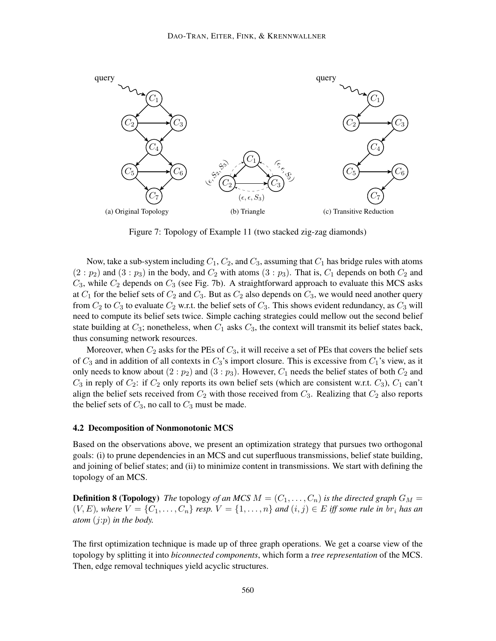

Figure 7: Topology of Example 11 (two stacked zig-zag diamonds)

Now, take a sub-system including  $C_1$ ,  $C_2$ , and  $C_3$ , assuming that  $C_1$  has bridge rules with atoms  $(2:p_2)$  and  $(3:p_3)$  in the body, and  $C_2$  with atoms  $(3:p_3)$ . That is,  $C_1$  depends on both  $C_2$  and  $C_3$ , while  $C_2$  depends on  $C_3$  (see Fig. 7b). A straightforward approach to evaluate this MCS asks at  $C_1$  for the belief sets of  $C_2$  and  $C_3$ . But as  $C_2$  also depends on  $C_3$ , we would need another query from  $C_2$  to  $C_3$  to evaluate  $C_2$  w.r.t. the belief sets of  $C_3$ . This shows evident redundancy, as  $C_3$  will need to compute its belief sets twice. Simple caching strategies could mellow out the second belief state building at  $C_3$ ; nonetheless, when  $C_1$  asks  $C_3$ , the context will transmit its belief states back, thus consuming network resources.

Moreover, when  $C_2$  asks for the PEs of  $C_3$ , it will receive a set of PEs that covers the belief sets of  $C_3$  and in addition of all contexts in  $C_3$ 's import closure. This is excessive from  $C_1$ 's view, as it only needs to know about  $(2:p_2)$  and  $(3:p_3)$ . However,  $C_1$  needs the belief states of both  $C_2$  and  $C_3$  in reply of  $C_2$ : if  $C_2$  only reports its own belief sets (which are consistent w.r.t.  $C_3$ ),  $C_1$  can't align the belief sets received from  $C_2$  with those received from  $C_3$ . Realizing that  $C_2$  also reports the belief sets of  $C_3$ , no call to  $C_3$  must be made.

### 4.2 Decomposition of Nonmonotonic MCS

Based on the observations above, we present an optimization strategy that pursues two orthogonal goals: (i) to prune dependencies in an MCS and cut superfluous transmissions, belief state building, and joining of belief states; and (ii) to minimize content in transmissions. We start with defining the topology of an MCS.

**Definition 8 (Topology)** *The* topology *of an MCS*  $M = (C_1, \ldots, C_n)$  *is the directed graph*  $G_M =$  $(V, E)$ *, where*  $V = \{C_1, \ldots, C_n\}$  *resp.*  $V = \{1, \ldots, n\}$  *and*  $(i, j) \in E$  *iff some rule in*  $br_i$  *has an atom* (j:p) *in the body.*

The first optimization technique is made up of three graph operations. We get a coarse view of the topology by splitting it into *biconnected components*, which form a *tree representation* of the MCS. Then, edge removal techniques yield acyclic structures.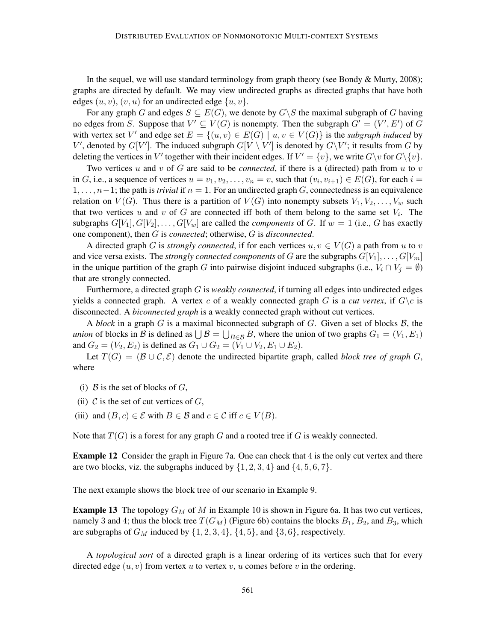In the sequel, we will use standard terminology from graph theory (see Bondy & Murty, 2008); graphs are directed by default. We may view undirected graphs as directed graphs that have both edges  $(u, v)$ ,  $(v, u)$  for an undirected edge  $\{u, v\}$ .

For any graph G and edges  $S \subseteq E(G)$ , we denote by  $G \backslash S$  the maximal subgraph of G having no edges from S. Suppose that  $V' \subseteq V(G)$  is nonempty. Then the subgraph  $G' = (V', E')$  of G with vertex set V' and edge set  $E = \{(u, v) \in E(G) \mid u, v \in V(G)\}\$ is the *subgraph induced* by V', denoted by  $G[V']$ . The induced subgraph  $G[V \setminus V']$  is denoted by  $G\setminus V'$ ; it results from G by deleting the vertices in V' together with their incident edges. If  $V' = \{v\}$ , we write  $G\backslash v$  for  $G\backslash \{v\}$ .

Two vertices u and v of G are said to be *connected*, if there is a (directed) path from u to v in G, i.e., a sequence of vertices  $u = v_1, v_2, \dots, v_n = v$ , such that  $(v_i, v_{i+1}) \in E(G)$ , for each  $i =$  $1, \ldots, n-1$ ; the path is *trivial* if  $n = 1$ . For an undirected graph G, connectedness is an equivalence relation on  $V(G)$ . Thus there is a partition of  $V(G)$  into nonempty subsets  $V_1, V_2, \ldots, V_w$  such that two vertices u and v of G are connected iff both of them belong to the same set  $V_i$ . The subgraphs  $G[V_1], G[V_2], \ldots, G[V_w]$  are called the *components* of G. If  $w = 1$  (i.e., G has exactly one component), then G is *connected*; otherwise, G is *disconnected*.

A directed graph G is *strongly connected*, if for each vertices  $u, v \in V(G)$  a path from u to v and vice versa exists. The *strongly connected components* of G are the subgraphs  $G[V_1], \ldots, G[V_m]$ in the unique partition of the graph G into pairwise disjoint induced subgraphs (i.e.,  $V_i \cap V_j = \emptyset$ ) that are strongly connected.

Furthermore, a directed graph G is *weakly connected*, if turning all edges into undirected edges yields a connected graph. A vertex c of a weakly connected graph G is a *cut vertex*, if  $G \backslash c$  is disconnected. A *biconnected graph* is a weakly connected graph without cut vertices.

A *block* in a graph  $G$  is a maximal biconnected subgraph of  $G$ . Given a set of blocks  $B$ , the *union* of blocks in B is defined as  $\bigcup B = \bigcup_{B \in \mathcal{B}} B$ , where the union of two graphs  $G_1 = (V_1, E_1)$ and  $G_2 = (V_2, E_2)$  is defined as  $G_1 \cup G_2 = (V_1 \cup V_2, E_1 \cup E_2)$ .

Let  $T(G) = (B \cup C, \mathcal{E})$  denote the undirected bipartite graph, called *block tree of graph* G, where

- (i)  $\beta$  is the set of blocks of  $G$ ,
- (ii)  $C$  is the set of cut vertices of  $G$ .
- (iii) and  $(B, c) \in \mathcal{E}$  with  $B \in \mathcal{B}$  and  $c \in \mathcal{C}$  iff  $c \in V(B)$ .

Note that  $T(G)$  is a forest for any graph G and a rooted tree if G is weakly connected.

**Example 12** Consider the graph in Figure 7a. One can check that 4 is the only cut vertex and there are two blocks, viz. the subgraphs induced by  $\{1, 2, 3, 4\}$  and  $\{4, 5, 6, 7\}$ .

The next example shows the block tree of our scenario in Example 9.

**Example 13** The topology  $G_M$  of M in Example 10 is shown in Figure 6a. It has two cut vertices, namely 3 and 4; thus the block tree  $T(G_M)$  (Figure 6b) contains the blocks  $B_1$ ,  $B_2$ , and  $B_3$ , which are subgraphs of  $G_M$  induced by  $\{1, 2, 3, 4\}$ ,  $\{4, 5\}$ , and  $\{3, 6\}$ , respectively.

A *topological sort* of a directed graph is a linear ordering of its vertices such that for every directed edge  $(u, v)$  from vertex u to vertex v, u comes before v in the ordering.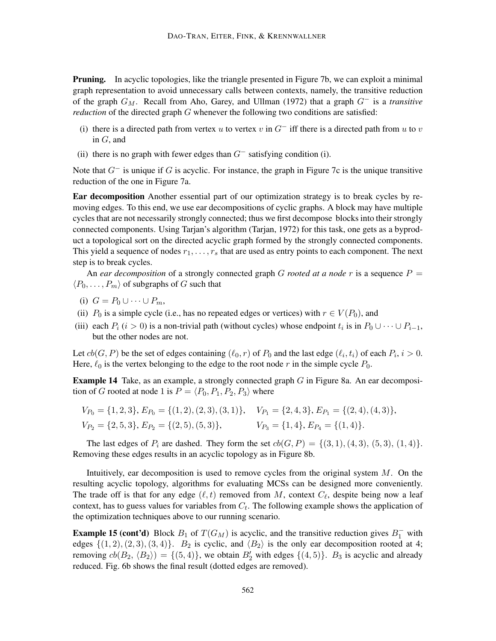**Pruning.** In acyclic topologies, like the triangle presented in Figure 7b, we can exploit a minimal graph representation to avoid unnecessary calls between contexts, namely, the transitive reduction of the graph GM. Recall from Aho, Garey, and Ullman (1972) that a graph G<sup>−</sup> is a *transitive reduction* of the directed graph G whenever the following two conditions are satisfied:

- (i) there is a directed path from vertex u to vertex v in  $G^-$  iff there is a directed path from u to v in  $G$ , and
- (ii) there is no graph with fewer edges than  $G^-$  satisfying condition (i).

Note that  $G^-$  is unique if G is acyclic. For instance, the graph in Figure 7c is the unique transitive reduction of the one in Figure 7a.

Ear decomposition Another essential part of our optimization strategy is to break cycles by removing edges. To this end, we use ear decompositions of cyclic graphs. A block may have multiple cycles that are not necessarily strongly connected; thus we first decompose blocks into their strongly connected components. Using Tarjan's algorithm (Tarjan, 1972) for this task, one gets as a byproduct a topological sort on the directed acyclic graph formed by the strongly connected components. This yield a sequence of nodes  $r_1, \ldots, r_s$  that are used as entry points to each component. The next step is to break cycles.

An *ear decomposition* of a strongly connected graph G *rooted at a node* r is a sequence  $P =$  $\langle P_0, \ldots, P_m \rangle$  of subgraphs of G such that

- (i)  $G = P_0 \cup \cdots \cup P_m$ ,
- (ii)  $P_0$  is a simple cycle (i.e., has no repeated edges or vertices) with  $r \in V(P_0)$ , and
- (iii) each  $P_i$  ( $i > 0$ ) is a non-trivial path (without cycles) whose endpoint  $t_i$  is in  $P_0 \cup \cdots \cup P_{i-1}$ , but the other nodes are not.

Let  $cb(G, P)$  be the set of edges containing  $(\ell_0, r)$  of  $P_0$  and the last edge  $(\ell_i, t_i)$  of each  $P_i$ ,  $i > 0$ . Here,  $\ell_0$  is the vertex belonging to the edge to the root node r in the simple cycle  $P_0$ .

**Example 14** Take, as an example, a strongly connected graph  $G$  in Figure 8a. An ear decomposition of G rooted at node 1 is  $P = \langle P_0, P_1, P_2, P_3 \rangle$  where

$$
V_{P_0} = \{1, 2, 3\}, E_{P_0} = \{(1, 2), (2, 3), (3, 1)\}, \quad V_{P_1} = \{2, 4, 3\}, E_{P_1} = \{(2, 4), (4, 3)\},
$$
  
\n
$$
V_{P_2} = \{2, 5, 3\}, E_{P_2} = \{(2, 5), (5, 3)\}, \quad V_{P_3} = \{1, 4\}, E_{P_4} = \{(1, 4)\}.
$$

The last edges of  $P_i$  are dashed. They form the set  $cb(G, P) = \{(3, 1), (4, 3), (5, 3), (1, 4)\}.$ Removing these edges results in an acyclic topology as in Figure 8b.

Intuitively, ear decomposition is used to remove cycles from the original system  $M$ . On the resulting acyclic topology, algorithms for evaluating MCSs can be designed more conveniently. The trade off is that for any edge  $(\ell, t)$  removed from M, context  $C_{\ell}$ , despite being now a leaf context, has to guess values for variables from  $C_t$ . The following example shows the application of the optimization techniques above to our running scenario.

**Example 15 (cont'd)** Block  $B_1$  of  $T(G_M)$  is acyclic, and the transitive reduction gives  $B_1^-$  with edges  $\{(1, 2), (2, 3), (3, 4)\}.$  B<sub>2</sub> is cyclic, and  $\langle B_2 \rangle$  is the only ear decomposition rooted at 4; removing  $cb(B_2, \langle B_2 \rangle) = \{(5, 4)\}\$ , we obtain  $B_2'$  with edges  $\{(4, 5)\}\$ .  $B_3$  is acyclic and already reduced. Fig. 6b shows the final result (dotted edges are removed).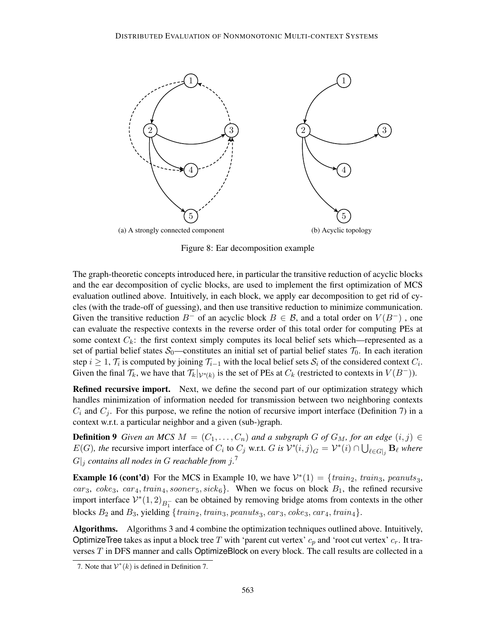

Figure 8: Ear decomposition example

The graph-theoretic concepts introduced here, in particular the transitive reduction of acyclic blocks and the ear decomposition of cyclic blocks, are used to implement the first optimization of MCS evaluation outlined above. Intuitively, in each block, we apply ear decomposition to get rid of cycles (with the trade-off of guessing), and then use transitive reduction to minimize communication. Given the transitive reduction  $B^-$  of an acyclic block  $B \in \mathcal{B}$ , and a total order on  $V(B^-)$ , one can evaluate the respective contexts in the reverse order of this total order for computing PEs at some context  $C_k$ : the first context simply computes its local belief sets which—represented as a set of partial belief states  $S_0$ —constitutes an initial set of partial belief states  $T_0$ . In each iteration step  $i \geq 1$ ,  $\mathcal{T}_i$  is computed by joining  $\mathcal{T}_{i-1}$  with the local belief sets  $\mathcal{S}_i$  of the considered context  $C_i$ . Given the final  $\mathcal{T}_k$ , we have that  $\mathcal{T}_k|_{\mathcal{V}^*(k)}$  is the set of PEs at  $C_k$  (restricted to contexts in  $V(B^-)$ ).

**Refined recursive import.** Next, we define the second part of our optimization strategy which handles minimization of information needed for transmission between two neighboring contexts  $C_i$  and  $C_j$ . For this purpose, we refine the notion of recursive import interface (Definition 7) in a context w.r.t. a particular neighbor and a given (sub-)graph.

**Definition 9** *Given an MCS*  $M = (C_1, \ldots, C_n)$  *and a subgraph G of*  $G_M$ *, for an edge*  $(i, j) \in$  $E(G)$ , the recursive import interface of  $C_i$  to  $C_j$  w.r.t. G is  $\mathcal{V}^*(i,j)_G = \mathcal{V}^*(i) \cap \bigcup_{\ell \in G|_j} \mathbf{B}_\ell$  where  $|G|_j$  contains all nodes in  $G$  reachable from  $j$ .<sup>7</sup>

**Example 16 (cont'd)** For the MCS in Example 10, we have  $V^*(1) = \{train_2, train_3, pennuts_3, \}$ car<sub>3</sub>, coke<sub>3</sub>, car<sub>4</sub>, train<sub>4</sub>, sooner<sub>5</sub>, sick<sub>6</sub>}. When we focus on block  $B_1$ , the refined recursive import interface  $V^*(1,2)_{B_1^-}$  can be obtained by removing bridge atoms from contexts in the other blocks  $B_2$  and  $B_3$ , yielding  $\{train_2, train_3,~penuts_3,~car_3,~coke_3,~car_4,~train_4\}.$ 

Algorithms. Algorithms 3 and 4 combine the optimization techniques outlined above. Intuitively, OptimizeTree takes as input a block tree T with 'parent cut vertex'  $c_p$  and 'root cut vertex'  $c_r$ . It traverses  $T$  in DFS manner and calls OptimizeBlock on every block. The call results are collected in a

<sup>7.</sup> Note that  $V^*(k)$  is defined in Definition 7.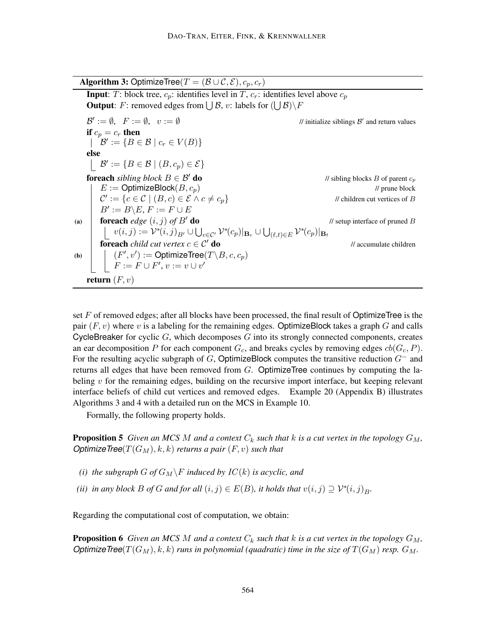Algorithm 3: OptimizeTree( $T = (\mathcal{B} \cup \mathcal{C}, \mathcal{E}), c_p, c_r$ )

**Input:** T: block tree,  $c_p$ : identifies level in T,  $c_r$ : identifies level above  $c_p$ **Output**: F: removed edges from  $\bigcup \mathcal{B}$ , v: labels for  $(\bigcup \mathcal{B})\backslash F$  $\mathcal{B}' := \emptyset$ ,  $F := \emptyset$ ,  $v := \emptyset$  // initialize siblings  $\mathcal{B}$ ' and return values if  $c_p = c_r$  then  $\mathcal{B}' := \{ B \in \mathcal{B} \mid c_r \in V(B) \}$ else  $\mathcal{B}' := \{ B \in \mathcal{B} \mid (B, c_p) \in \mathcal{E} \}$ **foreach** *sibling block*  $B \in \mathcal{B}'$  **do** // sibling blocks B of parent  $c_p$  $E := \text{OptimizeBlock}(B, c_p)$  // prune block  $\mathcal{C}' := \{c \in \mathcal{C} \mid (B,c) \in \mathcal{E} \land c \neq c_p\}$  // children cut vertices of B  $B' := B \backslash E, F := F \cup E$ (a) **foreach**  $edge(i, j)$  of  $B'$  **do** // setup interface of pruned B  $v(i, j) := \mathcal{V}^*(i, j)_{B'} \cup \bigcup_{c \in C'} \mathcal{V}^*(c_p)|_{\mathbf{B}_c} \cup \bigcup_{(\ell, t) \in E} \mathcal{V}^*(c_p)|_{\mathbf{B}_t}$ **for each** *child cut vertex*  $c \in C'$  **do** *// accumulate children* (b)  $| \quad | \quad (F', v') := \mathsf{OptimizeTree}(T \backslash B, c, c_p)$  $F := F \cup F', v := v \cup v'$ return  $(F, v)$ 

set F of removed edges; after all blocks have been processed, the final result of OptimizeTree is the pair  $(F, v)$  where v is a labeling for the remaining edges. OptimizeBlock takes a graph G and calls CycleBreaker for cyclic  $G$ , which decomposes  $G$  into its strongly connected components, creates an ear decomposition P for each component  $G_c$ , and breaks cycles by removing edges  $cb(G_c, P)$ . For the resulting acyclic subgraph of G, OptimizeBlock computes the transitive reduction  $G^-$  and returns all edges that have been removed from  $G$ . OptimizeTree continues by computing the labeling  $v$  for the remaining edges, building on the recursive import interface, but keeping relevant interface beliefs of child cut vertices and removed edges. Example 20 (Appendix B) illustrates Algorithms 3 and 4 with a detailed run on the MCS in Example 10.

Formally, the following property holds.

**Proposition 5** Given an MCS M and a context  $C_k$  such that k is a cut vertex in the topology  $G_M$ , *OptimizeTree*( $T(G_M)$ , k, k) *returns a pair* (*F*, *v*) *such that* 

- *(i) the subgraph G of*  $G_M \ F$  *induced by IC*(*k*) *is acyclic, and*
- *(ii) in any block*  $B$  *of*  $G$  *and for all*  $(i, j) \in E(B)$ *, it holds that*  $v(i, j) \supseteq V^*(i, j)_B$ *.*

Regarding the computational cost of computation, we obtain:

**Proposition 6** Given an MCS M and a context  $C_k$  such that k is a cut vertex in the topology  $G_M$ , *OptimizeTree*( $T(G_M)$ , k, k) *runs in polynomial (quadratic) time in the size of*  $T(G_M)$  *resp.*  $G_M$ .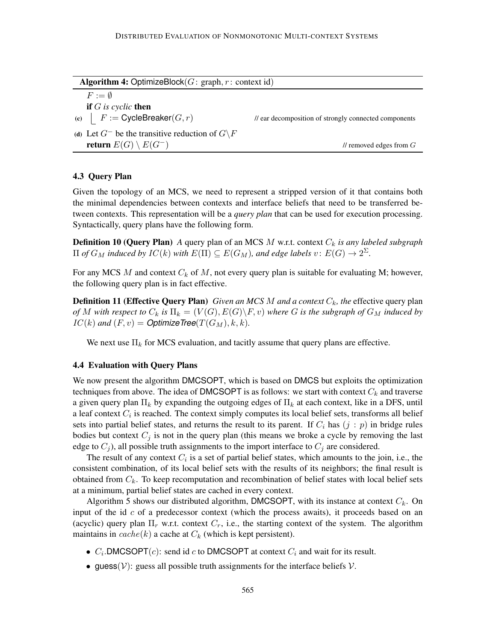| <b>Algorithm 4: OptimizeBlock</b> $(G: \text{graph}, r: \text{context id})$ |                                                       |  |  |  |  |
|-----------------------------------------------------------------------------|-------------------------------------------------------|--|--|--|--|
| $F := \emptyset$                                                            |                                                       |  |  |  |  |
| <b>if</b> $G$ is cyclic <b>then</b>                                         |                                                       |  |  |  |  |
| (c) $\mid$ F := CycleBreaker $(G, r)$                                       | // ear decomposition of strongly connected components |  |  |  |  |
| (d) Let $G^-$ be the transitive reduction of $G \backslash F$               |                                                       |  |  |  |  |
| return $E(G) \setminus E(G^-)$                                              | $\ell$ removed edges from $G$                         |  |  |  |  |
|                                                                             |                                                       |  |  |  |  |

### 4.3 Query Plan

Given the topology of an MCS, we need to represent a stripped version of it that contains both the minimal dependencies between contexts and interface beliefs that need to be transferred between contexts. This representation will be a *query plan* that can be used for execution processing. Syntactically, query plans have the following form.

**Definition 10 (Query Plan)** *A* query plan of an MCS *M* w.r.t. context  $C_k$  *is any labeled subgraph*  $\Pi$  *of*  $G_M$  *induced by*  $IC(k)$  *with*  $E(\Pi) \subseteq E(G_M)$ *, and edge labels*  $v: E(G) \rightarrow 2^{\Sigma}$ *.* 

For any MCS M and context  $C_k$  of M, not every query plan is suitable for evaluating M; however, the following query plan is in fact effective.

**Definition 11 (Effective Query Plan)** *Given an MCS M and a context*  $C_k$ *, the* effective query plan *of* M with respect to  $C_k$  is  $\Pi_k = (V(G), E(G) \backslash F, v)$  where G is the subgraph of  $G_M$  induced by  $IC(k)$  and  $(F, v) =$  *Optimize Tree* $(T(G_M), k, k)$ *.* 

We next use  $\Pi_k$  for MCS evaluation, and tacitly assume that query plans are effective.

### 4.4 Evaluation with Query Plans

We now present the algorithm DMCSOPT, which is based on DMCS but exploits the optimization techniques from above. The idea of DMCSOPT is as follows: we start with context  $C_k$  and traverse a given query plan  $\Pi_k$  by expanding the outgoing edges of  $\Pi_k$  at each context, like in a DFS, until a leaf context  $C_i$  is reached. The context simply computes its local belief sets, transforms all belief sets into partial belief states, and returns the result to its parent. If  $C_i$  has  $(j : p)$  in bridge rules bodies but context  $C_j$  is not in the query plan (this means we broke a cycle by removing the last edge to  $C_i$ ), all possible truth assignments to the import interface to  $C_i$  are considered.

The result of any context  $C_i$  is a set of partial belief states, which amounts to the join, i.e., the consistent combination, of its local belief sets with the results of its neighbors; the final result is obtained from  $C_k$ . To keep recomputation and recombination of belief states with local belief sets at a minimum, partial belief states are cached in every context.

Algorithm 5 shows our distributed algorithm, DMCSOPT, with its instance at context  $C_k$ . On input of the id  $c$  of a predecessor context (which the process awaits), it proceeds based on an (acyclic) query plan  $\Pi_r$  w.r.t. context  $C_r$ , i.e., the starting context of the system. The algorithm maintains in  $cache(k)$  a cache at  $C_k$  (which is kept persistent).

- $C_i$ . DMCSOPT $(c)$ : send id c to DMCSOPT at context  $C_i$  and wait for its result.
- guess( $V$ ): guess all possible truth assignments for the interface beliefs  $V$ .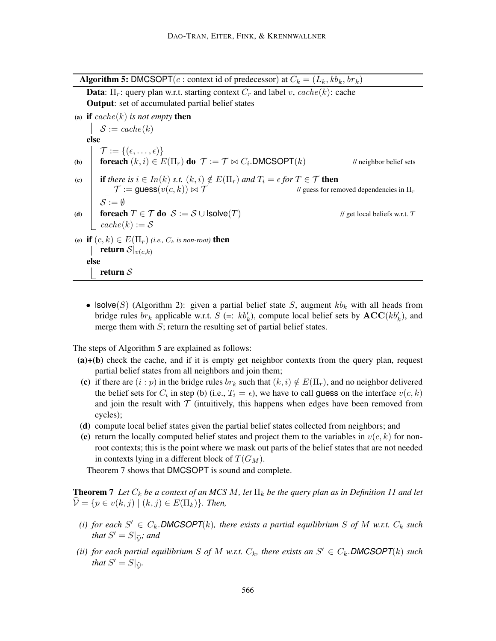**Algorithm 5:** DMCSOPT( $c$ : context id of predecessor) at  $C_k = (L_k, kb_k, br_k)$ **Data**:  $\Pi_r$ : query plan w.r.t. starting context  $C_r$  and label v, cache(k): cache Output: set of accumulated partial belief states (a) if  $cache(k)$  *is not empty* then  $\mathcal{S} := cache(k)$ else  $\mathcal{T} := \{(\epsilon, \ldots, \epsilon)\}\$ (b) foreach  $(k, i) \in E(\Pi_r)$  do  $\mathcal{T} := \mathcal{T} \bowtie C_i$ . DMCSOPT $(k)$  $\frac{1}{\sqrt{2}}$  neighbor belief sets (c) if *there is*  $i \in In(k)$  *s.t.*  $(k, i) \notin E(\Pi_r)$  *and*  $T_i = \epsilon$  *for*  $T \in \mathcal{T}$  **then**  $T := \text{guess}(v(c, k)) \bowtie T$  // guess for removed dependencies in  $\Pi_r$  $S := \emptyset$ (d) for each  $T \in \mathcal{T}$  do  $\mathcal{S} := \mathcal{S} \cup \text{Isolve}(T)$  // get local beliefs w.r.t. T  $cache(k) := S$ (e) if  $(c, k) \in E(\Pi_r)$  *(i.e., C<sub>k</sub> is non-root)* then | return  $S|_{v(c,k)}$ else return S

• Isolve(S) (Algorithm 2): given a partial belief state S, augment  $kb_k$  with all heads from bridge rules  $br_k$  applicable w.r.t.  $S (= : kb'_k)$ , compute local belief sets by  $\mathbf{ACC}(kb'_k)$ , and merge them with  $S$ ; return the resulting set of partial belief states.

The steps of Algorithm 5 are explained as follows:

- $(a)+(b)$  check the cache, and if it is empty get neighbor contexts from the query plan, request partial belief states from all neighbors and join them;
- (c) if there are  $(i : p)$  in the bridge rules  $br_k$  such that  $(k, i) \notin E(\Pi_r)$ , and no neighbor delivered the belief sets for  $C_i$  in step (b) (i.e.,  $T_i = \epsilon$ ), we have to call guess on the interface  $v(c, k)$ and join the result with  $\mathcal T$  (intuitively, this happens when edges have been removed from cycles);
- (d) compute local belief states given the partial belief states collected from neighbors; and
- (e) return the locally computed belief states and project them to the variables in  $v(c, k)$  for nonroot contexts; this is the point where we mask out parts of the belief states that are not needed in contexts lying in a different block of  $T(G_M)$ .

Theorem 7 shows that DMCSOPT is sound and complete.

**Theorem 7** Let  $C_k$  be a context of an MCS M, let  $\Pi_k$  be the query plan as in Definition 11 and let  $\widehat{\mathcal{V}} = \{p \in v(k, j) \mid (k, j) \in E(\Pi_k)\}\$ . Then,

- (*i*) for each  $S' \in C_k$ . **DMCSOPT**(*k*), there exists a partial equilibrium S of M w.r.t.  $C_k$  such that  $S' = S|_{\widehat{\mathcal{V}}}$ *; and*
- *(ii)* for each partial equilibrium S of M w.r.t.  $C_k$ , there exists an  $S' \in C_k$ . **DMCSOPT** $(k)$  such *that*  $S' = S|_{\widehat{\mathcal{V}}}$ *.*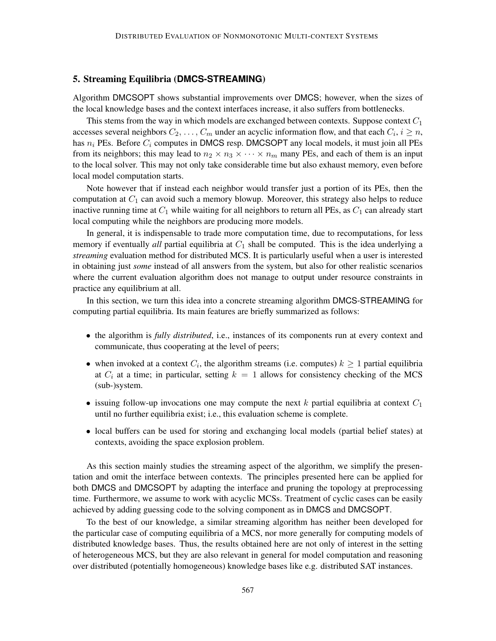## 5. Streaming Equilibria (**DMCS-STREAMING**)

Algorithm DMCSOPT shows substantial improvements over DMCS; however, when the sizes of the local knowledge bases and the context interfaces increase, it also suffers from bottlenecks.

This stems from the way in which models are exchanged between contexts. Suppose context  $C_1$ accesses several neighbors  $C_2, \ldots, C_m$  under an acyclic information flow, and that each  $C_i, i \geq n$ , has  $n_i$  PEs. Before  $C_i$  computes in DMCS resp. DMCSOPT any local models, it must join all PEs from its neighbors; this may lead to  $n_2 \times n_3 \times \cdots \times n_m$  many PEs, and each of them is an input to the local solver. This may not only take considerable time but also exhaust memory, even before local model computation starts.

Note however that if instead each neighbor would transfer just a portion of its PEs, then the computation at  $C_1$  can avoid such a memory blowup. Moreover, this strategy also helps to reduce inactive running time at  $C_1$  while waiting for all neighbors to return all PEs, as  $C_1$  can already start local computing while the neighbors are producing more models.

In general, it is indispensable to trade more computation time, due to recomputations, for less memory if eventually *all* partial equilibria at  $C_1$  shall be computed. This is the idea underlying a *streaming* evaluation method for distributed MCS. It is particularly useful when a user is interested in obtaining just *some* instead of all answers from the system, but also for other realistic scenarios where the current evaluation algorithm does not manage to output under resource constraints in practice any equilibrium at all.

In this section, we turn this idea into a concrete streaming algorithm DMCS-STREAMING for computing partial equilibria. Its main features are briefly summarized as follows:

- the algorithm is *fully distributed*, i.e., instances of its components run at every context and communicate, thus cooperating at the level of peers;
- when invoked at a context  $C_i$ , the algorithm streams (i.e. computes)  $k \geq 1$  partial equilibria at  $C_i$  at a time; in particular, setting  $k = 1$  allows for consistency checking of the MCS (sub-)system.
- issuing follow-up invocations one may compute the next k partial equilibria at context  $C_1$ until no further equilibria exist; i.e., this evaluation scheme is complete.
- local buffers can be used for storing and exchanging local models (partial belief states) at contexts, avoiding the space explosion problem.

As this section mainly studies the streaming aspect of the algorithm, we simplify the presentation and omit the interface between contexts. The principles presented here can be applied for both DMCS and DMCSOPT by adapting the interface and pruning the topology at preprocessing time. Furthermore, we assume to work with acyclic MCSs. Treatment of cyclic cases can be easily achieved by adding guessing code to the solving component as in DMCS and DMCSOPT.

To the best of our knowledge, a similar streaming algorithm has neither been developed for the particular case of computing equilibria of a MCS, nor more generally for computing models of distributed knowledge bases. Thus, the results obtained here are not only of interest in the setting of heterogeneous MCS, but they are also relevant in general for model computation and reasoning over distributed (potentially homogeneous) knowledge bases like e.g. distributed SAT instances.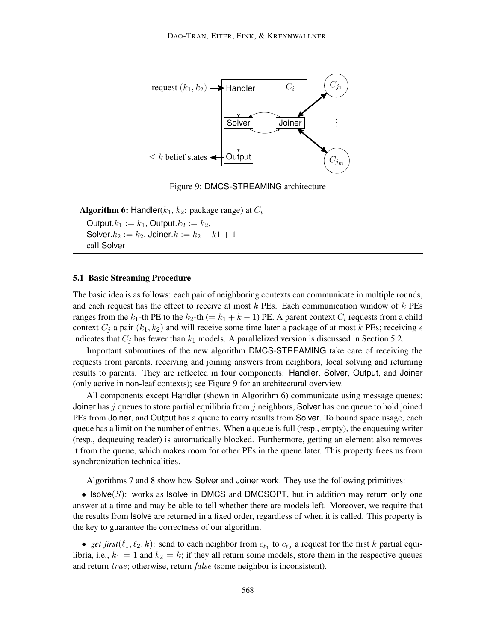

Figure 9: DMCS-STREAMING architecture

| <b>Algorithm 6:</b> Handler( $k_1$ , $k_2$ : package range) at $C_i$ |  |
|----------------------------------------------------------------------|--|
| Output. $k_1 := k_1$ , Output. $k_2 := k_2$ ,                        |  |
| Solver. $k_2 := k_2$ , Joiner. $k := k_2 - k_1 + 1$                  |  |
| call Solver                                                          |  |

### 5.1 Basic Streaming Procedure

The basic idea is as follows: each pair of neighboring contexts can communicate in multiple rounds, and each request has the effect to receive at most  $k$  PEs. Each communication window of  $k$  PEs ranges from the k<sub>1</sub>-th PE to the k<sub>2</sub>-th (= k<sub>1</sub> + k - 1) PE. A parent context  $C_i$  requests from a child context  $C_i$  a pair  $(k_1, k_2)$  and will receive some time later a package of at most k PEs; receiving  $\epsilon$ indicates that  $C_j$  has fewer than  $k_1$  models. A parallelized version is discussed in Section 5.2.

Important subroutines of the new algorithm DMCS-STREAMING take care of receiving the requests from parents, receiving and joining answers from neighbors, local solving and returning results to parents. They are reflected in four components: Handler, Solver, Output, and Joiner (only active in non-leaf contexts); see Figure 9 for an architectural overview.

All components except Handler (shown in Algorithm 6) communicate using message queues: Joiner has j queues to store partial equilibria from j neighbors, Solver has one queue to hold joined PEs from Joiner, and Output has a queue to carry results from Solver. To bound space usage, each queue has a limit on the number of entries. When a queue is full (resp., empty), the enqueuing writer (resp., dequeuing reader) is automatically blocked. Furthermore, getting an element also removes it from the queue, which makes room for other PEs in the queue later. This property frees us from synchronization technicalities.

Algorithms 7 and 8 show how Solver and Joiner work. They use the following primitives:

• Isolve $(S)$ : works as Isolve in DMCS and DMCSOPT, but in addition may return only one answer at a time and may be able to tell whether there are models left. Moreover, we require that the results from lsolve are returned in a fixed order, regardless of when it is called. This property is the key to guarantee the correctness of our algorithm.

• get first  $(\ell_1, \ell_2, k)$ : send to each neighbor from  $c_{\ell_1}$  to  $c_{\ell_2}$  a request for the first k partial equilibria, i.e.,  $k_1 = 1$  and  $k_2 = k$ ; if they all return some models, store them in the respective queues and return true; otherwise, return false (some neighbor is inconsistent).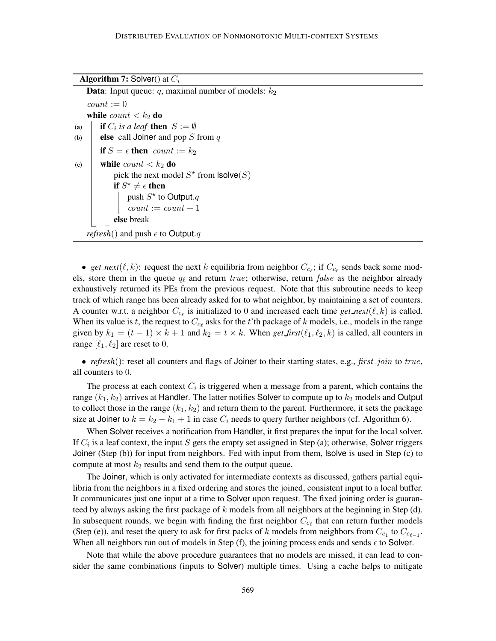**Algorithm 7:** Solver() at  $C_i$ 

**Data:** Input queue:  $q$ , maximal number of models:  $k_2$  $count := 0$ while  $count < k_2$  do (a) **if**  $C_i$  is a leaf **then**  $S := \emptyset$ (b) **else** call Joiner and pop S from q if  $S = \epsilon$  then count :=  $k_2$ (c) while  $count < k_2$  do pick the next model  $S^*$  from  $\textsf{lsolve}(S)$ if  $S^{\star} \neq \epsilon$  then push  $S^*$  to Output. $q$  $count := count + 1$ else break *refresh*() and push  $\epsilon$  to Output.q

• get\_next( $\ell, k$ ): request the next k equilibria from neighbor  $C_{c_{\ell}}$ ; if  $C_{c_{\ell}}$  sends back some models, store them in the queue  $q_\ell$  and return true; otherwise, return false as the neighbor already exhaustively returned its PEs from the previous request. Note that this subroutine needs to keep track of which range has been already asked for to what neighbor, by maintaining a set of counters. A counter w.r.t. a neighbor  $C_{c_\ell}$  is initialized to 0 and increased each time *get\_next*( $\ell, k$ ) is called. When its value is t, the request to  $C_{c_\ell}$  asks for the t'th package of k models, i.e., models in the range given by  $k_1 = (t - 1) \times k + 1$  and  $k_2 = t \times k$ . When *get\_first*( $\ell_1, \ell_2, k$ ) is called, all counters in range  $[\ell_1, \ell_2]$  are reset to 0.

• *refresh*(): reset all counters and flags of Joiner to their starting states, e.g., *first join* to true, all counters to 0.

The process at each context  $C_i$  is triggered when a message from a parent, which contains the range  $(k_1, k_2)$  arrives at Handler. The latter notifies Solver to compute up to  $k_2$  models and Output to collect those in the range  $(k_1, k_2)$  and return them to the parent. Furthermore, it sets the package size at Joiner to  $k = k_2 - k_1 + 1$  in case  $C_i$  needs to query further neighbors (cf. Algorithm 6).

When Solver receives a notification from Handler, it first prepares the input for the local solver. If  $C_i$  is a leaf context, the input S gets the empty set assigned in Step (a); otherwise, Solver triggers Joiner (Step (b)) for input from neighbors. Fed with input from them, lsolve is used in Step (c) to compute at most  $k_2$  results and send them to the output queue.

The Joiner, which is only activated for intermediate contexts as discussed, gathers partial equilibria from the neighbors in a fixed ordering and stores the joined, consistent input to a local buffer. It communicates just one input at a time to Solver upon request. The fixed joining order is guaranteed by always asking the first package of k models from all neighbors at the beginning in Step  $(d)$ . In subsequent rounds, we begin with finding the first neighbor  $C_{c_\ell}$  that can return further models (Step (e)), and reset the query to ask for first packs of k models from neighbors from  $C_{c_1}$  to  $C_{c_{\ell-1}}$ . When all neighbors run out of models in Step (f), the joining process ends and sends  $\epsilon$  to Solver.

Note that while the above procedure guarantees that no models are missed, it can lead to consider the same combinations (inputs to Solver) multiple times. Using a cache helps to mitigate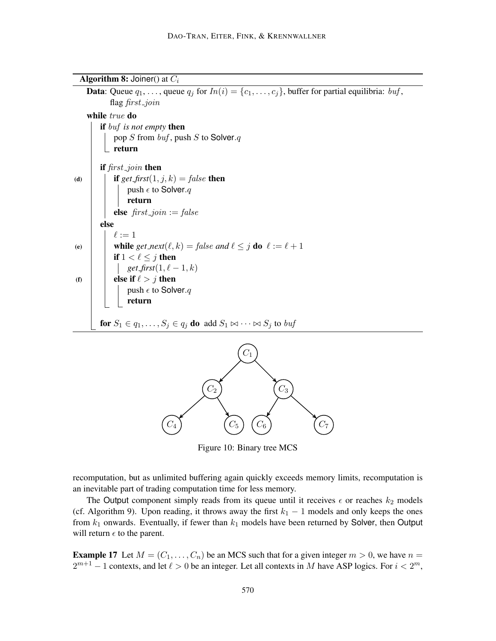**Algorithm 8:** Joiner() at  $C_i$ 

**Data**: Queue  $q_1, \ldots,$  queue  $q_j$  for  $In(i) = \{c_1, \ldots, c_j\}$ , buffer for partial equilibria: *buf*, flag first\_join while true do if buf *is not empty* then pop  $S$  from  $buf$ , push  $S$  to Solver. $q$  $\mathrel{\sqsubset}$  return if first join then (d) **if**  $get\_first(1, j, k) = false$  then push  $\epsilon$  to Solver. $q$ return else  $first\_join := false$ else  $\ell := 1$ (e) while  $get\_next(\ell, k) = false$  and  $\ell \leq j$  do  $\ell := \ell + 1$ if  $1 < \ell \leq j$  then *get*  $\text{first}(1, \ell - 1, k)$ (f)  $\|\cdot\|$  else if  $\ell > j$  then push  $\epsilon$  to Solver. $q$ return for  $S_1 \in q_1, \ldots, S_j \in q_j$  do add  $S_1 \bowtie \cdots \bowtie S_j$  to buf  $C_1$  $C_2$   $\qquad \qquad$   $C_3$ 



Figure 10: Binary tree MCS

recomputation, but as unlimited buffering again quickly exceeds memory limits, recomputation is an inevitable part of trading computation time for less memory.

The Output component simply reads from its queue until it receives  $\epsilon$  or reaches  $k_2$  models (cf. Algorithm 9). Upon reading, it throws away the first  $k_1 - 1$  models and only keeps the ones from  $k_1$  onwards. Eventually, if fewer than  $k_1$  models have been returned by Solver, then Output will return  $\epsilon$  to the parent.

**Example 17** Let  $M = (C_1, \ldots, C_n)$  be an MCS such that for a given integer  $m > 0$ , we have  $n =$  $2^{m+1} - 1$  contexts, and let  $\ell > 0$  be an integer. Let all contexts in M have ASP logics. For  $i < 2^m$ ,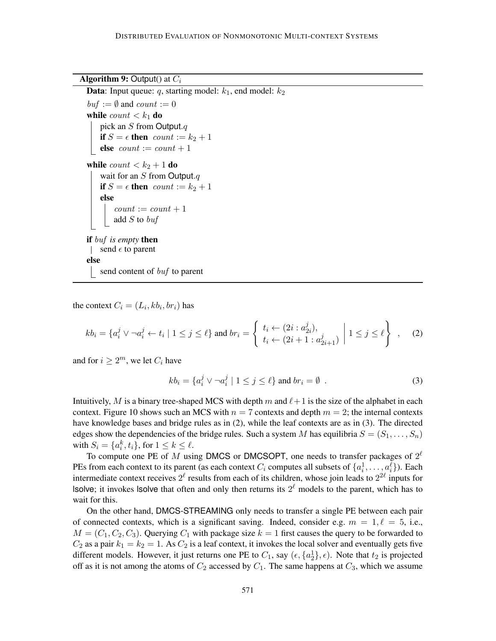### **Algorithm 9:** Output() at  $C_i$

```
Data: Input queue: q, starting model: k_1, end model: k_2buf := \emptyset and count := 0while count < k_1 do
   pick an S from Output.qif S = \epsilon then count := k_2 + 1else count := count + 1while count < k_2 + 1 do
    wait for an S from Output.qif S = \epsilon then count := k_2 + 1else
        count := count + 1addS to \mathit{buf}if buf is empty then
| send \epsilon to parent
else
   send content of buf to parent
```
the context  $C_i = (L_i, k b_i, b r_i)$  has

$$
kb_i = \{a_i^j \lor \neg a_i^j \leftarrow t_i \mid 1 \leq j \leq \ell\} \text{ and } br_i = \left\{ \begin{array}{l} t_i \leftarrow (2i : a_{2i}^j), \\ t_i \leftarrow (2i + 1 : a_{2i+1}^j) \end{array} \middle| 1 \leq j \leq \ell \right\} \right. , \tag{2}
$$

and for  $i \geq 2^m$ , we let  $C_i$  have

$$
kb_i = \{a_i^j \lor \neg a_i^j \mid 1 \le j \le \ell\} \text{ and } br_i = \emptyset \tag{3}
$$

Intuitively, M is a binary tree-shaped MCS with depth m and  $\ell+1$  is the size of the alphabet in each context. Figure 10 shows such an MCS with  $n = 7$  contexts and depth  $m = 2$ ; the internal contexts have knowledge bases and bridge rules as in (2), while the leaf contexts are as in (3). The directed edges show the dependencies of the bridge rules. Such a system M has equilibria  $S = (S_1, \ldots, S_n)$ with  $S_i = \{a_i^k, t_i\}$ , for  $1 \leq k \leq \ell$ .

To compute one PE of M using DMCS or DMCSOPT, one needs to transfer packages of  $2^{\ell}$ PEs from each context to its parent (as each context  $C_i$  computes all subsets of  $\{a_i^1, \ldots, a_i^\ell\}$ ). Each intermediate context receives  $2^{\ell}$  results from each of its children, whose join leads to  $2^{2\ell}$  inputs for Isolve; it invokes Isolve that often and only then returns its  $2^{\ell}$  models to the parent, which has to wait for this.

On the other hand, DMCS-STREAMING only needs to transfer a single PE between each pair of connected contexts, which is a significant saving. Indeed, consider e.g.  $m = 1, \ell = 5$ , i.e.,  $M = (C_1, C_2, C_3)$ . Querying  $C_1$  with package size  $k = 1$  first causes the query to be forwarded to  $C_2$  as a pair  $k_1 = k_2 = 1$ . As  $C_2$  is a leaf context, it invokes the local solver and eventually gets five different models. However, it just returns one PE to  $C_1$ , say  $(\epsilon, \{a_2\}, \epsilon)$ . Note that  $t_2$  is projected off as it is not among the atoms of  $C_2$  accessed by  $C_1$ . The same happens at  $C_3$ , which we assume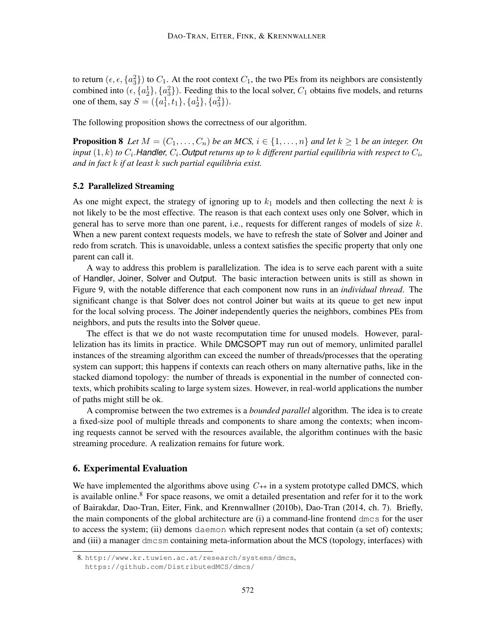to return  $(\epsilon, \epsilon, \{a_3^2\})$  to  $C_1$ . At the root context  $C_1$ , the two PEs from its neighbors are consistently combined into  $(\epsilon, \{a_2^1\}, \{a_3^2\})$ . Feeding this to the local solver,  $C_1$  obtains five models, and returns one of them, say  $S = (\{a_1^1, t_1\}, \{a_2^1\}, \{a_3^2\})$ .

The following proposition shows the correctness of our algorithm.

**Proposition 8** Let  $M = (C_1, \ldots, C_n)$  be an MCS,  $i \in \{1, \ldots, n\}$  and let  $k \geq 1$  be an integer. On input  $(1,k)$  to  $C_i$ . Handler,  $C_i$ . Output returns up to  $k$  different partial equilibria with respect to  $C_i$ , *and in fact* k *if at least* k *such partial equilibria exist.*

### 5.2 Parallelized Streaming

As one might expect, the strategy of ignoring up to  $k_1$  models and then collecting the next k is not likely to be the most effective. The reason is that each context uses only one Solver, which in general has to serve more than one parent, i.e., requests for different ranges of models of size  $k$ . When a new parent context requests models, we have to refresh the state of Solver and Joiner and redo from scratch. This is unavoidable, unless a context satisfies the specific property that only one parent can call it.

A way to address this problem is parallelization. The idea is to serve each parent with a suite of Handler, Joiner, Solver and Output. The basic interaction between units is still as shown in Figure 9, with the notable difference that each component now runs in an *individual thread*. The significant change is that Solver does not control Joiner but waits at its queue to get new input for the local solving process. The Joiner independently queries the neighbors, combines PEs from neighbors, and puts the results into the Solver queue.

The effect is that we do not waste recomputation time for unused models. However, parallelization has its limits in practice. While DMCSOPT may run out of memory, unlimited parallel instances of the streaming algorithm can exceed the number of threads/processes that the operating system can support; this happens if contexts can reach others on many alternative paths, like in the stacked diamond topology: the number of threads is exponential in the number of connected contexts, which prohibits scaling to large system sizes. However, in real-world applications the number of paths might still be ok.

A compromise between the two extremes is a *bounded parallel* algorithm. The idea is to create a fixed-size pool of multiple threads and components to share among the contexts; when incoming requests cannot be served with the resources available, the algorithm continues with the basic streaming procedure. A realization remains for future work.

### 6. Experimental Evaluation

We have implemented the algorithms above using  $C_{++}$  in a system prototype called DMCS, which is available online.<sup>8</sup> For space reasons, we omit a detailed presentation and refer for it to the work of Bairakdar, Dao-Tran, Eiter, Fink, and Krennwallner (2010b), Dao-Tran (2014, ch. 7). Briefly, the main components of the global architecture are (i) a command-line frontend dmcs for the user to access the system; (ii) demons daemon which represent nodes that contain (a set of) contexts; and (iii) a manager dmcsm containing meta-information about the MCS (topology, interfaces) with

<sup>8.</sup> http://www.kr.tuwien.ac.at/research/systems/dmcs, https://github.com/DistributedMCS/dmcs/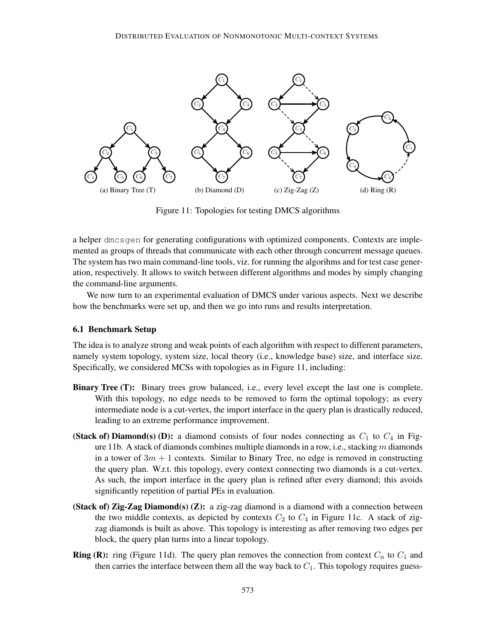

Figure 11: Topologies for testing DMCS algorithms

a helper dmcsgen for generating configurations with optimized components. Contexts are implemented as groups of threads that communicate with each other through concurrent message queues. The system has two main command-line tools, viz. for running the algorihms and for test case generation, respectively. It allows to switch between different algorithms and modes by simply changing the command-line arguments.

We now turn to an experimental evaluation of DMCS under various aspects. Next we describe how the benchmarks were set up, and then we go into runs and results interpretation.

## 6.1 Benchmark Setup

The idea is to analyze strong and weak points of each algorithm with respect to different parameters, namely system topology, system size, local theory (i.e., knowledge base) size, and interface size. Specifically, we considered MCSs with topologies as in Figure 11, including:

- Binary Tree (T): Binary trees grow balanced, i.e., every level except the last one is complete. With this topology, no edge needs to be removed to form the optimal topology; as every intermediate node is a cut-vertex, the import interface in the query plan is drastically reduced, leading to an extreme performance improvement.
- (Stack of) Diamond(s) (D): a diamond consists of four nodes connecting as  $C_1$  to  $C_4$  in Figure 11b. A stack of diamonds combines multiple diamonds in a row, i.e., stacking  $m$  diamonds in a tower of  $3m + 1$  contexts. Similar to Binary Tree, no edge is removed in constructing the query plan. W.r.t. this topology, every context connecting two diamonds is a cut-vertex. As such, the import interface in the query plan is refined after every diamond; this avoids significantly repetition of partial PEs in evaluation.
- (Stack of) Zig-Zag Diamond(s)  $(Z)$ : a zig-zag diamond is a diamond with a connection between the two middle contexts, as depicted by contexts  $C_2$  to  $C_4$  in Figure 11c. A stack of zigzag diamonds is built as above. This topology is interesting as after removing two edges per block, the query plan turns into a linear topology.
- **Ring (R):** ring (Figure 11d). The query plan removes the connection from context  $C_n$  to  $C_1$  and then carries the interface between them all the way back to  $C_1$ . This topology requires guess-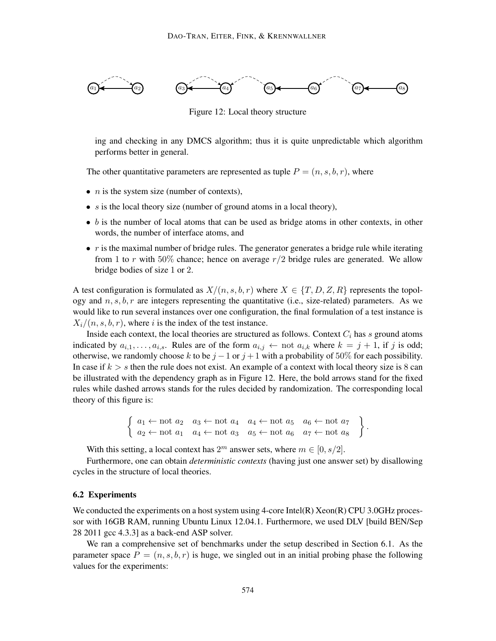

Figure 12: Local theory structure

ing and checking in any DMCS algorithm; thus it is quite unpredictable which algorithm performs better in general.

The other quantitative parameters are represented as tuple  $P = (n, s, b, r)$ , where

- $n$  is the system size (number of contexts),
- $s$  is the local theory size (number of ground atoms in a local theory),
- $\bullet$  b is the number of local atoms that can be used as bridge atoms in other contexts, in other words, the number of interface atoms, and
- $\bullet$  r is the maximal number of bridge rules. The generator generates a bridge rule while iterating from 1 to r with 50% chance; hence on average  $r/2$  bridge rules are generated. We allow bridge bodies of size 1 or 2.

A test configuration is formulated as  $X/(n, s, b, r)$  where  $X \in \{T, D, Z, R\}$  represents the topology and  $n, s, b, r$  are integers representing the quantitative (i.e., size-related) parameters. As we would like to run several instances over one configuration, the final formulation of a test instance is  $X_i/(n, s, b, r)$ , where i is the index of the test instance.

Inside each context, the local theories are structured as follows. Context  $C_i$  has s ground atoms indicated by  $a_{i,1}, \ldots, a_{i,s}$ . Rules are of the form  $a_{i,j} \leftarrow \text{not } a_{i,k}$  where  $k = j + 1$ , if j is odd; otherwise, we randomly choose k to be  $j - 1$  or  $j + 1$  with a probability of 50% for each possibility. In case if  $k > s$  then the rule does not exist. An example of a context with local theory size is 8 can be illustrated with the dependency graph as in Figure 12. Here, the bold arrows stand for the fixed rules while dashed arrows stands for the rules decided by randomization. The corresponding local theory of this figure is:

$$
\left\{\n\begin{array}{ll}\na_1 \leftarrow \text{not } a_2 \quad a_3 \leftarrow \text{not } a_4 \quad a_4 \leftarrow \text{not } a_5 \quad a_6 \leftarrow \text{not } a_7 \\
a_2 \leftarrow \text{not } a_1 \quad a_4 \leftarrow \text{not } a_3 \quad a_5 \leftarrow \text{not } a_6 \quad a_7 \leftarrow \text{not } a_8\n\end{array}\n\right.\n\right\}.
$$

With this setting, a local context has  $2^m$  answer sets, where  $m \in [0, s/2]$ .

Furthermore, one can obtain *deterministic contexts* (having just one answer set) by disallowing cycles in the structure of local theories.

#### 6.2 Experiments

We conducted the experiments on a host system using 4-core Intel(R) Xeon(R) CPU 3.0GHz processor with 16GB RAM, running Ubuntu Linux 12.04.1. Furthermore, we used DLV [build BEN/Sep 28 2011 gcc 4.3.3] as a back-end ASP solver.

We ran a comprehensive set of benchmarks under the setup described in Section 6.1. As the parameter space  $P = (n, s, b, r)$  is huge, we singled out in an initial probing phase the following values for the experiments: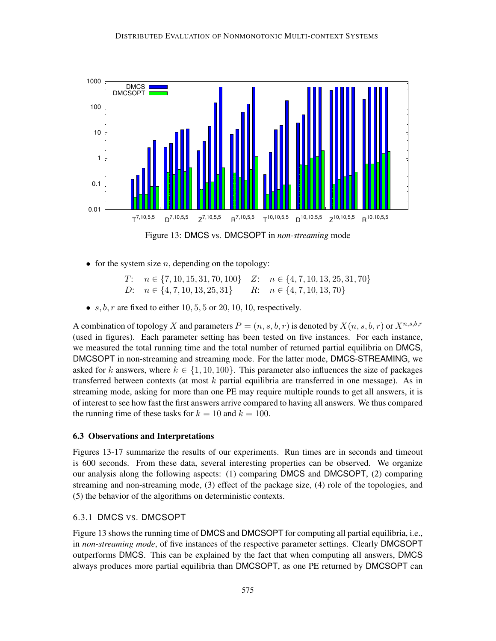

Figure 13: DMCS vs. DMCSOPT in *non-streaming* mode

• for the system size  $n$ , depending on the topology:

T:  $n \in \{7, 10, 15, 31, 70, 100\}$  Z:  $n \in \{4, 7, 10, 13, 25, 31, 70\}$ D:  $n \in \{4, 7, 10, 13, 25, 31\}$  R:  $n \in \{4, 7, 10, 13, 70\}$ 

•  $s, b, r$  are fixed to either 10, 5, 5 or 20, 10, 10, respectively.

A combination of topology X and parameters  $P = (n, s, b, r)$  is denoted by  $X(n, s, b, r)$  or  $X^{n, s, b, r}$ (used in figures). Each parameter setting has been tested on five instances. For each instance, we measured the total running time and the total number of returned partial equilibria on DMCS, DMCSOPT in non-streaming and streaming mode. For the latter mode, DMCS-STREAMING, we asked for k answers, where  $k \in \{1, 10, 100\}$ . This parameter also influences the size of packages transferred between contexts (at most  $k$  partial equilibria are transferred in one message). As in streaming mode, asking for more than one PE may require multiple rounds to get all answers, it is of interest to see how fast the first answers arrive compared to having all answers. We thus compared the running time of these tasks for  $k = 10$  and  $k = 100$ .

### 6.3 Observations and Interpretations

Figures 13-17 summarize the results of our experiments. Run times are in seconds and timeout is 600 seconds. From these data, several interesting properties can be observed. We organize our analysis along the following aspects: (1) comparing DMCS and DMCSOPT, (2) comparing streaming and non-streaming mode, (3) effect of the package size, (4) role of the topologies, and (5) the behavior of the algorithms on deterministic contexts.

### 6.3.1 DMCS VS. DMCSOPT

Figure 13 shows the running time of DMCS and DMCSOPT for computing all partial equilibria, i.e., in *non-streaming mode*, of five instances of the respective parameter settings. Clearly DMCSOPT outperforms DMCS. This can be explained by the fact that when computing all answers, DMCS always produces more partial equilibria than DMCSOPT, as one PE returned by DMCSOPT can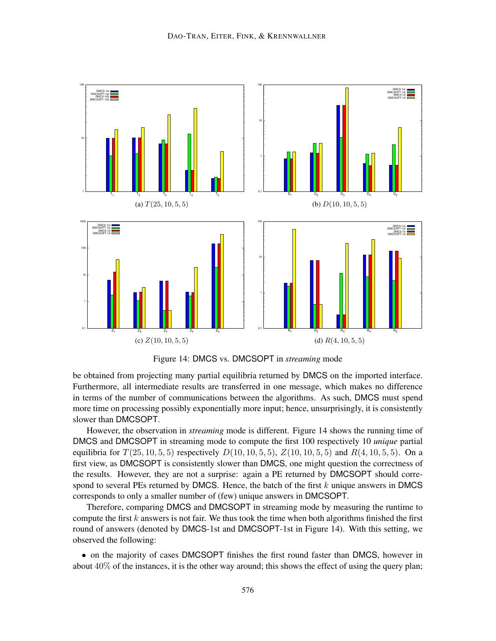

Figure 14: DMCS vs. DMCSOPT in *streaming* mode

be obtained from projecting many partial equilibria returned by DMCS on the imported interface. Furthermore, all intermediate results are transferred in one message, which makes no difference in terms of the number of communications between the algorithms. As such, DMCS must spend more time on processing possibly exponentially more input; hence, unsurprisingly, it is consistently slower than DMCSOPT.

However, the observation in *streaming* mode is different. Figure 14 shows the running time of DMCS and DMCSOPT in streaming mode to compute the first 100 respectively 10 *unique* partial equilibria for  $T(25, 10, 5, 5)$  respectively  $D(10, 10, 5, 5)$ ,  $Z(10, 10, 5, 5)$  and  $R(4, 10, 5, 5)$ . On a first view, as DMCSOPT is consistently slower than DMCS, one might question the correctness of the results. However, they are not a surprise: again a PE returned by DMCSOPT should correspond to several PEs returned by DMCS. Hence, the batch of the first  $k$  unique answers in DMCS corresponds to only a smaller number of (few) unique answers in DMCSOPT.

Therefore, comparing DMCS and DMCSOPT in streaming mode by measuring the runtime to compute the first  $k$  answers is not fair. We thus took the time when both algorithms finished the first round of answers (denoted by DMCS-1st and DMCSOPT-1st in Figure 14). With this setting, we observed the following:

• on the majority of cases DMCSOPT finishes the first round faster than DMCS, however in about  $40\%$  of the instances, it is the other way around; this shows the effect of using the query plan;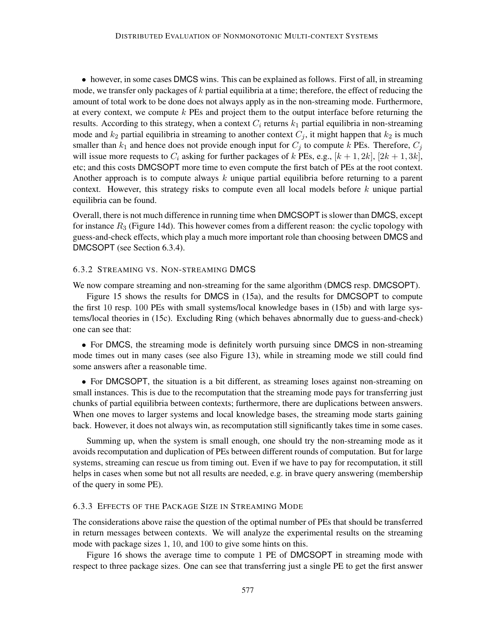• however, in some cases DMCS wins. This can be explained as follows. First of all, in streaming mode, we transfer only packages of  $k$  partial equilibria at a time; therefore, the effect of reducing the amount of total work to be done does not always apply as in the non-streaming mode. Furthermore, at every context, we compute  $k$  PEs and project them to the output interface before returning the results. According to this strategy, when a context  $C_i$  returns  $k_1$  partial equilibria in non-streaming mode and  $k_2$  partial equilibria in streaming to another context  $C_i$ , it might happen that  $k_2$  is much smaller than  $k_1$  and hence does not provide enough input for  $C_j$  to compute k PEs. Therefore,  $C_j$ will issue more requests to  $C_i$  asking for further packages of k PEs, e.g.,  $[k+1, 2k]$ ,  $[2k+1, 3k]$ , etc; and this costs DMCSOPT more time to even compute the first batch of PEs at the root context. Another approach is to compute always  $k$  unique partial equilibria before returning to a parent context. However, this strategy risks to compute even all local models before  $k$  unique partial equilibria can be found.

Overall, there is not much difference in running time when DMCSOPT is slower than DMCS, except for instance  $R_3$  (Figure 14d). This however comes from a different reason: the cyclic topology with guess-and-check effects, which play a much more important role than choosing between DMCS and DMCSOPT (see Section 6.3.4).

## 6.3.2 STREAMING VS. NON-STREAMING DMCS

We now compare streaming and non-streaming for the same algorithm (DMCS resp. DMCSOPT).

Figure 15 shows the results for DMCS in (15a), and the results for DMCSOPT to compute the first 10 resp. 100 PEs with small systems/local knowledge bases in (15b) and with large systems/local theories in (15c). Excluding Ring (which behaves abnormally due to guess-and-check) one can see that:

• For DMCS, the streaming mode is definitely worth pursuing since DMCS in non-streaming mode times out in many cases (see also Figure 13), while in streaming mode we still could find some answers after a reasonable time.

• For DMCSOPT, the situation is a bit different, as streaming loses against non-streaming on small instances. This is due to the recomputation that the streaming mode pays for transferring just chunks of partial equilibria between contexts; furthermore, there are duplications between answers. When one moves to larger systems and local knowledge bases, the streaming mode starts gaining back. However, it does not always win, as recomputation still significantly takes time in some cases.

Summing up, when the system is small enough, one should try the non-streaming mode as it avoids recomputation and duplication of PEs between different rounds of computation. But for large systems, streaming can rescue us from timing out. Even if we have to pay for recomputation, it still helps in cases when some but not all results are needed, e.g. in brave query answering (membership of the query in some PE).

### 6.3.3 EFFECTS OF THE PACKAGE SIZE IN STREAMING MODE

The considerations above raise the question of the optimal number of PEs that should be transferred in return messages between contexts. We will analyze the experimental results on the streaming mode with package sizes 1, 10, and 100 to give some hints on this.

Figure 16 shows the average time to compute 1 PE of DMCSOPT in streaming mode with respect to three package sizes. One can see that transferring just a single PE to get the first answer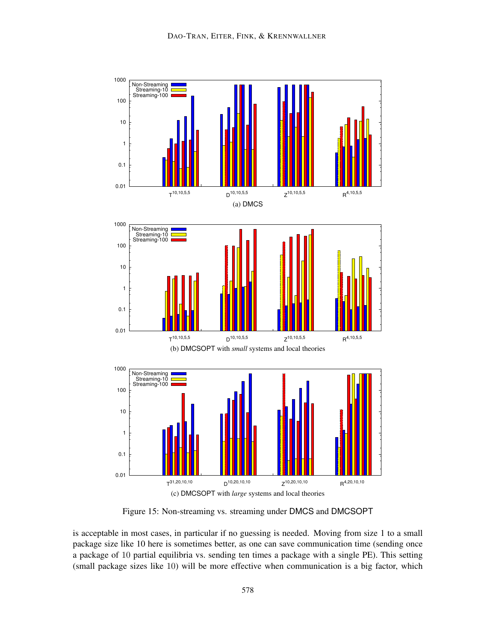

Figure 15: Non-streaming vs. streaming under DMCS and DMCSOPT

is acceptable in most cases, in particular if no guessing is needed. Moving from size 1 to a small package size like 10 here is sometimes better, as one can save communication time (sending once a package of 10 partial equilibria vs. sending ten times a package with a single PE). This setting (small package sizes like 10) will be more effective when communication is a big factor, which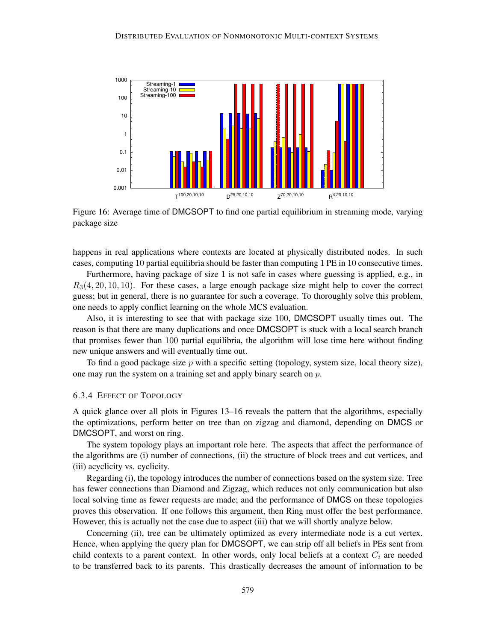

Figure 16: Average time of DMCSOPT to find one partial equilibrium in streaming mode, varying package size

happens in real applications where contexts are located at physically distributed nodes. In such cases, computing 10 partial equilibria should be faster than computing 1 PE in 10 consecutive times.

Furthermore, having package of size 1 is not safe in cases where guessing is applied, e.g., in  $R_3(4, 20, 10, 10)$ . For these cases, a large enough package size might help to cover the correct guess; but in general, there is no guarantee for such a coverage. To thoroughly solve this problem, one needs to apply conflict learning on the whole MCS evaluation.

Also, it is interesting to see that with package size 100, DMCSOPT usually times out. The reason is that there are many duplications and once DMCSOPT is stuck with a local search branch that promises fewer than 100 partial equilibria, the algorithm will lose time here without finding new unique answers and will eventually time out.

To find a good package size  $p$  with a specific setting (topology, system size, local theory size), one may run the system on a training set and apply binary search on p.

### 6.3.4 EFFECT OF TOPOLOGY

A quick glance over all plots in Figures 13–16 reveals the pattern that the algorithms, especially the optimizations, perform better on tree than on zigzag and diamond, depending on DMCS or DMCSOPT, and worst on ring.

The system topology plays an important role here. The aspects that affect the performance of the algorithms are (i) number of connections, (ii) the structure of block trees and cut vertices, and (iii) acyclicity vs. cyclicity.

Regarding (i), the topology introduces the number of connections based on the system size. Tree has fewer connections than Diamond and Zigzag, which reduces not only communication but also local solving time as fewer requests are made; and the performance of DMCS on these topologies proves this observation. If one follows this argument, then Ring must offer the best performance. However, this is actually not the case due to aspect (iii) that we will shortly analyze below.

Concerning (ii), tree can be ultimately optimized as every intermediate node is a cut vertex. Hence, when applying the query plan for DMCSOPT, we can strip off all beliefs in PEs sent from child contexts to a parent context. In other words, only local beliefs at a context  $C_i$  are needed to be transferred back to its parents. This drastically decreases the amount of information to be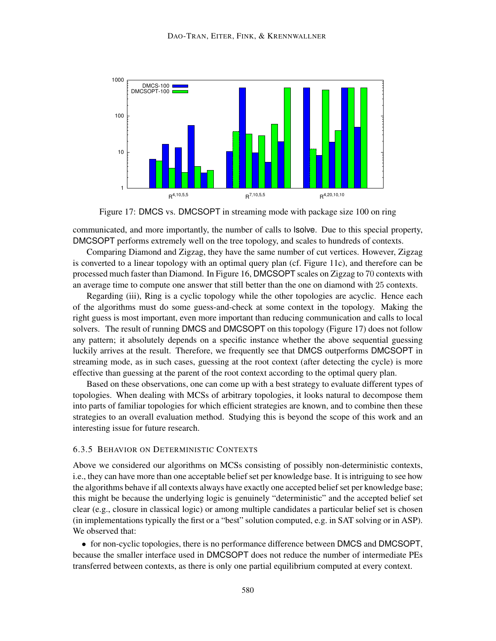

Figure 17: DMCS vs. DMCSOPT in streaming mode with package size 100 on ring

communicated, and more importantly, the number of calls to lsolve. Due to this special property, DMCSOPT performs extremely well on the tree topology, and scales to hundreds of contexts.

Comparing Diamond and Zigzag, they have the same number of cut vertices. However, Zigzag is converted to a linear topology with an optimal query plan (cf. Figure 11c), and therefore can be processed much faster than Diamond. In Figure 16, DMCSOPT scales on Zigzag to 70 contexts with an average time to compute one answer that still better than the one on diamond with 25 contexts.

Regarding (iii), Ring is a cyclic topology while the other topologies are acyclic. Hence each of the algorithms must do some guess-and-check at some context in the topology. Making the right guess is most important, even more important than reducing communication and calls to local solvers. The result of running DMCS and DMCSOPT on this topology (Figure 17) does not follow any pattern; it absolutely depends on a specific instance whether the above sequential guessing luckily arrives at the result. Therefore, we frequently see that DMCS outperforms DMCSOPT in streaming mode, as in such cases, guessing at the root context (after detecting the cycle) is more effective than guessing at the parent of the root context according to the optimal query plan.

Based on these observations, one can come up with a best strategy to evaluate different types of topologies. When dealing with MCSs of arbitrary topologies, it looks natural to decompose them into parts of familiar topologies for which efficient strategies are known, and to combine then these strategies to an overall evaluation method. Studying this is beyond the scope of this work and an interesting issue for future research.

## 6.3.5 BEHAVIOR ON DETERMINISTIC CONTEXTS

Above we considered our algorithms on MCSs consisting of possibly non-deterministic contexts, i.e., they can have more than one acceptable belief set per knowledge base. It is intriguing to see how the algorithms behave if all contexts always have exactly one accepted belief set per knowledge base; this might be because the underlying logic is genuinely "deterministic" and the accepted belief set clear (e.g., closure in classical logic) or among multiple candidates a particular belief set is chosen (in implementations typically the first or a "best" solution computed, e.g. in SAT solving or in ASP). We observed that:

• for non-cyclic topologies, there is no performance difference between DMCS and DMCSOPT, because the smaller interface used in DMCSOPT does not reduce the number of intermediate PEs transferred between contexts, as there is only one partial equilibrium computed at every context.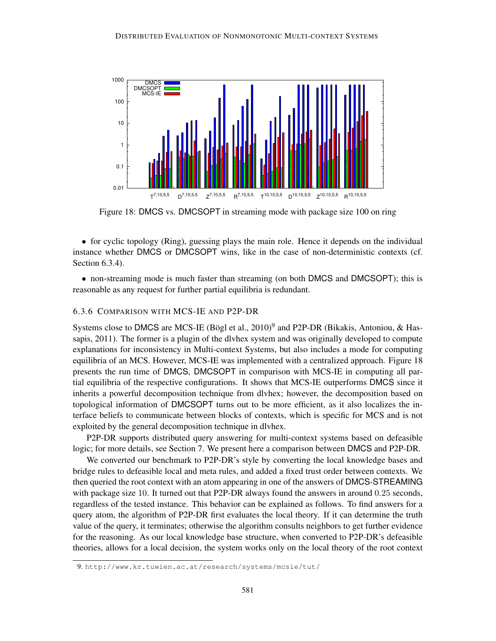

Figure 18: DMCS vs. DMCSOPT in streaming mode with package size 100 on ring

• for cyclic topology (Ring), guessing plays the main role. Hence it depends on the individual instance whether DMCS or DMCSOPT wins, like in the case of non-deterministic contexts (cf. Section 6.3.4).

• non-streaming mode is much faster than streaming (on both DMCS and DMCSOPT); this is reasonable as any request for further partial equilibria is redundant.

## 6.3.6 COMPARISON WITH MCS-IE AND P2P-DR

Systems close to DMCS are MCS-IE (Bögl et al.,  $2010$ )<sup>9</sup> and P2P-DR (Bikakis, Antoniou, & Hassapis, 2011). The former is a plugin of the dlvhex system and was originally developed to compute explanations for inconsistency in Multi-context Systems, but also includes a mode for computing equilibria of an MCS. However, MCS-IE was implemented with a centralized approach. Figure 18 presents the run time of DMCS, DMCSOPT in comparison with MCS-IE in computing all partial equilibria of the respective configurations. It shows that MCS-IE outperforms DMCS since it inherits a powerful decomposition technique from dlvhex; however, the decomposition based on topological information of DMCSOPT turns out to be more efficient, as it also localizes the interface beliefs to communicate between blocks of contexts, which is specific for MCS and is not exploited by the general decomposition technique in dlvhex.

P2P-DR supports distributed query answering for multi-context systems based on defeasible logic; for more details, see Section 7. We present here a comparison between DMCS and P2P-DR.

We converted our benchmark to P2P-DR's style by converting the local knowledge bases and bridge rules to defeasible local and meta rules, and added a fixed trust order between contexts. We then queried the root context with an atom appearing in one of the answers of DMCS-STREAMING with package size 10. It turned out that P2P-DR always found the answers in around 0.25 seconds, regardless of the tested instance. This behavior can be explained as follows. To find answers for a query atom, the algorithm of P2P-DR first evaluates the local theory. If it can determine the truth value of the query, it terminates; otherwise the algorithm consults neighbors to get further evidence for the reasoning. As our local knowledge base structure, when converted to P2P-DR's defeasible theories, allows for a local decision, the system works only on the local theory of the root context

<sup>9.</sup> http://www.kr.tuwien.ac.at/research/systems/mcsie/tut/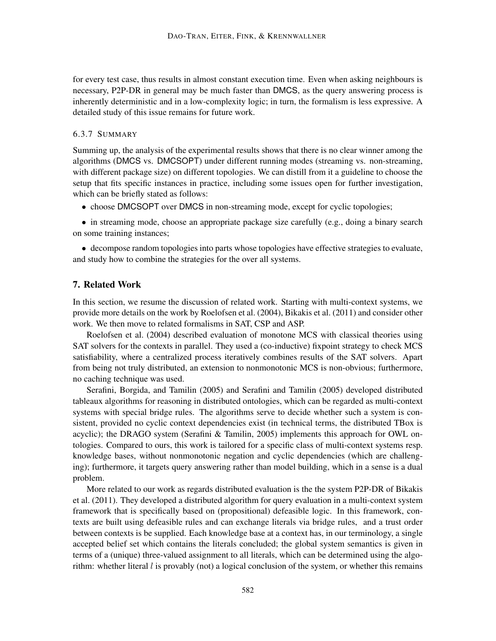for every test case, thus results in almost constant execution time. Even when asking neighbours is necessary, P2P-DR in general may be much faster than DMCS, as the query answering process is inherently deterministic and in a low-complexity logic; in turn, the formalism is less expressive. A detailed study of this issue remains for future work.

### 6.3.7 SUMMARY

Summing up, the analysis of the experimental results shows that there is no clear winner among the algorithms (DMCS vs. DMCSOPT) under different running modes (streaming vs. non-streaming, with different package size) on different topologies. We can distill from it a guideline to choose the setup that fits specific instances in practice, including some issues open for further investigation, which can be briefly stated as follows:

• choose DMCSOPT over DMCS in non-streaming mode, except for cyclic topologies;

• in streaming mode, choose an appropriate package size carefully (e.g., doing a binary search on some training instances;

• decompose random topologies into parts whose topologies have effective strategies to evaluate, and study how to combine the strategies for the over all systems.

# 7. Related Work

In this section, we resume the discussion of related work. Starting with multi-context systems, we provide more details on the work by Roelofsen et al. (2004), Bikakis et al. (2011) and consider other work. We then move to related formalisms in SAT, CSP and ASP.

Roelofsen et al. (2004) described evaluation of monotone MCS with classical theories using SAT solvers for the contexts in parallel. They used a (co-inductive) fixpoint strategy to check MCS satisfiability, where a centralized process iteratively combines results of the SAT solvers. Apart from being not truly distributed, an extension to nonmonotonic MCS is non-obvious; furthermore, no caching technique was used.

Serafini, Borgida, and Tamilin (2005) and Serafini and Tamilin (2005) developed distributed tableaux algorithms for reasoning in distributed ontologies, which can be regarded as multi-context systems with special bridge rules. The algorithms serve to decide whether such a system is consistent, provided no cyclic context dependencies exist (in technical terms, the distributed TBox is acyclic); the DRAGO system (Serafini & Tamilin, 2005) implements this approach for OWL ontologies. Compared to ours, this work is tailored for a specific class of multi-context systems resp. knowledge bases, without nonmonotonic negation and cyclic dependencies (which are challenging); furthermore, it targets query answering rather than model building, which in a sense is a dual problem.

More related to our work as regards distributed evaluation is the the system P2P-DR of Bikakis et al. (2011). They developed a distributed algorithm for query evaluation in a multi-context system framework that is specifically based on (propositional) defeasible logic. In this framework, contexts are built using defeasible rules and can exchange literals via bridge rules, and a trust order between contexts is be supplied. Each knowledge base at a context has, in our terminology, a single accepted belief set which contains the literals concluded; the global system semantics is given in terms of a (unique) three-valued assignment to all literals, which can be determined using the algorithm: whether literal  $l$  is provably (not) a logical conclusion of the system, or whether this remains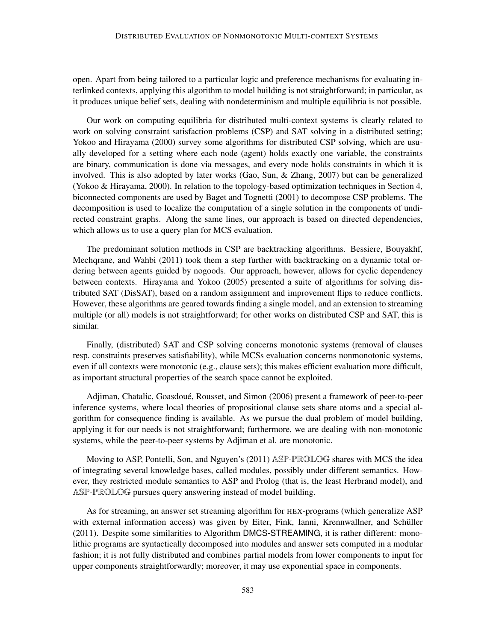open. Apart from being tailored to a particular logic and preference mechanisms for evaluating interlinked contexts, applying this algorithm to model building is not straightforward; in particular, as it produces unique belief sets, dealing with nondeterminism and multiple equilibria is not possible.

Our work on computing equilibria for distributed multi-context systems is clearly related to work on solving constraint satisfaction problems (CSP) and SAT solving in a distributed setting; Yokoo and Hirayama (2000) survey some algorithms for distributed CSP solving, which are usually developed for a setting where each node (agent) holds exactly one variable, the constraints are binary, communication is done via messages, and every node holds constraints in which it is involved. This is also adopted by later works (Gao, Sun, & Zhang, 2007) but can be generalized (Yokoo & Hirayama, 2000). In relation to the topology-based optimization techniques in Section 4, biconnected components are used by Baget and Tognetti (2001) to decompose CSP problems. The decomposition is used to localize the computation of a single solution in the components of undirected constraint graphs. Along the same lines, our approach is based on directed dependencies, which allows us to use a query plan for MCS evaluation.

The predominant solution methods in CSP are backtracking algorithms. Bessiere, Bouyakhf, Mechqrane, and Wahbi (2011) took them a step further with backtracking on a dynamic total ordering between agents guided by nogoods. Our approach, however, allows for cyclic dependency between contexts. Hirayama and Yokoo (2005) presented a suite of algorithms for solving distributed SAT (DisSAT), based on a random assignment and improvement flips to reduce conflicts. However, these algorithms are geared towards finding a single model, and an extension to streaming multiple (or all) models is not straightforward; for other works on distributed CSP and SAT, this is similar.

Finally, (distributed) SAT and CSP solving concerns monotonic systems (removal of clauses resp. constraints preserves satisfiability), while MCSs evaluation concerns nonmonotonic systems, even if all contexts were monotonic (e.g., clause sets); this makes efficient evaluation more difficult, as important structural properties of the search space cannot be exploited.

Adjiman, Chatalic, Goasdoue, Rousset, and Simon (2006) present a framework of peer-to-peer ´ inference systems, where local theories of propositional clause sets share atoms and a special algorithm for consequence finding is available. As we pursue the dual problem of model building, applying it for our needs is not straightforward; furthermore, we are dealing with non-monotonic systems, while the peer-to-peer systems by Adjiman et al. are monotonic.

Moving to ASP, Pontelli, Son, and Nguyen's (2011) ASP-PROLOG shares with MCS the idea of integrating several knowledge bases, called modules, possibly under different semantics. However, they restricted module semantics to ASP and Prolog (that is, the least Herbrand model), and ASP-PROLOG pursues query answering instead of model building.

As for streaming, an answer set streaming algorithm for HEX-programs (which generalize ASP with external information access) was given by Eiter, Fink, Ianni, Krennwallner, and Schüller (2011). Despite some similarities to Algorithm DMCS-STREAMING, it is rather different: monolithic programs are syntactically decomposed into modules and answer sets computed in a modular fashion; it is not fully distributed and combines partial models from lower components to input for upper components straightforwardly; moreover, it may use exponential space in components.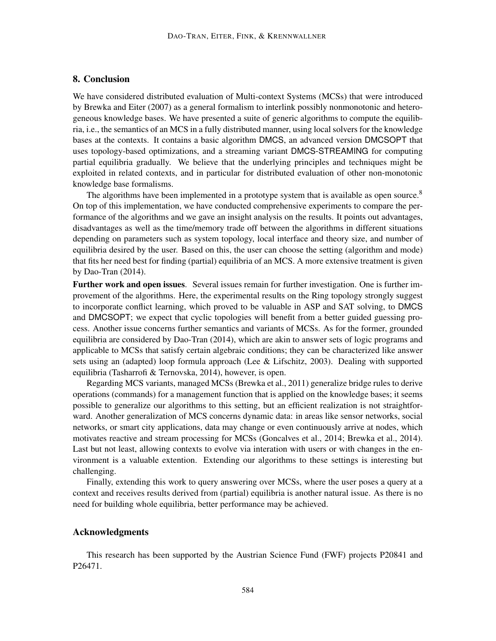# 8. Conclusion

We have considered distributed evaluation of Multi-context Systems (MCSs) that were introduced by Brewka and Eiter (2007) as a general formalism to interlink possibly nonmonotonic and heterogeneous knowledge bases. We have presented a suite of generic algorithms to compute the equilibria, i.e., the semantics of an MCS in a fully distributed manner, using local solvers for the knowledge bases at the contexts. It contains a basic algorithm DMCS, an advanced version DMCSOPT that uses topology-based optimizations, and a streaming variant DMCS-STREAMING for computing partial equilibria gradually. We believe that the underlying principles and techniques might be exploited in related contexts, and in particular for distributed evaluation of other non-monotonic knowledge base formalisms.

The algorithms have been implemented in a prototype system that is available as open source.<sup>8</sup> On top of this implementation, we have conducted comprehensive experiments to compare the performance of the algorithms and we gave an insight analysis on the results. It points out advantages, disadvantages as well as the time/memory trade off between the algorithms in different situations depending on parameters such as system topology, local interface and theory size, and number of equilibria desired by the user. Based on this, the user can choose the setting (algorithm and mode) that fits her need best for finding (partial) equilibria of an MCS. A more extensive treatment is given by Dao-Tran (2014).

Further work and open issues. Several issues remain for further investigation. One is further improvement of the algorithms. Here, the experimental results on the Ring topology strongly suggest to incorporate conflict learning, which proved to be valuable in ASP and SAT solving, to DMCS and DMCSOPT; we expect that cyclic topologies will benefit from a better guided guessing process. Another issue concerns further semantics and variants of MCSs. As for the former, grounded equilibria are considered by Dao-Tran (2014), which are akin to answer sets of logic programs and applicable to MCSs that satisfy certain algebraic conditions; they can be characterized like answer sets using an (adapted) loop formula approach (Lee & Lifschitz, 2003). Dealing with supported equilibria (Tasharrofi & Ternovska, 2014), however, is open.

Regarding MCS variants, managed MCSs (Brewka et al., 2011) generalize bridge rules to derive operations (commands) for a management function that is applied on the knowledge bases; it seems possible to generalize our algorithms to this setting, but an efficient realization is not straightforward. Another generalization of MCS concerns dynamic data: in areas like sensor networks, social networks, or smart city applications, data may change or even continuously arrive at nodes, which motivates reactive and stream processing for MCSs (Goncalves et al., 2014; Brewka et al., 2014). Last but not least, allowing contexts to evolve via interation with users or with changes in the environment is a valuable extention. Extending our algorithms to these settings is interesting but challenging.

Finally, extending this work to query answering over MCSs, where the user poses a query at a context and receives results derived from (partial) equilibria is another natural issue. As there is no need for building whole equilibria, better performance may be achieved.

#### Acknowledgments

This research has been supported by the Austrian Science Fund (FWF) projects P20841 and P26471.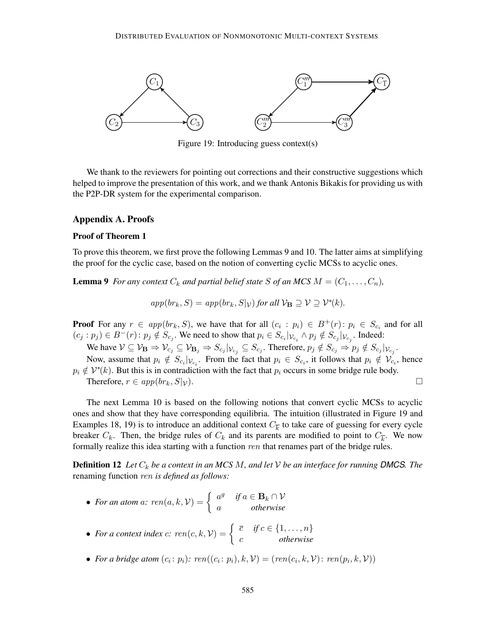

Figure 19: Introducing guess context(s)

We thank to the reviewers for pointing out corrections and their constructive suggestions which helped to improve the presentation of this work, and we thank Antonis Bikakis for providing us with the P2P-DR system for the experimental comparison.

### Appendix A. Proofs

## Proof of Theorem 1

To prove this theorem, we first prove the following Lemmas 9 and 10. The latter aims at simplifying the proof for the cyclic case, based on the notion of converting cyclic MCSs to acyclic ones.

**Lemma 9** *For any context*  $C_k$  *and partial belief state S of an MCS*  $M = (C_1, \ldots, C_n)$ *,* 

$$
app(br_k, S) = app(br_k, S|_{\mathcal{V}}) for all \mathcal{V}_{\mathbf{B}} \supseteq \mathcal{V} \supseteq \mathcal{V}^*(k).
$$

**Proof** For any  $r \in app(br_k, S)$ , we have that for all  $(c_i : p_i) \in B^+(r)$ :  $p_i \in S_{c_i}$  and for all  $(c_j : p_j) \in B^-(r)$ :  $p_j \notin S_{c_j}$ . We need to show that  $p_i \in S_{c_i}|_{\mathcal{V}_{c_i}} \wedge p_j \notin S_{c_j}|_{\mathcal{V}_{c_j}}$ . Indeed:

We have  $\mathcal{V} \subseteq \mathcal{V}_B \Rightarrow \mathcal{V}_{c_j} \subseteq \mathcal{V}_{B_j} \Rightarrow S_{c_j}|_{\mathcal{V}_{c_j}} \subseteq S_{c_j}.$  Therefore,  $p_j \notin S_{c_j} \Rightarrow p_j \notin S_{c_j}|_{\mathcal{V}_{c_j}}.$ 

Now, assume that  $p_i \notin S_{c_i}|_{V_{c_i}}$ . From the fact that  $p_i \in S_{c_i}$ , it follows that  $p_i \notin V_{c_i}$ , hence  $p_i \notin V^*(k)$ . But this is in contradiction with the fact that  $p_i$  occurs in some bridge rule body. Therefore,  $r \in app(br_k, S|_{\mathcal{V}})$ .

The next Lemma 10 is based on the following notions that convert cyclic MCSs to acyclic ones and show that they have corresponding equilibria. The intuition (illustrated in Figure 19 and Examples 18, 19) is to introduce an additional context  $C_{\overline{k}}$  to take care of guessing for every cycle breaker  $C_k$ . Then, the bridge rules of  $C_k$  and its parents are modified to point to  $C_{\overline{k}}$ . We now formally realize this idea starting with a function ren that renames part of the bridge rules.

**Definition 12** Let  $C_k$  be a context in an MCS M, and let V be an interface for running DMCS. The renaming function ren *is defined as follows:*

- For an atom a:  $ren(a, k, V) = \begin{cases} a^g & \text{if } a \in \mathbf{B}_k \cap V \\ a^g & \text{if } a \in \mathbf{B}_k \cap V \end{cases}$ a *otherwise*
- For a context index c:  $ren(c, k, V) = \begin{cases} \bar{c} & \text{if } c \in \{1, ..., n\} \\ \vdots & \text{otherwise} \end{cases}$ c *otherwise*
- *For a bridge atom*  $(c_i : p_i)$ :  $ren((c_i : p_i), k, \mathcal{V}) = (ren(c_i, k, \mathcal{V})$ :  $ren(p_i, k, \mathcal{V}))$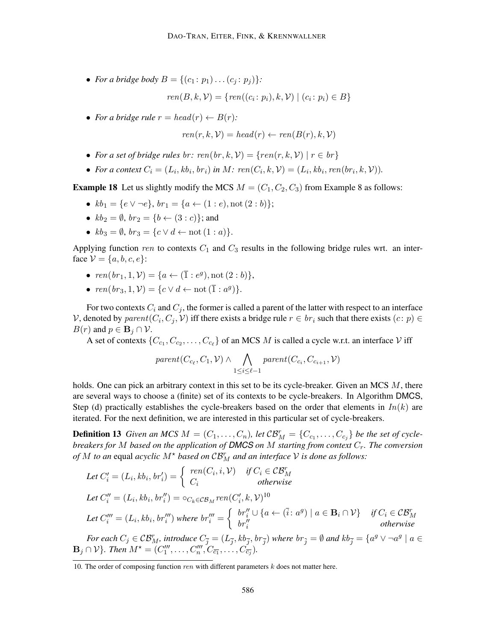• *For a bridge body*  $B = \{(c_1 : p_1) \dots (c_i : p_i)\}$ :

$$
ren(B, k, V) = \{ren((c_i: p_i), k, V) | (c_i: p_i) \in B\}
$$

• For a bridge rule  $r = head(r) \leftarrow B(r)$ :

$$
ren(r, k, V) = head(r) \leftarrow ren(B(r), k, V)
$$

- For a set of bridge rules br:  $ren(br, k, V) = \{ren(r, k, V) | r \in br\}$
- For a context  $C_i = (L_i, kb_i, br_i)$  in M:  $ren(C_i, k, V) = (L_i, kb_i, ren(br_i, k, V)$ .

**Example 18** Let us slightly modify the MCS  $M = (C_1, C_2, C_3)$  from Example 8 as follows:

- $kb_1 = \{e \vee \neg e\}, br_1 = \{a \leftarrow (1 : e), \text{not } (2 : b)\};$
- $kb_2 = \emptyset$ ,  $br_2 = \{b \leftarrow (3 : c)\};$  and
- $kb_3 = \emptyset$ ,  $br_3 = \{c \lor d \leftarrow \text{not } (1 : a)\}.$

Applying function ren to contexts  $C_1$  and  $C_3$  results in the following bridge rules wrt. an interface  $V = \{a, b, c, e\}$ :

- $ren(br_1, 1, V) = \{a \leftarrow (\overline{1} : e^g), \text{not } (2 : b)\},\$
- $ren(br_3, 1, V) = \{c \lor d \leftarrow not(\overline{1} : a^g)\}.$

For two contexts  $C_i$  and  $C_j$ , the former is called a parent of the latter with respect to an interface V, denoted by  $parent(C_i, C_j, V)$  iff there exists a bridge rule  $r \in br_i$  such that there exists  $(c: p) \in$  $B(r)$  and  $p \in \mathbf{B}_j \cap \mathcal{V}$ .

A set of contexts  $\{C_{c_1}, C_{c_2}, \ldots, C_{c_\ell}\}$  of an MCS M is called a cycle w.r.t. an interface V iff

$$
parent(C_{c_{\ell}}, C_1, \mathcal{V}) \wedge \bigwedge_{1 \leq i \leq \ell-1} parent(C_{c_i}, C_{c_{i+1}}, \mathcal{V})
$$

holds. One can pick an arbitrary context in this set to be its cycle-breaker. Given an MCS M, there are several ways to choose a (finite) set of its contexts to be cycle-breakers. In Algorithm DMCS, Step (d) practically establishes the cycle-breakers based on the order that elements in  $In(k)$  are iterated. For the next definition, we are interested in this particular set of cycle-breakers.

**Definition 13** Given an MCS  $M = (C_1, \ldots, C_n)$ , let  $\mathcal{CB}_M^r = \{C_{c_1}, \ldots, C_{c_j}\}$  be the set of cycle*breakers for* M *based on the application of DMCS on* M *starting from context* Cr*. The conversion of*  $M$  *to an* equal *acyclic*  $M^*$  *based on*  $\mathcal{CB}_M^r$  *and an interface*  $\mathcal V$  *is done as follows:* 

Let 
$$
C'_i = (L_i, kb_i, br'_i) = \begin{cases} ren(C_i, i, \mathcal{V}) & \text{if } C_i \in \mathcal{CB}_M^r \\ C_i & \text{otherwise} \end{cases}
$$
  
\nLet  $C''_i = (L_i, kb_i, br''_i) = o_{C_k \in \mathcal{CB}_M} ren(C'_i, k, \mathcal{V})^{10}$   
\nLet  $C'''_i = (L_i, kb_i, br'''_i)$  where  $br'''_i = \begin{cases} br''_i \cup \{a \leftarrow (\overline{i}: a^g) \mid a \in \mathbf{B}_i \cap \mathcal{V}\} & \text{if } C_i \in \mathcal{CB}_M^r \\ br''_i & \text{otherwise} \end{cases}$ 

*For each*  $C_j \in \mathcal{CB}_M^r$ , introduce  $C_{\overline{j}} = (L_{\overline{j}}, kb_{\overline{j}}, br_{\overline{j}})$  where  $br_{\overline{j}} = \emptyset$  and  $kb_{\overline{j}} = \{a^g \vee \neg a^g \mid a \in$  $\mathbf{B}_j \cap \mathcal{V}$ *}. Then*  $M^* = (C''_1, \ldots, C''_n, C_{\overline{c_1}}, \ldots, C'_{\overline{c_j}})$ *.* 

<sup>10.</sup> The order of composing function *ren* with different parameters  $k$  does not matter here.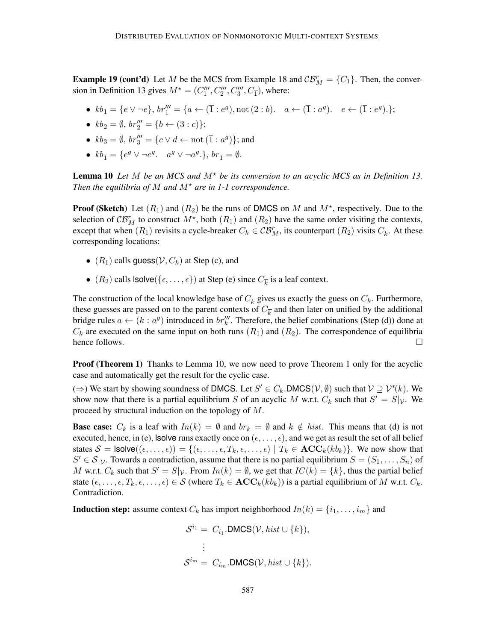**Example 19 (cont'd)** Let M be the MCS from Example 18 and  $\mathcal{CB}_M^r = \{C_1\}$ . Then, the conversion in Definition 13 gives  $M^* = (C_1''', C_2''', C_3''', C_{\overline{1}})$ , where:

- $kb_1 = \{e \lor \neg e\}, br_1''' = \{a \leftarrow (\overline{1} : e^g), \text{not } (2 : b). \quad a \leftarrow (\overline{1} : a^g). \quad e \leftarrow (\overline{1} : e^g). \};$
- $kb_2 = \emptyset$ ,  $br''_2 = \{b \leftarrow (3 : c)\};$
- $kb_3 = \emptyset$ ,  $br_3''' = \{c \lor d \leftarrow \text{not } (\overline{1} : a^g)\};$  and
- $kb_{\overline{1}} = \{e^g \vee \neg e^g \cdot a^g \vee \neg a^g \cdot \}, br_{\overline{1}} = \emptyset.$

**Lemma 10** Let M be an MCS and  $M^*$  be its conversion to an acyclic MCS as in Definition 13. *Then the equilibria of*  $M$  *and*  $M^*$  *are in 1-1 correspondence.* 

**Proof (Sketch)** Let  $(R_1)$  and  $(R_2)$  be the runs of DMCS on M and  $M^*$ , respectively. Due to the selection of  $\mathcal{CB}_M^r$  to construct  $M^*$ , both  $(R_1)$  and  $(R_2)$  have the same order visiting the contexts, except that when  $(R_1)$  revisits a cycle-breaker  $C_k \in \mathcal{CB}_M^r$ , its counterpart  $(R_2)$  visits  $C_{\overline{k}}$ . At these corresponding locations:

- $(R_1)$  calls guess $(V, C_k)$  at Step (c), and
- $(R_2)$  calls  $\textsf{lsolve}(\{\epsilon, \ldots, \epsilon\})$  at Step (e) since  $C_{\overline{k}}$  is a leaf context.

The construction of the local knowledge base of  $C_{\overline{k}}$  gives us exactly the guess on  $C_k$ . Furthermore, these guesses are passed on to the parent contexts of  $C_{\overline{k}}$  and then later on unified by the additional bridge rules  $a \leftarrow (\overline{k} : a^g)$  introduced in  $br_k'''$ . Therefore, the belief combinations (Step (d)) done at  $C_k$  are executed on the same input on both runs  $(R_1)$  and  $(R_2)$ . The correspondence of equilibria hence follows.  $\Box$ 

**Proof (Theorem 1)** Thanks to Lemma 10, we now need to prove Theorem 1 only for the acyclic case and automatically get the result for the cyclic case.

(⇒) We start by showing soundness of DMCS. Let  $S' \in C_k$ . DMCS( $V, \emptyset$ ) such that  $V \supseteq V^*(k)$ . We show now that there is a partial equilibrium S of an acyclic M w.r.t.  $C_k$  such that  $S' = S|_{\mathcal{V}}$ . We proceed by structural induction on the topology of M.

**Base case:**  $C_k$  is a leaf with  $In(k) = \emptyset$  and  $br_k = \emptyset$  and  $k \notin hist$ . This means that (d) is not executed, hence, in (e), lsolve runs exactly once on  $(\epsilon, \dots, \epsilon)$ , and we get as result the set of all belief states  $S = \textsf{lsolve}((\epsilon, \ldots, \epsilon)) = \{(\epsilon, \ldots, \epsilon, T_k, \epsilon, \ldots, \epsilon) \mid T_k \in \text{ACC}_k(kb_k)\}\)$ . We now show that  $S' \in \mathcal{S}|_{\mathcal{V}}$ . Towards a contradiction, assume that there is no partial equilibrium  $S = (S_1, \ldots, S_n)$  of M w.r.t.  $C_k$  such that  $S' = S|\mathcal{V}$ . From  $In(k) = \emptyset$ , we get that  $IC(k) = \{k\}$ , thus the partial belief state  $(\epsilon, \ldots, \epsilon, T_k, \epsilon, \ldots, \epsilon) \in S$  (where  $T_k \in \mathbf{ACC}_k(kb_k)$ ) is a partial equilibrium of M w.r.t.  $C_k$ . Contradiction.

**Induction step:** assume context  $C_k$  has import neighborhood  $In(k) = \{i_1, \ldots, i_m\}$  and

$$
S^{i_1} = C_{i_1}.\text{DMCS}(\mathcal{V}, hist \cup \{k\}),
$$
  

$$
\vdots
$$
  

$$
S^{i_m} = C_{i_m}.\text{DMCS}(\mathcal{V}, hist \cup \{k\}).
$$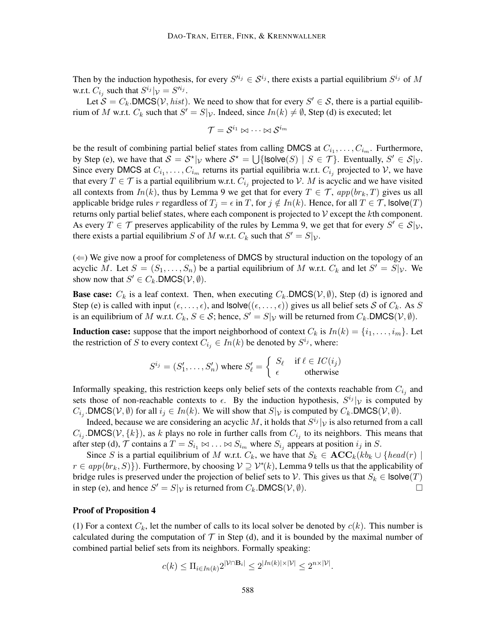Then by the induction hypothesis, for every  $S^{i_j} \in S^{i_j}$ , there exists a partial equilibrium  $S^{i_j}$  of M w.r.t.  $C_{i_j}$  such that  $S^{i_j}|_V = S'^{i_j}$ .

Let  $S = C_k$ . DMCS(*V*, *hist*). We need to show that for every  $S' \in S$ , there is a partial equilibrium of M w.r.t.  $C_k$  such that  $S' = S|\mathcal{V}|$ . Indeed, since  $In(k) \neq \emptyset$ , Step (d) is executed; let

$$
\mathcal{T} = \mathcal{S}^{i_1} \Join \dots \Join \mathcal{S}^{i_m}
$$

be the result of combining partial belief states from calling DMCS at  $C_{i_1}, \ldots, C_{i_m}$ . Furthermore, by Step (e), we have that  $S = S^*|_{\mathcal{V}}$  where  $S^* = \bigcup \{ \text{lsolve}(S) \mid S \in \mathcal{T} \}$ . Eventually,  $S' \in S|_{\mathcal{V}}$ . Since every DMCS at  $C_{i_1}, \ldots, C_{i_m}$  returns its partial equilibria w.r.t.  $C_{i_j}$  projected to  $\mathcal{V}$ , we have that every  $T \in \mathcal{T}$  is a partial equilibrium w.r.t.  $C_{i_j}$  projected to  $\mathcal{V}$ . M is acyclic and we have visited all contexts from  $In(k)$ , thus by Lemma 9 we get that for every  $T \in \mathcal{T}$ ,  $app(br_k, T)$  gives us all applicable bridge rules r regardless of  $T_j = \epsilon$  in T, for  $j \notin In(k)$ . Hence, for all  $T \in \mathcal{T}$ , lsolve(T) returns only partial belief states, where each component is projected to  $\mathcal V$  except the kth component. As every  $T \in \mathcal{T}$  preserves applicability of the rules by Lemma 9, we get that for every  $S' \in \mathcal{S}|_{\mathcal{V}},$ there exists a partial equilibrium S of M w.r.t.  $C_k$  such that  $S' = S|\mathcal{V}|$ .

 $(\Leftarrow)$  We give now a proof for completeness of DMCS by structural induction on the topology of an acyclic M. Let  $S = (S_1, \ldots, S_n)$  be a partial equilibrium of M w.r.t.  $C_k$  and let  $S' = S|\mathcal{V}$ . We show now that  $S' \in C_k$ . DMCS $(\mathcal{V}, \emptyset)$ .

**Base case:**  $C_k$  is a leaf context. Then, when executing  $C_k$ . DMCS( $V$ ,  $\emptyset$ ), Step (d) is ignored and Step (e) is called with input  $(\epsilon, \ldots, \epsilon)$ , and  $\textsf{lsolve}((\epsilon, \ldots, \epsilon))$  gives us all belief sets S of  $C_k$ . As S is an equilibrium of M w.r.t.  $C_k$ ,  $S \in \mathcal{S}$ ; hence,  $S' = S|\mathcal{V}$  will be returned from  $C_k$ . DMCS( $\mathcal{V}, \emptyset$ ).

**Induction case:** suppose that the import neighborhood of context  $C_k$  is  $In(k) = \{i_1, \ldots, i_m\}$ . Let the restriction of S to every context  $C_{i_j} \in In(k)$  be denoted by  $S^{i_j}$ , where:

$$
S^{i_j} = (S'_1, \dots, S'_n) \text{ where } S'_\ell = \left\{ \begin{array}{ll} S_\ell & \text{if } \ell \in IC(i_j) \\ \epsilon & \text{otherwise} \end{array} \right.
$$

Informally speaking, this restriction keeps only belief sets of the contexts reachable from  $C_{i_j}$  and sets those of non-reachable contexts to  $\epsilon$ . By the induction hypothesis,  $S^{i_j}|\nu$  is computed by  $C_{i_j}$ . DMCS( $V, \emptyset$ ) for all  $i_j \in In(k)$ . We will show that  $S|_V$  is computed by  $C_k$ . DMCS( $V, \emptyset$ ).

Indeed, because we are considering an acyclic  $M$ , it holds that  $S^{i_j}|_{\mathcal{V}}$  is also returned from a call  $C_{i_j}$ . DMCS(V, {k}), as k plays no role in further calls from  $C_{i_j}$  to its neighbors. This means that after step (d),  $\mathcal T$  contains a  $T = S_{i_1} \bowtie \ldots \bowtie S_{i_m}$  where  $S_{i_j}$  appears at position  $i_j$  in  $S$ .

Since S is a partial equilibrium of M w.r.t.  $C_k$ , we have that  $S_k \in \mathbf{ACC}_k(kb_k \cup \{head(r) \mid$  $r \in app(br_k, S)$ . Furthermore, by choosing  $V \supseteq V^*(k)$ , Lemma 9 tells us that the applicability of bridge rules is preserved under the projection of belief sets to V. This gives us that  $S_k \in \text{Isolve}(T)$ in step (e), and hence  $S' = S|_{\mathcal{V}}$  is returned from  $C_k$ . DMCS( $\mathcal{V}, \emptyset$ ).

#### Proof of Proposition 4

(1) For a context  $C_k$ , let the number of calls to its local solver be denoted by  $c(k)$ . This number is calculated during the computation of  $\mathcal T$  in Step (d), and it is bounded by the maximal number of combined partial belief sets from its neighbors. Formally speaking:

$$
c(k) \le \Pi_{i \in In(k)} 2^{|\mathcal{V} \cap \mathbf{B}_i|} \le 2^{|In(k)| \times |\mathcal{V}|} \le 2^{n \times |\mathcal{V}|}.
$$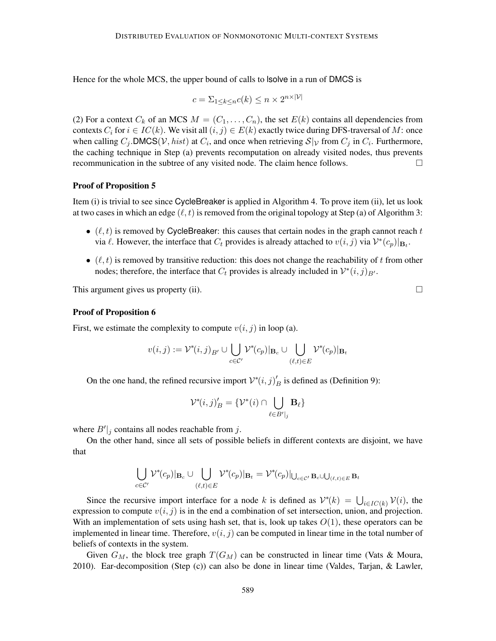Hence for the whole MCS, the upper bound of calls to lsolve in a run of DMCS is

$$
c = \sum_{1 \le k \le n} c(k) \le n \times 2^{n \times |\mathcal{V}|}
$$

(2) For a context  $C_k$  of an MCS  $M = (C_1, \ldots, C_n)$ , the set  $E(k)$  contains all dependencies from contexts  $C_i$  for  $i \in IC(k)$ . We visit all  $(i, j) \in E(k)$  exactly twice during DFS-traversal of M: once when calling  $C_j$ . DMCS(*V*, *hist*) at  $C_i$ , and once when retrieving  $S|_{\mathcal{V}}$  from  $C_j$  in  $C_i$ . Furthermore, the caching technique in Step (a) prevents recomputation on already visited nodes, thus prevents recommunication in the subtree of any visited node. The claim hence follows.

### Proof of Proposition 5

Item (i) is trivial to see since CycleBreaker is applied in Algorithm 4. To prove item (ii), let us look at two cases in which an edge  $(\ell, t)$  is removed from the original topology at Step (a) of Algorithm 3:

- $(\ell, t)$  is removed by CycleBreaker: this causes that certain nodes in the graph cannot reach t via  $\ell$ . However, the interface that  $C_t$  provides is already attached to  $v(i, j)$  via  $\mathcal{V}^*(c_p)|_{\mathbf{B}_t}$ .
- $\bullet$  ( $\ell, t$ ) is removed by transitive reduction: this does not change the reachability of t from other nodes; therefore, the interface that  $C_t$  provides is already included in  $\mathcal{V}^*(i,j)_{B'}$ .

This argument gives us property (ii).  $\Box$ 

#### Proof of Proposition 6

First, we estimate the complexity to compute  $v(i, j)$  in loop (a).

$$
v(i,j) := \mathcal{V}^*(i,j)_{B'} \cup \bigcup_{c \in C'} \mathcal{V}^*(c_p)|_{\mathbf{B}_c} \cup \bigcup_{(\ell,t) \in E} \mathcal{V}^*(c_p)|_{\mathbf{B}_t}
$$

On the one hand, the refined recursive import  $V^*(i, j)$  $\frac{B}{B}$  is defined as (Definition 9):

$$
\mathcal{V}^*(i,j)'_B = \{ \mathcal{V}^*(i) \cap \bigcup_{\ell \in B'|_j} \mathbf{B}_{\ell} \}
$$

where  $B'|_j$  contains all nodes reachable from j.

On the other hand, since all sets of possible beliefs in different contexts are disjoint, we have that

$$
\bigcup_{c \in \mathcal{C}'} \mathcal{V}^*(c_p)|_{\mathbf{B}_c} \cup \bigcup_{(\ell,t) \in E} \mathcal{V}^*(c_p)|_{\mathbf{B}_t} = \mathcal{V}^*(c_p)|_{\bigcup_{c \in \mathcal{C}'} \mathbf{B}_c \cup \bigcup_{(\ell,t) \in E} \mathbf{B}_t}
$$

Since the recursive import interface for a node k is defined as  $V^*(k) = \bigcup_{i \in IC(k)} V(i)$ , the expression to compute  $v(i, j)$  is in the end a combination of set intersection, union, and projection. With an implementation of sets using hash set, that is, look up takes  $O(1)$ , these operators can be implemented in linear time. Therefore,  $v(i, j)$  can be computed in linear time in the total number of beliefs of contexts in the system.

Given  $G_M$ , the block tree graph  $T(G_M)$  can be constructed in linear time (Vats & Moura, 2010). Ear-decomposition (Step (c)) can also be done in linear time (Valdes, Tarjan, & Lawler,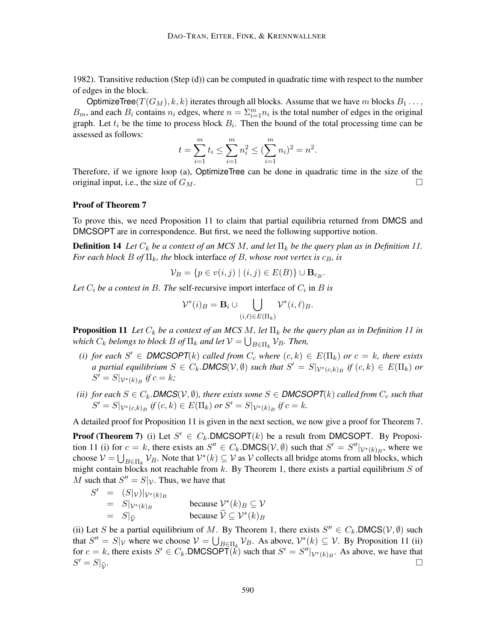1982). Transitive reduction (Step (d)) can be computed in quadratic time with respect to the number of edges in the block.

OptimizeTree( $T(G_M)$ , k, k) iterates through all blocks. Assume that we have m blocks  $B_1 \ldots$ ,  $B_m$ , and each  $B_i$  contains  $n_i$  edges, where  $n = \sum_{i=1}^m n_i$  is the total number of edges in the original graph. Let  $t_i$  be the time to process block  $B_i$ . Then the bound of the total processing time can be assessed as follows:

$$
t = \sum_{i=1}^{m} t_i \le \sum_{i=1}^{m} n_i^2 \le (\sum_{i=1}^{m} n_i)^2 = n^2.
$$

Therefore, if we ignore loop (a), OptimizeTree can be done in quadratic time in the size of the original input, i.e., the size of  $G_M$ .

### Proof of Theorem 7

To prove this, we need Proposition 11 to claim that partial equilibria returned from DMCS and DMCSOPT are in correspondence. But first, we need the following supportive notion.

**Definition 14** Let  $C_k$  be a context of an MCS M, and let  $\Pi_k$  be the query plan as in Definition 11. *For each block*  $B$  *of*  $\Pi_k$ *, the block interface of*  $B$ *, whose root vertex is*  $c_B$ *, is* 

$$
\mathcal{V}_B = \{ p \in v(i,j) \mid (i,j) \in E(B) \} \cup \mathbf{B}_{c_B}.
$$

Let  $C_i$  be a context in B. The self-recursive import interface of  $C_i$  in B is

$$
\mathcal{V}^*(i)_B = \mathbf{B}_i \cup \bigcup_{(i,\ell) \in E(\Pi_k)} \mathcal{V}^*(i,\ell)_B.
$$

**Proposition 11** Let  $C_k$  be a context of an MCS M, let  $\Pi_k$  be the query plan as in Definition 11 in which  $C_k$  belongs to block  $B$  of  $\Pi_k$  and let  $\mathcal{V} = \bigcup_{B \in \Pi_k} \mathcal{V}_B$ . Then,

- (*i*) *for each*  $S' \in \text{DMCSOPT}(k)$  *called from*  $C_c$  *where*  $(c, k) \in E(\Pi_k)$  *or*  $c = k$ *, there exists a partial equilibrium*  $S \in C_k$ . DMCS(V,  $\emptyset$ ) *such that*  $S' = S|_{\mathcal{V}^*(c,k)_B}$  if  $(c,k) \in E(\Pi_k)$  or  $S' = S|_{\mathcal{V}^*(k)_B}$  if  $c = k$ ;
- *(ii) for each*  $S \in C_k$ *.DMCS* $(V, \emptyset)$ *, there exists some*  $S \in$  *DMCSOPT* $(k)$  *called from*  $C_c$  *such that*  $S' = S|_{\mathcal{V}^*(c,k)_B}$  if  $(c, k) \in E(\Pi_k)$  or  $S' = S|_{\mathcal{V}^*(k)_B}$  if  $c = k$ .

A detailed proof for Proposition 11 is given in the next section, we now give a proof for Theorem 7.

**Proof (Theorem 7)** (i) Let  $S' \in C_k$ . DMCSOPT(k) be a result from DMCSOPT. By Proposition 11 (i) for  $c = k$ , there exists an  $S'' \in C_k$ . DMCS( $V, \emptyset$ ) such that  $S' = S''|_{V^*(k)_B}$ , where we choose  $V = \bigcup_{B \in \Pi_k} V_B$ . Note that  $V^*(k) \subseteq V$  as V collects all bridge atoms from all blocks, which might contain blocks not reachable from  $k$ . By Theorem 1, there exists a partial equilibrium  $S$  of M such that  $S'' = S|\mathcal{V}|$ . Thus, we have that

$$
S' = (S|\mathcal{V})|\mathcal{V}^*(k)_{B}
$$
  
=  $S|\mathcal{V}^*(k)_{B}$  because  $V^*(k)_{B} \subseteq V$   
=  $S|\mathcal{V}^*(k)_{B}$  because  $\hat{V} \subseteq V^*(k)_{B}$ 

(ii) Let S be a partial equilibrium of M. By Theorem 1, there exists  $S'' \in C_k$ . DMCS( $V, \emptyset$ ) such that  $S'' = S|_{\mathcal{V}}$  where we choose  $\mathcal{V} = \bigcup_{B \in \Pi_k} \mathcal{V}_B$ . As above,  $\mathcal{V}^*(k) \subseteq \mathcal{V}$ . By Proposition 11 (ii) for  $c = k$ , there exists  $S' \in C_k$ . DMCSOPT $(\hat{k})$  such that  $S' = S''|_{\mathcal{V}^*(k)_B}$ . As above, we have that  $S' = S$  $\hat{\mathcal{V}}$ .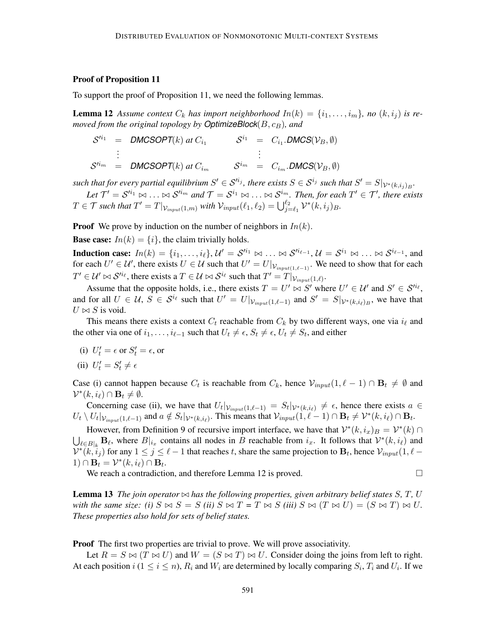### Proof of Proposition 11

To support the proof of Proposition 11, we need the following lemmas.

**Lemma 12** Assume context  $C_k$  has import neighborhood  $In(k) = \{i_1, \ldots, i_m\}$ , no  $(k, i_j)$  is re*moved from the original topology by OptimizeBlock*( $B, c_B$ )*, and* 

$$
S^{i_1} = \text{DMCSOPT}(k) \text{ at } C_{i_1} \qquad S^{i_1} = C_{i_1}.\text{DMCS}(\mathcal{V}_B, \emptyset)
$$
  
\n:  
\n
$$
S^{i_m} = \text{DMCSOPT}(k) \text{ at } C_{i_m} \qquad S^{i_m} = C_{i_m}.\text{DMCS}(\mathcal{V}_B, \emptyset)
$$

 $s$ uch that for every partial equilibrium  $S' \in \mathcal{S}^{i_j}$ , there exists  $S \in \mathcal{S}^{i_j}$  such that  $S' = S|_{\mathcal{V}^*(k,i_j)_B}$ .

Let  $\mathcal{T}'=\mathcal{S}'^{i_1}\bowtie\ldots\bowtie\mathcal{S}'^{i_m}$  and  $\mathcal{T}=\mathcal{S}^{i_1}\bowtie\ldots\bowtie\mathcal{S}^{i_m}$ . Then, for each  $T'\in\mathcal{T}'$ , there exists  $T \in \mathcal{T}$  such that  $T' = T|_{\mathcal{V}_{input}(1,m)}$  with  $\mathcal{V}_{input}(\ell_1, \ell_2) = \bigcup_{j=\ell_1}^{\ell_2} \mathcal{V}^*(k, i_j)_B$ .

**Proof** We prove by induction on the number of neighbors in  $In(k)$ .

**Base case:**  $In(k) = \{i\}$ , the claim trivially holds.

**Induction case:**  $In(k) = \{i_1, \ldots, i_\ell\}, \mathcal{U}' = \mathcal{S}'^{i_1} \bowtie \ldots \bowtie \mathcal{S}'^{i_{\ell-1}}, \mathcal{U} = \mathcal{S}^{i_1} \bowtie \ldots \bowtie \mathcal{S}^{i_{\ell-1}},$  and for each  $U' \in U'$ , there exists  $U \in U$  such that  $U' = U|_{V_{input(1,\ell-1)}}$ . We need to show that for each  $T' \in \mathcal{U}' \bowtie \mathcal{S}'^{i_{\ell}}$ , there exists a  $T \in \mathcal{U} \bowtie \mathcal{S}^{i_{\ell}}$  such that  $T' = T|_{\mathcal{V}_{input}(1,\ell)}$ .

Assume that the opposite holds, i.e., there exists  $T = U' \bowtie S'$  where  $U' \in U'$  and  $S' \in S'^{i_{\ell}},$ and for all  $U \in \mathcal{U}$ ,  $S \in \mathcal{S}^{i_{\ell}}$  such that  $U' = U|_{\mathcal{V}_{input}(1,\ell-1)}$  and  $S' = S|_{\mathcal{V}^{*}(k,i_{\ell})B}$ , we have that  $U \bowtie S$  is void.

This means there exists a context  $C_t$  reachable from  $C_k$  by two different ways, one via  $i_\ell$  and the other via one of  $i_1, \ldots, i_{\ell-1}$  such that  $U_t \neq \epsilon$ ,  $S_t \neq \epsilon$ ,  $U_t \neq S_t$ , and either

(i)  $U'_t = \epsilon$  or  $S'_t = \epsilon$ , or

(ii) 
$$
U'_t = S'_t \neq \epsilon
$$

Case (i) cannot happen because  $C_t$  is reachable from  $C_k$ , hence  $\mathcal{V}_{input}(1, \ell - 1) \cap \mathbf{B}_t \neq \emptyset$  and  $\mathcal{V}^*(k, i_\ell) \cap \mathbf{B}_t \neq \emptyset.$ 

Concerning case (ii), we have that  $U_t|_{V_{input}(1,\ell-1)} = S_t|_{V^*(k,i_\ell)} \neq \epsilon$ , hence there exists  $a \in$  $U_t \setminus U_t|_{\mathcal{V}_{input}(1,\ell-1)}$  and  $a \notin S_t|_{\mathcal{V}^*(k,i_\ell)}$ . This means that  $\mathcal{V}_{input}(1,\ell-1) \cap \mathbf{B}_t \neq \mathcal{V}^*(k,i_\ell) \cap \mathbf{B}_t$ .

However, from Definition 9 of recursive import interface, we have that  $\mathcal{V}^*(k, i_x)_B = \mathcal{V}^*(k) \cap$  $\bigcup_{\ell \in B|_k} \mathbf{B}_{\ell}$ , where  $B|_{i_x}$  contains all nodes in B reachable from  $i_x$ . It follows that  $\mathcal{V}^*(k, i_\ell)$  and  $\mathcal{V}^*(\vec{k},\vec{i}_j)$  for any  $1 \leq j \leq \ell-1$  that reaches t, share the same projection to  $\mathbf{B}_t$ , hence  $\mathcal{V}_{input}(1,\ell-1)$  $1) \cap \mathbf{B}_t = \mathcal{V}^*(k, i_\ell) \cap \mathbf{B}_t.$ 

We reach a contradiction, and therefore Lemma 12 is proved.

**Lemma 13** *The join operator*  $\bowtie$  *has the following properties, given arbitrary belief states* S, T, U *with the same size: (i)*  $S \bowtie S = S$  *(ii)*  $S \bowtie T = T \bowtie S$  *(iii)*  $S \bowtie (T \bowtie U) = (S \bowtie T) \bowtie U$ . *These properties also hold for sets of belief states.*

**Proof** The first two properties are trivial to prove. We will prove associativity.

Let  $R = S \bowtie (T \bowtie U)$  and  $W = (S \bowtie T) \bowtie U$ . Consider doing the joins from left to right. At each position  $i$  ( $1 \le i \le n$ ),  $R_i$  and  $W_i$  are determined by locally comparing  $S_i$ ,  $T_i$  and  $U_i$ . If we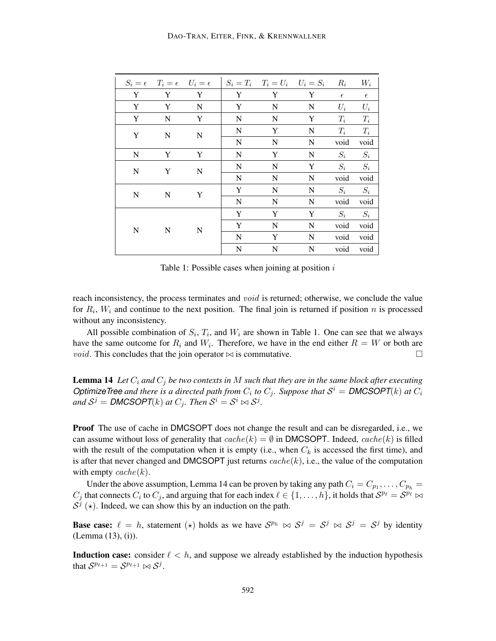|           | $S_i = \epsilon \quad T_i = \epsilon \quad U_i = \epsilon$ |             |             | $S_i = T_i$ $T_i = U_i$ $U_i = S_i$ |             | $R_i$      | $W_i$      |
|-----------|------------------------------------------------------------|-------------|-------------|-------------------------------------|-------------|------------|------------|
| Y         | Y                                                          | Y           | Y           | Y                                   | Y           | $\epsilon$ | $\epsilon$ |
| Y         | Y                                                          | N           | Y           | ${\bf N}$                           | $\mathbf N$ | $U_i$      | $U_i$      |
| Y         | $\mathbf N$                                                | Y           | N           | ${\bf N}$                           | Y           | $T_i$      | $T_i$      |
| Y         | N                                                          | N           | N           | Y                                   | N           | $T_i$      | $T_i$      |
|           |                                                            |             | ${\bf N}$   | N                                   | N           | void       | void       |
| N         | Y                                                          | Y           | N           | Y                                   | $\mathbf N$ | $S_i$      | $S_i$      |
| ${\bf N}$ | Y                                                          | $\mathbf N$ | N           | N                                   | Y           | $S_i$      | $S_i$      |
|           |                                                            |             | N           | N                                   | $\mathbf N$ | void       | void       |
| N         | N                                                          | Y           | Y           | N                                   | N           | $S_i$      | $S_i$      |
|           |                                                            |             | N           | N                                   | N           | void       | void       |
|           | N                                                          | N           | Y           | Y                                   | Y           | $S_i$      | $S_i$      |
| N         |                                                            |             | Y           | N                                   | N           | void       | void       |
|           |                                                            |             | N           | Y                                   | N           | void       | void       |
|           |                                                            |             | $\mathbf N$ | N                                   | $\mathbf N$ | void       | void       |

Table 1: Possible cases when joining at position  $i$ 

reach inconsistency, the process terminates and *void* is returned; otherwise, we conclude the value for  $R_i$ ,  $W_i$  and continue to the next position. The final join is returned if position n is processed without any inconsistency.

All possible combination of  $S_i$ ,  $T_i$ , and  $W_i$  are shown in Table 1. One can see that we always have the same outcome for  $R_i$  and  $W_i$ . Therefore, we have in the end either  $R = W$  or both are *void*. This concludes that the join operator  $\bowtie$  is commutative.

**Lemma 14** Let  $C_i$  and  $C_j$  be two contexts in M such that they are in the same block after executing *OptimizeTree and there is a directed path from*  $C_i$  to  $C_j$ . Suppose that  $S^i =$  **DMCSOPT**(k) at  $C_i$ and  $S^j = \textit{DMCSOPT}(k)$  at  $C_j$ . Then  $S^i = S^i \bowtie S^j$ .

Proof The use of cache in DMCSOPT does not change the result and can be disregarded, i.e., we can assume without loss of generality that  $cache(k) = \emptyset$  in DMCSOPT. Indeed,  $cache(k)$  is filled with the result of the computation when it is empty (i.e., when  $C_k$  is accessed the first time), and is after that never changed and DMCSOPT just returns  $cache(k)$ , i.e., the value of the computation with empty  $cache(k)$ .

Under the above assumption, Lemma 14 can be proven by taking any path  $C_i = C_{p_1}, \ldots, C_{p_h} =$  $C_j$  that connects  $C_i$  to  $C_j$ , and arguing that for each index  $\ell \in \{1, \ldots, h\}$ , it holds that  $S^{p_\ell} = S^{p_\ell} \bowtie$  $S^{j}$  ( $\star$ ). Indeed, we can show this by an induction on the path.

**Base case:**  $\ell = h$ , statement  $(\star)$  holds as we have  $S^{p_h} \bowtie S^j = S^j \bowtie S^j = S^j$  by identity (Lemma (13), (i)).

**Induction case:** consider  $\ell < h$ , and suppose we already established by the induction hypothesis that  $S^{p_{\ell+1}} = S^{p_{\ell+1}} \bowtie S^j$ .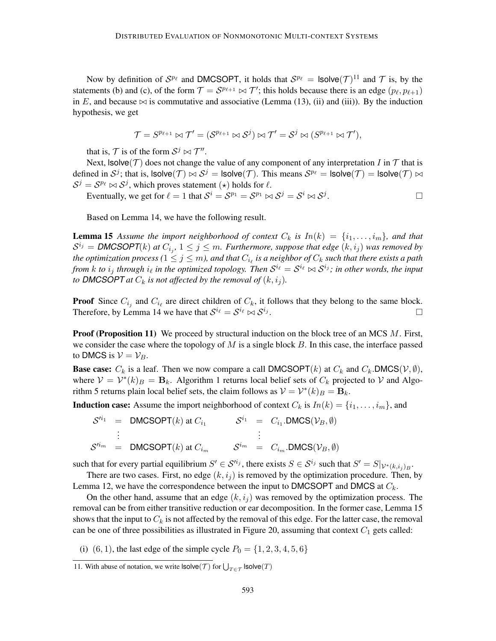Now by definition of  $S^{p_\ell}$  and DMCSOPT, it holds that  $S^{p_\ell} = \textsf{lsolve}(\mathcal{T})^{11}$  and  $\mathcal T$  is, by the statements (b) and (c), of the form  $\mathcal{T} = \mathcal{S}^{p_{\ell+1}} \bowtie \mathcal{T}'$ ; this holds because there is an edge  $(p_\ell, p_{\ell+1})$ in E, and because  $\bowtie$  is commutative and associative (Lemma (13), (ii) and (iii)). By the induction hypothesis, we get

$$
\mathcal{T}=S^{p_{\ell+1}} \bowtie \mathcal{T}' = (\mathcal{S}^{p_{\ell+1}} \bowtie \mathcal{S}^j) \bowtie \mathcal{T}' = \mathcal{S}^j \bowtie (S^{p_{\ell+1}} \bowtie \mathcal{T}'),
$$

that is,  $\mathcal{T}$  is of the form  $\mathcal{S}^j \bowtie \mathcal{T}''$ .

Next,  $Isolve(\mathcal{T})$  does not change the value of any component of any interpretation I in  $\mathcal T$  that is defined in  $S^j$ ; that is,  $\textsf{lsolve}(\mathcal{T}) \bowtie S^j = \textsf{lsolve}(\mathcal{T})$ . This means  $S^{p_\ell} = \textsf{lsolve}(\mathcal{T}) = \textsf{lsolve}(\mathcal{T}) \bowtie$  $S^j = S^{p_\ell} \bowtie S^j$ , which proves statement  $(\star)$  holds for  $\ell$ .

Eventually, we get for  $\ell = 1$  that  $S^i = S^{p_1} = S^{p_1} \bowtie S^j = S^i \bowtie S^j$ . — Процессиональные просто производства и продага в собстановки с производствовки с производствовки с произво<br>В собстановки с производствовки с производствовки с производствовки с производствовки с производствовки с прои

Based on Lemma 14, we have the following result.

**Lemma 15** Assume the import neighborhood of context  $C_k$  is  $In(k) = \{i_1, \ldots, i_m\}$ , and that  $\mathcal{S}^{i_j} = \textsf{DMCSOPT}(k)$  at  $C_{i_j}, 1 \leq j \leq m$ . Furthermore, suppose that edge  $(k, i_j)$  was removed by the optimization process ( $1\leq j\leq m$ ), and that  $C_{i_\ell}$  is a neighbor of  $C_k$  such that there exists a path from  $k$  to  $i_j$  through  $i_\ell$  in the optimized topology. Then  $\mathcal{S}^{i_\ell} = \mathcal{S}^{i_\ell} \bowtie \mathcal{S}^{i_j}$ ; in other words, the input *to* DMCSOPT at  $C_k$  is not affected by the removal of  $(k, i_j)$ .

**Proof** Since  $C_{i_j}$  and  $C_{i_\ell}$  are direct children of  $C_k$ , it follows that they belong to the same block. Therefore, by Lemma 14 we have that  $S^{i_\ell} = S^{i_\ell} \bowtie S^{i_j}$ .

**Proof (Proposition 11)** We proceed by structural induction on the block tree of an MCS  $M$ . First, we consider the case where the topology of  $M$  is a single block  $B$ . In this case, the interface passed to DMCS is  $V = V_B$ .

**Base case:**  $C_k$  is a leaf. Then we now compare a call DMCSOPT(k) at  $C_k$  and  $C_k$ . DMCS( $V, \emptyset$ ), where  $V = V^*(k)_B = B_k$ . Algorithm 1 returns local belief sets of  $C_k$  projected to V and Algorithm 5 returns plain local belief sets, the claim follows as  $\mathcal{V} = \mathcal{V}^*(k)_B = \mathbf{B}_k$ .

**Induction case:** Assume the import neighborhood of context  $C_k$  is  $In(k) = \{i_1, \ldots, i_m\}$ , and

$$
S'^{i_1} = \text{DMCSOPT}(k) \text{ at } C_{i_1} \qquad S^{i_1} = C_{i_1}.\text{DMCS}(\mathcal{V}_B, \emptyset)
$$
  
\n:  
\n
$$
S'^{i_m} = \text{DMCSOPT}(k) \text{ at } C_{i_m} \qquad S^{i_m} = C_{i_m}.\text{DMCS}(\mathcal{V}_B, \emptyset)
$$

such that for every partial equilibrium  $S' \in \mathcal{S}^{i_j}$ , there exists  $S \in \mathcal{S}^{i_j}$  such that  $S' = S|_{\mathcal{V}^*(k,i_j)_B}$ .

There are two cases. First, no edge  $(k, i<sub>j</sub>)$  is removed by the optimization procedure. Then, by Lemma 12, we have the correspondence between the input to DMCSOPT and DMCS at  $C_k$ .

On the other hand, assume that an edge  $(k, i<sub>j</sub>)$  was removed by the optimization process. The removal can be from either transitive reduction or ear decomposition. In the former case, Lemma 15 shows that the input to  $C_k$  is not affected by the removal of this edge. For the latter case, the removal can be one of three possibilities as illustrated in Figure 20, assuming that context  $C_1$  gets called:

(i) (6, 1), the last edge of the simple cycle  $P_0 = \{1, 2, 3, 4, 5, 6\}$ 

<sup>11.</sup> With abuse of notation, we write  $\textsf{lsolve}(\mathcal{T})$  for  $\bigcup_{T \in \mathcal{T}} \textsf{lsolve}(T)$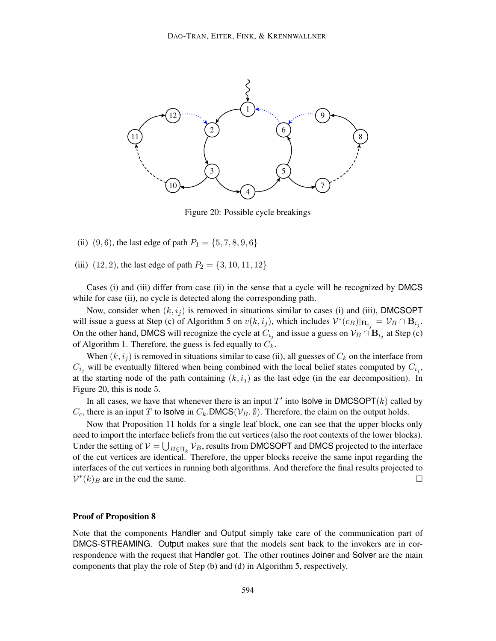

Figure 20: Possible cycle breakings

(ii) (9, 6), the last edge of path  $P_1 = \{5, 7, 8, 9, 6\}$ 

(iii)  $(12, 2)$ , the last edge of path  $P_2 = \{3, 10, 11, 12\}$ 

Cases (i) and (iii) differ from case (ii) in the sense that a cycle will be recognized by DMCS while for case (ii), no cycle is detected along the corresponding path.

Now, consider when  $(k, i_j)$  is removed in situations similar to cases (i) and (iii), DMCSOPT will issue a guess at Step (c) of Algorithm 5 on  $v(k, i_j)$ , which includes  $\mathcal{V}^*(c_B)|_{\mathbf{B}_{i_j}} = \mathcal{V}_B \cap \mathbf{B}_{i_j}$ . On the other hand, DMCS will recognize the cycle at  $C_{i_j}$  and issue a guess on  $\mathcal{V}_B \cap \mathbf{B}_{i_j}$  at Step (c) of Algorithm 1. Therefore, the guess is fed equally to  $C_k$ .

When  $(k, i_j)$  is removed in situations similar to case (ii), all guesses of  $C_k$  on the interface from  $C_{i_j}$  will be eventually filtered when being combined with the local belief states computed by  $C_{i_j}$ , at the starting node of the path containing  $(k, i<sub>j</sub>)$  as the last edge (in the ear decomposition). In Figure 20, this is node 5.

In all cases, we have that whenever there is an input  $T'$  into lsolve in DMCSOPT $(k)$  called by  $C_c$ , there is an input T to Isolve in  $C_k$ .DMCS( $V_B$ ,  $\emptyset$ ). Therefore, the claim on the output holds.

Now that Proposition 11 holds for a single leaf block, one can see that the upper blocks only need to import the interface beliefs from the cut vertices (also the root contexts of the lower blocks). Under the setting of  $V = \bigcup_{B \in \Pi_k} V_B$ , results from DMCSOPT and DMCS projected to the interface of the cut vertices are identical. Therefore, the upper blocks receive the same input regarding the interfaces of the cut vertices in running both algorithms. And therefore the final results projected to  $\mathcal{V}^*(k)_B$  are in the end the same.

### Proof of Proposition 8

Note that the components Handler and Output simply take care of the communication part of DMCS-STREAMING. Output makes sure that the models sent back to the invokers are in correspondence with the request that Handler got. The other routines Joiner and Solver are the main components that play the role of Step (b) and (d) in Algorithm 5, respectively.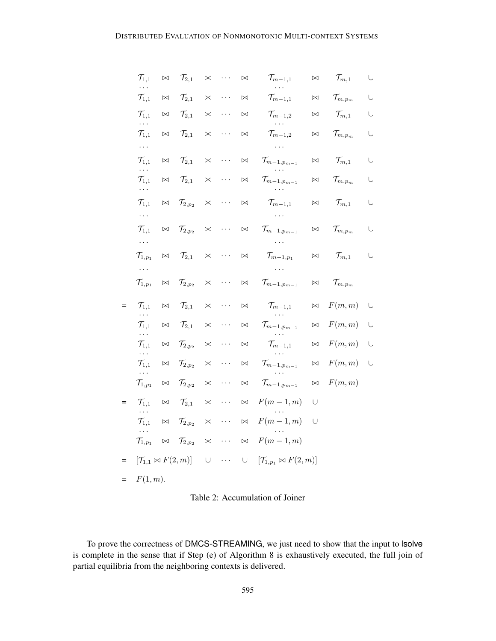|     | $\mathcal{T}_{1,1}$<br>.             | $\bowtie$ | $\mathcal{T}_{2,1}$     | $\bowtie$ | $\cdots$ | $\bowtie$ | $\mathcal{T}_{m-1,1}$                  | $\bowtie$ | $\mathcal{T}_{m,1}$   | $\bigcup$ |
|-----|--------------------------------------|-----------|-------------------------|-----------|----------|-----------|----------------------------------------|-----------|-----------------------|-----------|
|     | $\mathcal{T}_{1,1}$                  | $\bowtie$ | $\mathcal{T}_{2,1}$     | $\bowtie$ | $\cdots$ | $\bowtie$ | $\mathcal{T}_{m-1,1}$                  | $\bowtie$ | $\mathcal{T}_{m,p_m}$ | $\cup$    |
|     | $\mathcal{T}_{1,1}$<br>.             | $\bowtie$ | $\mathcal{T}_{2,1}$     | $\bowtie$ | $\cdots$ | $\bowtie$ | $\mathcal{T}_{m-1,2}$                  | $\bowtie$ | $\mathcal{T}_{m,1}$   | $\cup$    |
|     | $\mathcal{T}_{1,1}$                  | $\bowtie$ | $\mathcal{T}_{2,1}$     | $\bowtie$ | .        | $\bowtie$ | $\mathcal{T}_{m-1,2}$                  | $\bowtie$ | $\mathcal{T}_{m,p_m}$ | $\cup$    |
|     | $\ldots$                             |           |                         |           |          |           | .                                      |           |                       |           |
|     | $\mathcal{T}_{1,1}$<br>$\cdots$      | $\bowtie$ | $\mathcal{T}_{2,1}$     | $\bowtie$ | .        | $\bowtie$ | $\mathcal{T}_{m-1,p_{m-1}}$            | $\bowtie$ | $\mathcal{T}_{m,1}$   | $\cup$    |
|     | $\mathcal{T}_{1,1}$<br>$\ldots$      | $\bowtie$ | $\mathcal{T}_{2,1}$     | $\bowtie$ | .        | $\bowtie$ | $\mathcal{T}_{m-1,p_{m-1}}$            | $\bowtie$ | $\mathcal{T}_{m,p_m}$ | $\cup$    |
|     | $\mathcal{T}_{1,1}$                  | $\bowtie$ | $\mathcal{T}_{2,p_{2}}$ | $\bowtie$ | .        | $\bowtie$ | $\mathcal{T}_{m-1,1}$<br>.             | $\bowtie$ | $\mathcal{T}_{m,1}$   | $\cup$    |
|     | .<br>$\mathcal{T}_{1,1}$             | $\bowtie$ | $\mathcal{T}_{2,p_2}$   | $\bowtie$ | .        | $\bowtie$ | $\mathcal{T}_{m-1,p_{m-1}}$            | $\bowtie$ | $\mathcal{T}_{m,p_m}$ | $\cup$    |
|     | .<br>$\mathcal{T}_{1,p_{1}}$         | $\bowtie$ | $\mathcal{T}_{2,1}$     | $\bowtie$ | $\cdots$ | $\bowtie$ | $\mathcal{T}_{m-1,p_{1}}$              | $\bowtie$ | $\mathcal{T}_{m,1}$   | $\cup$    |
|     | $\cdots$                             |           |                         |           |          |           | .                                      |           |                       |           |
|     | $\mathcal{T}_{1,p_{1}}$              | $\bowtie$ | $\mathcal{T}_{2,p_{2}}$ | $\bowtie$ | $\cdots$ | $\bowtie$ | $\mathcal{T}_{m-1,p_{m-1}}$            | $\bowtie$ | $\mathcal{T}_{m,p_m}$ |           |
| $=$ | $\mathcal{T}_{1,1}$<br>$\ldots$      | $\bowtie$ | $\mathcal{T}_{2,1}$     | $\bowtie$ | .        | $\bowtie$ | $\mathcal{T}_{m-1,1}$<br>$\cdots$      | $\bowtie$ | F(m, m)               | $\cup$    |
|     | $\mathcal{T}_{1,1}$<br>.             | $\bowtie$ | $\mathcal{T}_{2,1}$     | $\bowtie$ | .        | $\bowtie$ | $\mathcal{T}_{m-1,p_{m-1}}$            | $\bowtie$ | F(m, m)               | $\cup$    |
|     | $\mathcal{T}_{1,1}$<br>.             | $\bowtie$ | $\mathcal{T}_{2,p_{2}}$ | $\bowtie$ | $\cdots$ | $\bowtie$ | $\mathcal{T}_{m-1,1}$                  | $\bowtie$ | F(m, m)               | U         |
|     | $\mathcal{T}_{1,1}$<br>.             | $\bowtie$ | $\mathcal{T}_{2,p_{2}}$ | $\bowtie$ | $\cdots$ | $\bowtie$ | $\mathcal{T}_{m-1,p_{m-1}}$            | $\bowtie$ | F(m, m)               | $\cup$    |
|     | $\mathcal{T}_{1,p_{1}}$              | $\bowtie$ | $\mathcal{T}_{2,p_2}$   | $\bowtie$ | .        | $\bowtie$ | $\mathcal{T}_{m-1,p_{m-1}}$            | $\bowtie$ | F(m, m)               |           |
| $=$ | $\mathcal{T}_{1,1}$<br>.             | $\bowtie$ | $\mathcal{T}_{2,1}$     | $\bowtie$ | .        | $\bowtie$ | $F(m-1,m)$                             | U         |                       |           |
|     | $\mathcal{T}_{1,1}$<br>.             | $\bowtie$ | $\mathcal{T}_{2,p_{2}}$ | $\bowtie$ | $\cdots$ | $\bowtie$ | $F(m-1,m)$                             | U         |                       |           |
|     | $\mathcal{T}_{1,p_{1}}$              | $\bowtie$ | $\mathcal{T}_{2,p_2}$   | $\bowtie$ | $\cdots$ | $\bowtie$ | $F(m-1,m)$                             |           |                       |           |
| $=$ | $[\mathcal{T}_{1,1} \bowtie F(2,m)]$ |           |                         | $\cup$    | $\cdots$ | $\cup$    | $[\mathcal{T}_{1,p_1} \bowtie F(2,m)]$ |           |                       |           |
| $=$ | F(1,m).                              |           |                         |           |          |           |                                        |           |                       |           |

Table 2: Accumulation of Joiner

To prove the correctness of DMCS-STREAMING, we just need to show that the input to lsolve is complete in the sense that if Step (e) of Algorithm 8 is exhaustively executed, the full join of partial equilibria from the neighboring contexts is delivered.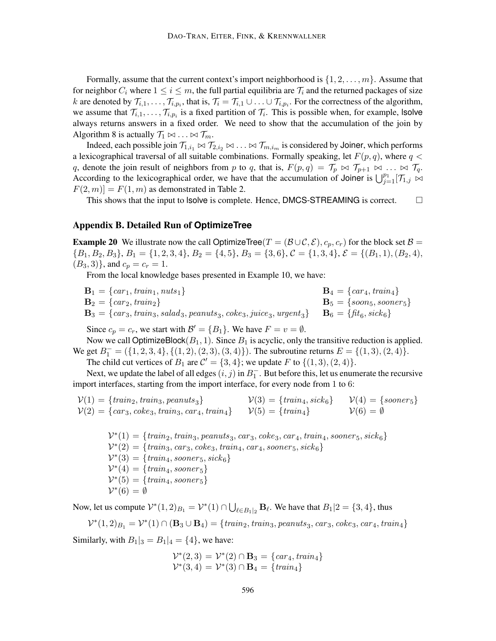Formally, assume that the current context's import neighborhood is  $\{1, 2, \ldots, m\}$ . Assume that for neighbor  $C_i$  where  $1 \le i \le m$ , the full partial equilibria are  $\mathcal{T}_i$  and the returned packages of size k are denoted by  $\mathcal{T}_{i,1},\ldots,\mathcal{T}_{i,p_i}$ , that is,  $\mathcal{T}_i = \mathcal{T}_{i,1} \cup \ldots \cup \mathcal{T}_{i,p_i}$ . For the correctness of the algorithm, we assume that  $\mathcal{T}_{i,1},\ldots,\mathcal{T}_{i,p_i}$  is a fixed partition of  $\mathcal{T}_i$ . This is possible when, for example, **solve** always returns answers in a fixed order. We need to show that the accumulation of the join by Algorithm 8 is actually  $\mathcal{T}_1 \bowtie \ldots \bowtie \mathcal{T}_m$ .

Indeed, each possible join  $\mathcal{T}_{1,i_1}\Join\mathcal{T}_{2,i_2}\Join\ldots\Join\mathcal{T}_{m,i_m}$  is considered by Joiner, which performs a lexicographical traversal of all suitable combinations. Formally speaking, let  $F(p,q)$ , where  $q <$ q, denote the join result of neighbors from p to q, that is,  $F(p,q) = \mathcal{T}_p \bowtie \mathcal{T}_{p+1} \bowtie \ldots \bowtie \mathcal{T}_q$ . According to the lexicographical order, we have that the accumulation of Joiner is  $\bigcup_{j=1}^{p_1} [\mathcal{T}_{1,j} \bowtie$  $F(2, m) = F(1, m)$  as demonstrated in Table 2.

This shows that the input to lsolve is complete. Hence, DMCS-STREAMING is correct.  $\Box$ 

### Appendix B. Detailed Run of **OptimizeTree**

**Example 20** We illustrate now the call OptimizeTree(T =  $(\mathcal{B} \cup \mathcal{C}, \mathcal{E}), c_p, c_r)$  for the block set  $\mathcal{B} =$  ${B_1, B_2, B_3}, B_1 = {1, 2, 3, 4}, B_2 = {4, 5}, B_3 = {3, 6}, C = {1, 3, 4}, \mathcal{E} = {(B_1, 1), (B_2, 4)},$  $(B_3, 3)$ , and  $c_p = c_r = 1$ .

From the local knowledge bases presented in Example 10, we have:

 $B_1 = \{car_1, train_1, nuts_1\}$   $B_4 = \{car_4, train_4\}$  $**B**<sub>5</sub> = {soon<sub>5</sub>, sooner<sub>5</sub>}$  $\mathbf{B}_3 = \{c a r_3, train_3, salad_3, pe anuts_3, c o ke_3, juice_3, urgent_3\} \quad \mathbf{B}_6 = \{fit_6, sick_6\}$ 

Since  $c_p = c_r$ , we start with  $\mathcal{B}' = \{B_1\}$ . We have  $F = v = \emptyset$ .

Now we call OptimizeBlock $(B_1, 1)$ . Since  $B_1$  is acyclic, only the transitive reduction is applied. We get  $B_1^- = (\{1, 2, 3, 4\}, \{(1, 2), (2, 3), (3, 4)\})$ . The subroutine returns  $E = \{(1, 3), (2, 4)\}.$ 

The child cut vertices of  $B_1$  are  $C' = \{3, 4\}$ ; we update F to  $\{(1, 3), (2, 4)\}.$ 

Next, we update the label of all edges  $(i, j)$  in  $B_1^-$ . But before this, let us enumerate the recursive import interfaces, starting from the import interface, for every node from 1 to 6:

$$
\mathcal{V}(1) = \{train_2, train_3, peanuts_3\} \qquad \qquad \mathcal{V}(3) = \{train_4, sick_6\} \qquad \mathcal{V}(4) = \{sooners\} \qquad \mathcal{V}(2) = \{car_3, coke_3, train_3, car_4, train_4\} \qquad \qquad \mathcal{V}(5) = \{train_4\} \qquad \qquad \mathcal{V}(6) = \emptyset
$$

 $\mathcal{V}^*(1) = \{ \text{train}_2, \text{train}_3, \text{peanuts}_3, \text{car}_3, \text{coke}_3, \text{car}_4, \text{train}_4, \text{sooner}_5, \text{sick}_6 \}$  $V^*(2) = {train_3, car_3, coke_3, train_4, car_4, sooner_5, sick_6}$  $\mathcal{V}^*(3) = \{ train_4, sooner_5, sick_6\}$  $\mathcal{V}^*(4) = \{ \text{train}_4, \text{sooner}_5 \}$  $\mathcal{V}^*(5) = \{ \text{train}_4, \text{sooner}_5 \}$  $\mathcal{V}^*(6) = \emptyset$ 

Now, let us compute  $\mathcal{V}^*(1,2)_{B_1} = \mathcal{V}^*(1) \cap \bigcup_{\ell \in B_1|_2} \mathbf{B}_{\ell}$ . We have that  $B_1|2 = \{3,4\}$ , thus

$$
\mathcal{V}^*(1,2)_{B_1} = \mathcal{V}^*(1) \cap (\mathbf{B}_3 \cup \mathbf{B}_4) = \{ \text{train}_2, \text{train}_3, \text{peanuts}_3, \text{car}_3, \text{coke}_3, \text{car}_4, \text{train}_4 \}
$$

Similarly, with  $B_1|_3 = B_1|_4 = \{4\}$ , we have:

$$
\mathcal{V}^*(2,3) = \mathcal{V}^*(2) \cap \mathbf{B}_3 = \{ \operatorname{car}_4, \operatorname{train}_4 \} \n\mathcal{V}^*(3,4) = \mathcal{V}^*(3) \cap \mathbf{B}_4 = \{ \operatorname{train}_4 \}
$$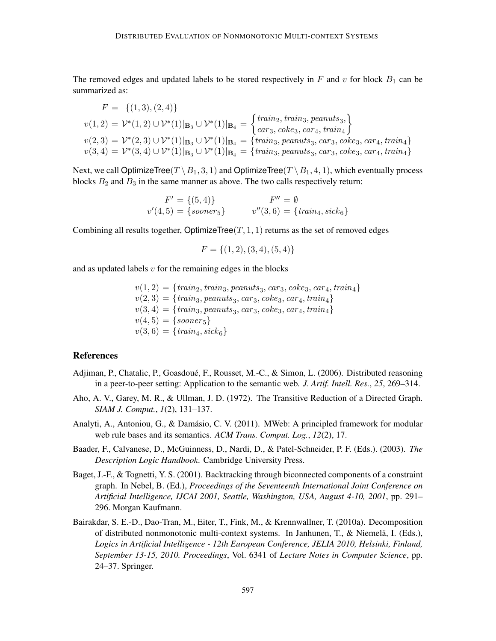The removed edges and updated labels to be stored respectively in  $F$  and  $v$  for block  $B_1$  can be summarized as:

$$
F = \{(1,3), (2,4)\}
$$
  

$$
v(1,2) = \mathcal{V}^*(1,2) \cup \mathcal{V}^*(1)|_{\mathbf{B}_3} \cup \mathcal{V}^*(1)|_{\mathbf{B}_4} = \begin{cases} train_2, train_3, pennuts_3, \\ car_3, coke_3, car_4, train_4 \end{cases}
$$
  

$$
v(2,3) = \mathcal{V}^*(2,3) \cup \mathcal{V}^*(1)|_{\mathbf{B}_3} \cup \mathcal{V}^*(1)|_{\mathbf{B}_4} = \{train_3, peanus_3, car_3, coke_3, car_4, train_4\}
$$
  

$$
v(3,4) = \mathcal{V}^*(3,4) \cup \mathcal{V}^*(1)|_{\mathbf{B}_3} \cup \mathcal{V}^*(1)|_{\mathbf{B}_4} = \{train_3, peanuts_3, car_3, coke_3, car_4, train_4\}
$$

Next, we call OptimizeTree(T \ B<sub>1</sub>, 3, 1) and OptimizeTree(T \ B<sub>1</sub>, 4, 1), which eventually process blocks  $B_2$  and  $B_3$  in the same manner as above. The two calls respectively return:

$$
F' = \{(5, 4)\} \qquad F'' = \emptyset
$$
  

$$
v'(4, 5) = \{sooner_5\} \qquad v''(3, 6) = \{train_4, sick_6\}
$$

Combining all results together, OptimizeTree $(T, 1, 1)$  returns as the set of removed edges

$$
F = \{(1, 2), (3, 4), (5, 4)\}
$$

and as updated labels  $v$  for the remaining edges in the blocks

$$
v(1,2) = {train_2, train_3, peanuts_3, car_3, coke_3, car_4, train_4} \n v(2,3) = {train_3, peanuts_3, car_3, coke_3, car_4, train_4} \n v(3,4) = {train_3, peanuts_3, car_3, coke_3, car_4, train_4} \n v(4,5) = {sooner_5} \n v(3,6) = {train_4, sick_6}
$$

## References

- Adjiman, P., Chatalic, P., Goasdoue, F., Rousset, M.-C., & Simon, L. (2006). Distributed reasoning ´ in a peer-to-peer setting: Application to the semantic web. *J. Artif. Intell. Res.*, *25*, 269–314.
- Aho, A. V., Garey, M. R., & Ullman, J. D. (1972). The Transitive Reduction of a Directed Graph. *SIAM J. Comput.*, *1*(2), 131–137.
- Analyti, A., Antoniou, G., & Damásio, C. V. (2011). MWeb: A principled framework for modular web rule bases and its semantics. *ACM Trans. Comput. Log.*, *12*(2), 17.
- Baader, F., Calvanese, D., McGuinness, D., Nardi, D., & Patel-Schneider, P. F. (Eds.). (2003). *The Description Logic Handbook*. Cambridge University Press.
- Baget, J.-F., & Tognetti, Y. S. (2001). Backtracking through biconnected components of a constraint graph. In Nebel, B. (Ed.), *Proceedings of the Seventeenth International Joint Conference on Artificial Intelligence, IJCAI 2001, Seattle, Washington, USA, August 4-10, 2001*, pp. 291– 296. Morgan Kaufmann.
- Bairakdar, S. E.-D., Dao-Tran, M., Eiter, T., Fink, M., & Krennwallner, T. (2010a). Decomposition of distributed nonmonotonic multi-context systems. In Janhunen, T., & Niemelä, I. (Eds.), *Logics in Artificial Intelligence - 12th European Conference, JELIA 2010, Helsinki, Finland, September 13-15, 2010. Proceedings*, Vol. 6341 of *Lecture Notes in Computer Science*, pp. 24–37. Springer.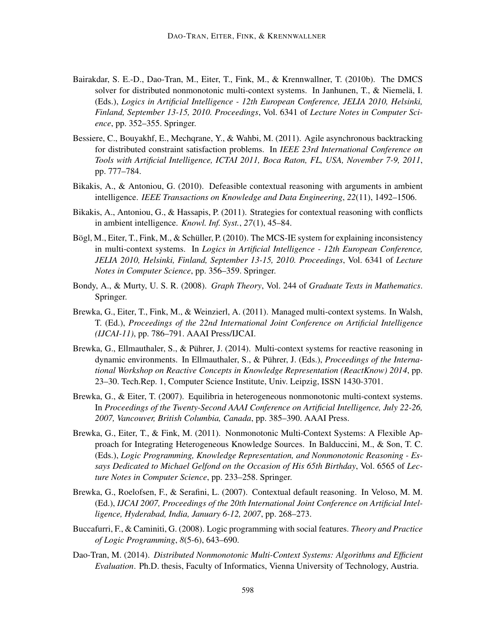- Bairakdar, S. E.-D., Dao-Tran, M., Eiter, T., Fink, M., & Krennwallner, T. (2010b). The DMCS solver for distributed nonmonotonic multi-context systems. In Janhunen, T., & Niemelä, I. (Eds.), *Logics in Artificial Intelligence - 12th European Conference, JELIA 2010, Helsinki, Finland, September 13-15, 2010. Proceedings*, Vol. 6341 of *Lecture Notes in Computer Science*, pp. 352–355. Springer.
- Bessiere, C., Bouyakhf, E., Mechqrane, Y., & Wahbi, M. (2011). Agile asynchronous backtracking for distributed constraint satisfaction problems. In *IEEE 23rd International Conference on Tools with Artificial Intelligence, ICTAI 2011, Boca Raton, FL, USA, November 7-9, 2011*, pp. 777–784.
- Bikakis, A., & Antoniou, G. (2010). Defeasible contextual reasoning with arguments in ambient intelligence. *IEEE Transactions on Knowledge and Data Engineering*, *22*(11), 1492–1506.
- Bikakis, A., Antoniou, G., & Hassapis, P. (2011). Strategies for contextual reasoning with conflicts in ambient intelligence. *Knowl. Inf. Syst.*, *27*(1), 45–84.
- Bögl, M., Eiter, T., Fink, M., & Schüller, P. (2010). The MCS-IE system for explaining inconsistency in multi-context systems. In *Logics in Artificial Intelligence - 12th European Conference, JELIA 2010, Helsinki, Finland, September 13-15, 2010. Proceedings*, Vol. 6341 of *Lecture Notes in Computer Science*, pp. 356–359. Springer.
- Bondy, A., & Murty, U. S. R. (2008). *Graph Theory*, Vol. 244 of *Graduate Texts in Mathematics*. Springer.
- Brewka, G., Eiter, T., Fink, M., & Weinzierl, A. (2011). Managed multi-context systems. In Walsh, T. (Ed.), *Proceedings of the 22nd International Joint Conference on Artificial Intelligence (IJCAI-11)*, pp. 786–791. AAAI Press/IJCAI.
- Brewka, G., Ellmauthaler, S., & Pührer, J. (2014). Multi-context systems for reactive reasoning in dynamic environments. In Ellmauthaler, S., & Pührer, J. (Eds.), *Proceedings of the International Workshop on Reactive Concepts in Knowledge Representation (ReactKnow) 2014*, pp. 23–30. Tech.Rep. 1, Computer Science Institute, Univ. Leipzig, ISSN 1430-3701.
- Brewka, G., & Eiter, T. (2007). Equilibria in heterogeneous nonmonotonic multi-context systems. In *Proceedings of the Twenty-Second AAAI Conference on Artificial Intelligence, July 22-26, 2007, Vancouver, British Columbia, Canada*, pp. 385–390. AAAI Press.
- Brewka, G., Eiter, T., & Fink, M. (2011). Nonmonotonic Multi-Context Systems: A Flexible Approach for Integrating Heterogeneous Knowledge Sources. In Balduccini, M., & Son, T. C. (Eds.), *Logic Programming, Knowledge Representation, and Nonmonotonic Reasoning - Essays Dedicated to Michael Gelfond on the Occasion of His 65th Birthday*, Vol. 6565 of *Lecture Notes in Computer Science*, pp. 233–258. Springer.
- Brewka, G., Roelofsen, F., & Serafini, L. (2007). Contextual default reasoning. In Veloso, M. M. (Ed.), *IJCAI 2007, Proceedings of the 20th International Joint Conference on Artificial Intelligence, Hyderabad, India, January 6-12, 2007*, pp. 268–273.
- Buccafurri, F., & Caminiti, G. (2008). Logic programming with social features. *Theory and Practice of Logic Programming*, *8*(5-6), 643–690.
- Dao-Tran, M. (2014). *Distributed Nonmonotonic Multi-Context Systems: Algorithms and Efficient Evaluation*. Ph.D. thesis, Faculty of Informatics, Vienna University of Technology, Austria.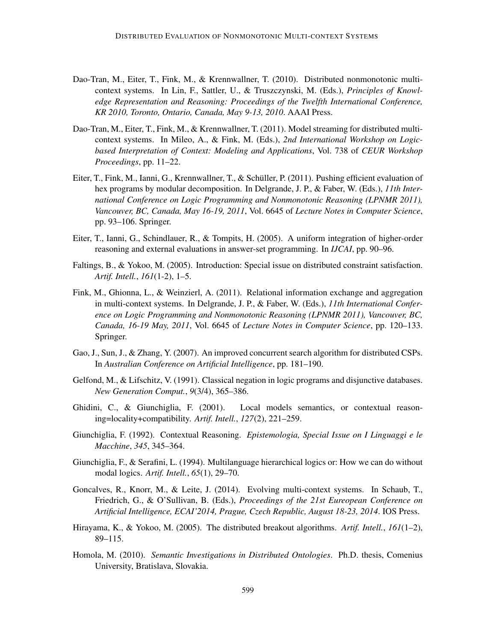- Dao-Tran, M., Eiter, T., Fink, M., & Krennwallner, T. (2010). Distributed nonmonotonic multicontext systems. In Lin, F., Sattler, U., & Truszczynski, M. (Eds.), *Principles of Knowledge Representation and Reasoning: Proceedings of the Twelfth International Conference, KR 2010, Toronto, Ontario, Canada, May 9-13, 2010*. AAAI Press.
- Dao-Tran, M., Eiter, T., Fink, M., & Krennwallner, T. (2011). Model streaming for distributed multicontext systems. In Mileo, A., & Fink, M. (Eds.), *2nd International Workshop on Logicbased Interpretation of Context: Modeling and Applications*, Vol. 738 of *CEUR Workshop Proceedings*, pp. 11–22.
- Eiter, T., Fink, M., Ianni, G., Krennwallner, T., & Schüller, P. (2011). Pushing efficient evaluation of hex programs by modular decomposition. In Delgrande, J. P., & Faber, W. (Eds.), *11th International Conference on Logic Programming and Nonmonotonic Reasoning (LPNMR 2011), Vancouver, BC, Canada, May 16-19, 2011*, Vol. 6645 of *Lecture Notes in Computer Science*, pp. 93–106. Springer.
- Eiter, T., Ianni, G., Schindlauer, R., & Tompits, H. (2005). A uniform integration of higher-order reasoning and external evaluations in answer-set programming. In *IJCAI*, pp. 90–96.
- Faltings, B., & Yokoo, M. (2005). Introduction: Special issue on distributed constraint satisfaction. *Artif. Intell.*, *161*(1-2), 1–5.
- Fink, M., Ghionna, L., & Weinzierl, A. (2011). Relational information exchange and aggregation in multi-context systems. In Delgrande, J. P., & Faber, W. (Eds.), *11th International Conference on Logic Programming and Nonmonotonic Reasoning (LPNMR 2011), Vancouver, BC, Canada, 16-19 May, 2011*, Vol. 6645 of *Lecture Notes in Computer Science*, pp. 120–133. Springer.
- Gao, J., Sun, J., & Zhang, Y. (2007). An improved concurrent search algorithm for distributed CSPs. In *Australian Conference on Artificial Intelligence*, pp. 181–190.
- Gelfond, M., & Lifschitz, V. (1991). Classical negation in logic programs and disjunctive databases. *New Generation Comput.*, *9*(3/4), 365–386.
- Ghidini, C., & Giunchiglia, F. (2001). Local models semantics, or contextual reasoning=locality+compatibility. *Artif. Intell.*, *127*(2), 221–259.
- Giunchiglia, F. (1992). Contextual Reasoning. *Epistemologia, Special Issue on I Linguaggi e le Macchine*, *345*, 345–364.
- Giunchiglia, F., & Serafini, L. (1994). Multilanguage hierarchical logics or: How we can do without modal logics. *Artif. Intell.*, *65*(1), 29–70.
- Goncalves, R., Knorr, M., & Leite, J. (2014). Evolving multi-context systems. In Schaub, T., Friedrich, G., & O'Sullivan, B. (Eds.), *Proceedings of the 21st Eureopean Conference on Artificial Intelligence, ECAI'2014, Prague, Czech Republic, August 18-23, 2014*. IOS Press.
- Hirayama, K., & Yokoo, M. (2005). The distributed breakout algorithms. *Artif. Intell.*, *161*(1–2), 89–115.
- Homola, M. (2010). *Semantic Investigations in Distributed Ontologies*. Ph.D. thesis, Comenius University, Bratislava, Slovakia.